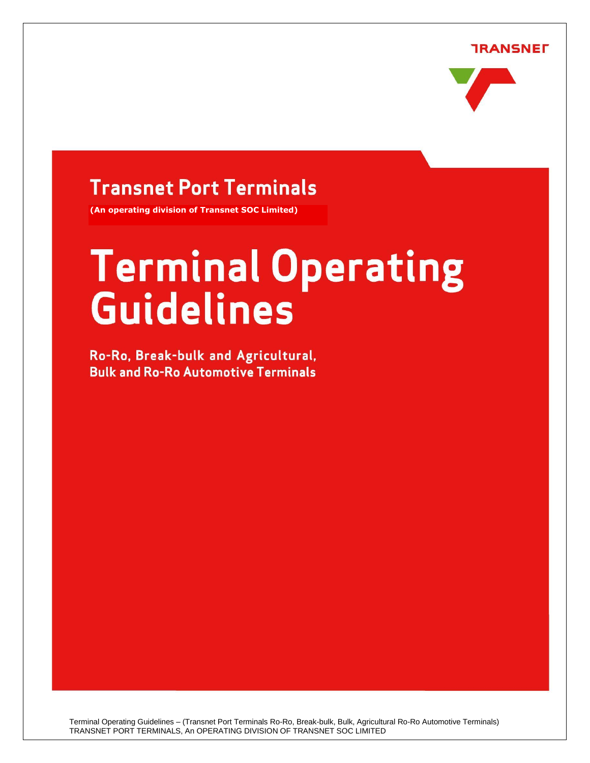**TRANSNEF** 



# **Transnet Port Terminals**

**(An operating division of Transnet SOC Limited)**

# **Terminal Operating Guidelines**

Ro-Ro, Break-bulk and Agricultural, **Bulk and Ro-Ro Automotive Terminals** 

**CONTENTS**

Terminal Operating Guidelines – (Transnet Port Terminals Ro-Ro, Break-bulk, Bulk, Agricultural Ro-Ro Automotive Terminals) TRANSNET PORT TERMINALS, An OPERATING DIVISION OF TRANSNET SOC LIMITED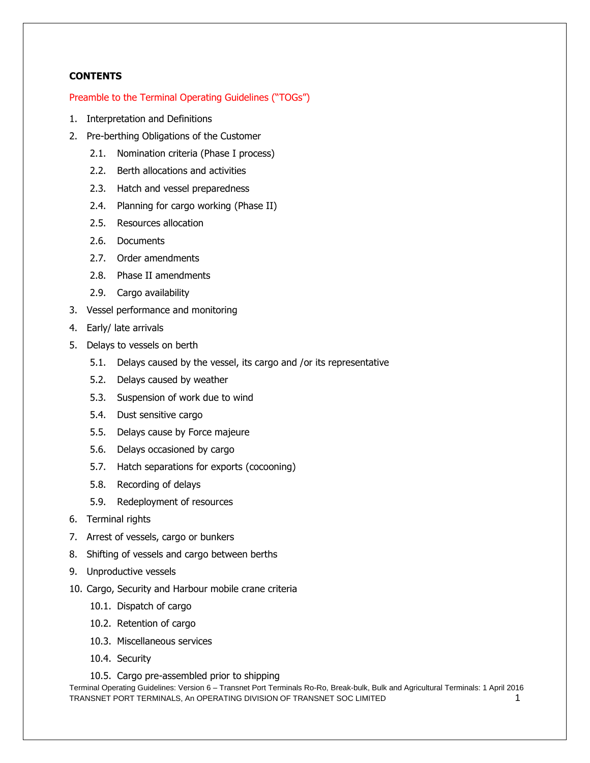# **CONTENTS**

#### Preamble to the Terminal Operating Guidelines ("TOGs")

- 1. Interpretation and Definitions
- 2. Pre-berthing Obligations of the Customer
	- 2.1. Nomination criteria (Phase I process)
	- 2.2. Berth allocations and activities
	- 2.3. Hatch and vessel preparedness
	- 2.4. Planning for cargo working (Phase II)
	- 2.5. Resources allocation
	- 2.6. Documents
	- 2.7. Order amendments
	- 2.8. Phase II amendments
	- 2.9. Cargo availability
- 3. Vessel performance and monitoring
- 4. Early/ late arrivals
- 5. Delays to vessels on berth
	- 5.1. Delays caused by the vessel, its cargo and /or its representative
	- 5.2. Delays caused by weather
	- 5.3. Suspension of work due to wind
	- 5.4. Dust sensitive cargo
	- 5.5. Delays cause by Force majeure
	- 5.6. Delays occasioned by cargo
	- 5.7. Hatch separations for exports (cocooning)
	- 5.8. Recording of delays
	- 5.9. Redeployment of resources
- 6. Terminal rights
- 7. Arrest of vessels, cargo or bunkers
- 8. Shifting of vessels and cargo between berths
- 9. Unproductive vessels
- 10. Cargo, Security and Harbour mobile crane criteria
	- 10.1. Dispatch of cargo
	- 10.2. Retention of cargo
	- 10.3. Miscellaneous services
	- 10.4. Security
	- 10.5. Cargo pre-assembled prior to shipping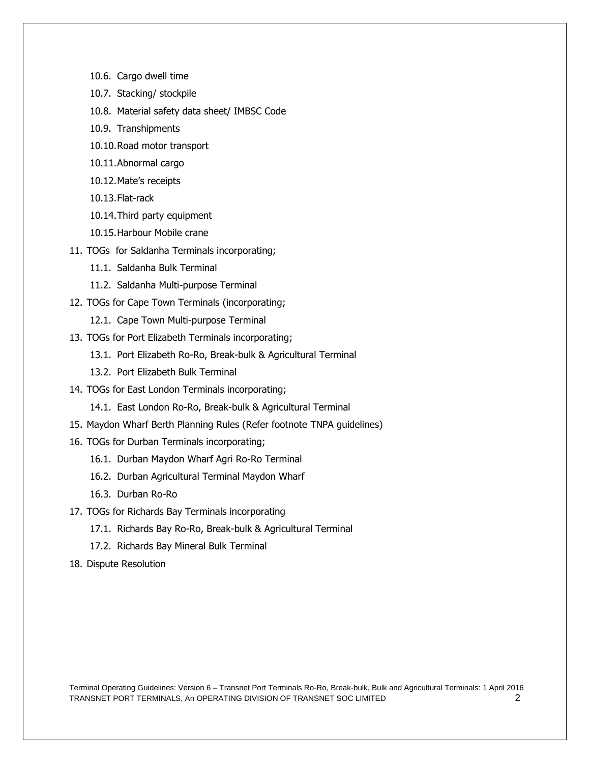- 10.6. Cargo dwell time
- 10.7. Stacking/ stockpile
- 10.8. Material safety data sheet/ IMBSC Code
- 10.9. Transhipments
- 10.10.Road motor transport
- 10.11.Abnormal cargo
- 10.12.Mate's receipts
- 10.13.Flat-rack
- 10.14.Third party equipment
- 10.15.Harbour Mobile crane
- 11. TOGs for Saldanha Terminals incorporating;
	- 11.1. Saldanha Bulk Terminal
	- 11.2. Saldanha Multi-purpose Terminal
- 12. TOGs for Cape Town Terminals (incorporating;
	- 12.1. Cape Town Multi-purpose Terminal
- 13. TOGs for Port Elizabeth Terminals incorporating;
	- 13.1. Port Elizabeth Ro-Ro, Break-bulk & Agricultural Terminal
	- 13.2. Port Elizabeth Bulk Terminal
- 14. TOGs for East London Terminals incorporating;
	- 14.1. East London Ro-Ro, Break-bulk & Agricultural Terminal
- 15. Maydon Wharf Berth Planning Rules (Refer footnote TNPA guidelines)
- 16. TOGs for Durban Terminals incorporating;
	- 16.1. Durban Maydon Wharf Agri Ro-Ro Terminal
	- 16.2. Durban Agricultural Terminal Maydon Wharf
	- 16.3. Durban Ro-Ro
- 17. TOGs for Richards Bay Terminals incorporating
	- 17.1. Richards Bay Ro-Ro, Break-bulk & Agricultural Terminal
	- 17.2. Richards Bay Mineral Bulk Terminal
- 18. Dispute Resolution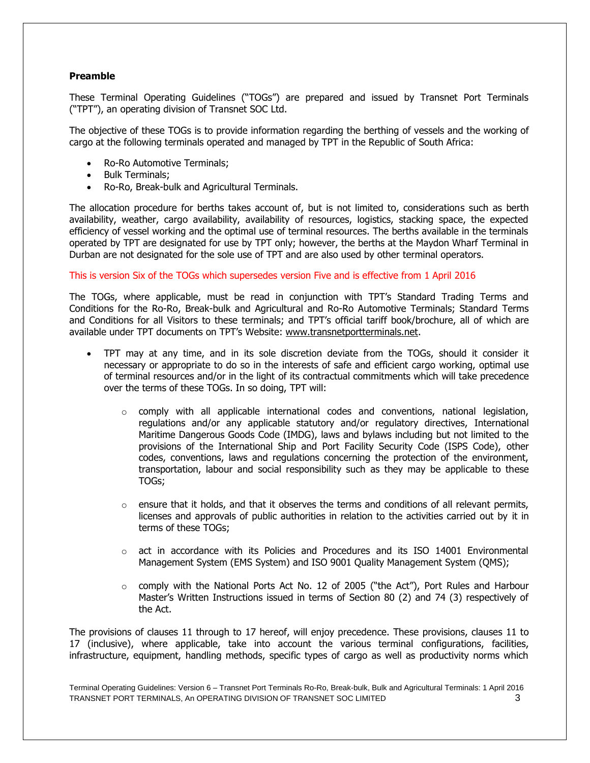# **Preamble**

These Terminal Operating Guidelines ("TOGs") are prepared and issued by Transnet Port Terminals ("TPT"), an operating division of Transnet SOC Ltd.

The objective of these TOGs is to provide information regarding the berthing of vessels and the working of cargo at the following terminals operated and managed by TPT in the Republic of South Africa:

- Ro-Ro Automotive Terminals;
- Bulk Terminals;
- Ro-Ro, Break-bulk and Agricultural Terminals.

The allocation procedure for berths takes account of, but is not limited to, considerations such as berth availability, weather, cargo availability, availability of resources, logistics, stacking space, the expected efficiency of vessel working and the optimal use of terminal resources. The berths available in the terminals operated by TPT are designated for use by TPT only; however, the berths at the Maydon Wharf Terminal in Durban are not designated for the sole use of TPT and are also used by other terminal operators.

#### This is version Six of the TOGs which supersedes version Five and is effective from 1 April 2016

The TOGs, where applicable, must be read in conjunction with TPT's Standard Trading Terms and Conditions for the Ro-Ro, Break-bulk and Agricultural and Ro-Ro Automotive Terminals; Standard Terms and Conditions for all Visitors to these terminals; and TPT's official tariff book/brochure, all of which are available under TPT documents on TPT's Website: [www.transnetportterminals.net.](http://www.transnetportterminals.net/)

- TPT may at any time, and in its sole discretion deviate from the TOGs, should it consider it necessary or appropriate to do so in the interests of safe and efficient cargo working, optimal use of terminal resources and/or in the light of its contractual commitments which will take precedence over the terms of these TOGs. In so doing, TPT will:
	- $\circ$  comply with all applicable international codes and conventions, national legislation, regulations and/or any applicable statutory and/or regulatory directives, International Maritime Dangerous Goods Code (IMDG), laws and bylaws including but not limited to the provisions of the International Ship and Port Facility Security Code (ISPS Code), other codes, conventions, laws and regulations concerning the protection of the environment, transportation, labour and social responsibility such as they may be applicable to these TOGs;
	- $\circ$  ensure that it holds, and that it observes the terms and conditions of all relevant permits, licenses and approvals of public authorities in relation to the activities carried out by it in terms of these TOGs;
	- $\circ$  act in accordance with its Policies and Procedures and its ISO 14001 Environmental Management System (EMS System) and ISO 9001 Quality Management System (QMS);
	- $\circ$  comply with the National Ports Act No. 12 of 2005 ("the Act"), Port Rules and Harbour Master's Written Instructions issued in terms of Section 80 (2) and 74 (3) respectively of the Act.

The provisions of clauses 11 through to 17 hereof, will enjoy precedence. These provisions, clauses 11 to 17 (inclusive), where applicable, take into account the various terminal configurations, facilities, infrastructure, equipment, handling methods, specific types of cargo as well as productivity norms which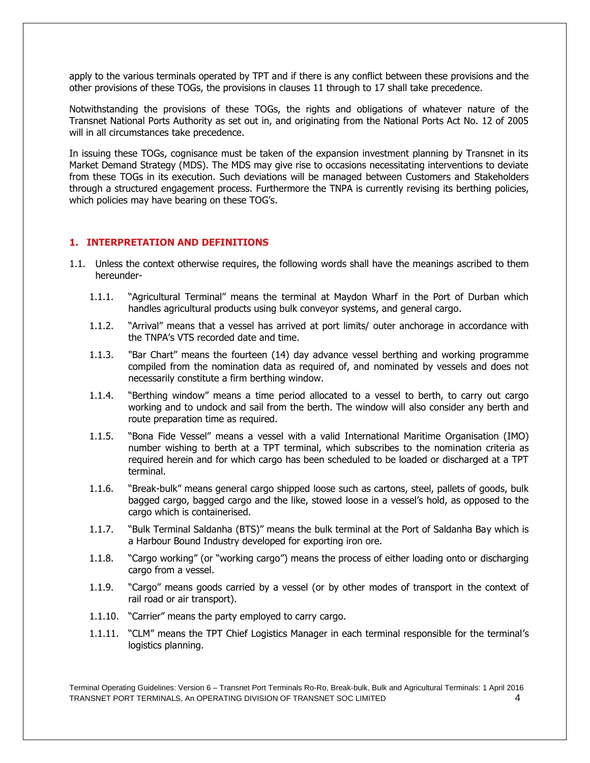apply to the various terminals operated by TPT and if there is any conflict between these provisions and the other provisions of these TOGs, the provisions in clauses 11 through to 17 shall take precedence.

Notwithstanding the provisions of these TOGs, the rights and obligations of whatever nature of the Transnet National Ports Authority as set out in, and originating from the National Ports Act No. 12 of 2005 will in all circumstances take precedence.

In issuing these TOGs, cognisance must be taken of the expansion investment planning by Transnet in its Market Demand Strategy (MDS). The MDS may give rise to occasions necessitating interventions to deviate from these TOGs in its execution. Such deviations will be managed between Customers and Stakeholders through a structured engagement process. Furthermore the TNPA is currently revising its berthing policies, which policies may have bearing on these TOG's.

### **1. INTERPRETATION AND DEFINITIONS**

- 1.1. Unless the context otherwise requires, the following words shall have the meanings ascribed to them hereunder-
	- 1.1.1. "Agricultural Terminal" means the terminal at Maydon Wharf in the Port of Durban which handles agricultural products using bulk conveyor systems, and general cargo.
	- 1.1.2. "Arrival" means that a vessel has arrived at port limits/ outer anchorage in accordance with the TNPA's VTS recorded date and time.
	- 1.1.3. "Bar Chart" means the fourteen (14) day advance vessel berthing and working programme compiled from the nomination data as required of, and nominated by vessels and does not necessarily constitute a firm berthing window.
	- 1.1.4. "Berthing window" means a time period allocated to a vessel to berth, to carry out cargo working and to undock and sail from the berth. The window will also consider any berth and route preparation time as required.
	- 1.1.5. "Bona Fide Vessel" means a vessel with a valid International Maritime Organisation (IMO) number wishing to berth at a TPT terminal, which subscribes to the nomination criteria as required herein and for which cargo has been scheduled to be loaded or discharged at a TPT terminal.
	- 1.1.6. "Break-bulk" means general cargo shipped loose such as cartons, steel, pallets of goods, bulk bagged cargo, bagged cargo and the like, stowed loose in a vessel's hold, as opposed to the cargo which is containerised.
	- 1.1.7. "Bulk Terminal Saldanha (BTS)" means the bulk terminal at the Port of Saldanha Bay which is a Harbour Bound Industry developed for exporting iron ore.
	- 1.1.8. "Cargo working" (or "working cargo") means the process of either loading onto or discharging cargo from a vessel.
	- 1.1.9. "Cargo" means goods carried by a vessel (or by other modes of transport in the context of rail road or air transport).
	- 1.1.10. "Carrier" means the party employed to carry cargo.
	- 1.1.11. "CLM" means the TPT Chief Logistics Manager in each terminal responsible for the terminal's logistics planning.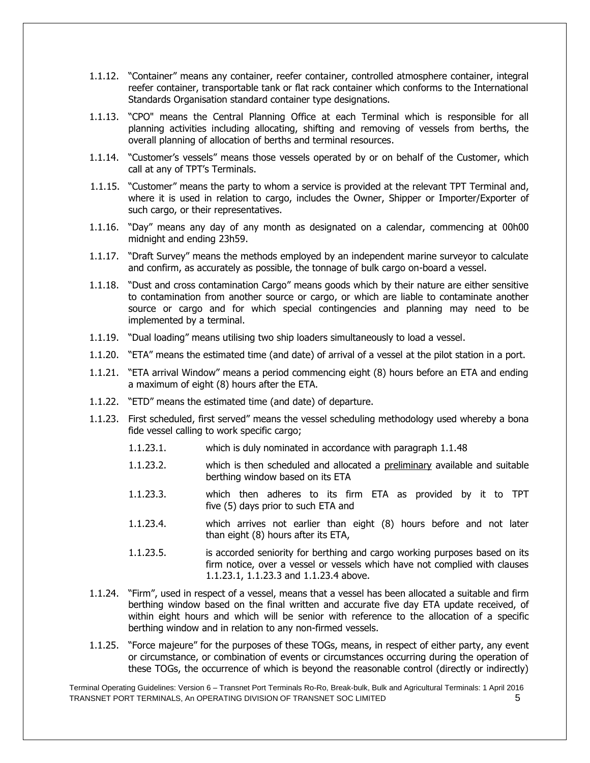- 1.1.12. "Container" means any container, reefer container, controlled atmosphere container, integral reefer container, transportable tank or flat rack container which conforms to the International Standards Organisation standard container type designations.
- 1.1.13. "CPO" means the Central Planning Office at each Terminal which is responsible for all planning activities including allocating, shifting and removing of vessels from berths, the overall planning of allocation of berths and terminal resources.
- 1.1.14. "Customer's vessels" means those vessels operated by or on behalf of the Customer, which call at any of TPT's Terminals.
- 1.1.15. "Customer" means the party to whom a service is provided at the relevant TPT Terminal and, where it is used in relation to cargo, includes the Owner, Shipper or Importer/Exporter of such cargo, or their representatives.
- 1.1.16. "Day" means any day of any month as designated on a calendar, commencing at 00h00 midnight and ending 23h59.
- 1.1.17. "Draft Survey" means the methods employed by an independent marine surveyor to calculate and confirm, as accurately as possible, the tonnage of bulk cargo on-board a vessel.
- 1.1.18. "Dust and cross contamination Cargo" means goods which by their nature are either sensitive to contamination from another source or cargo, or which are liable to contaminate another source or cargo and for which special contingencies and planning may need to be implemented by a terminal.
- 1.1.19. "Dual loading" means utilising two ship loaders simultaneously to load a vessel.
- 1.1.20. "ETA" means the estimated time (and date) of arrival of a vessel at the pilot station in a port.
- 1.1.21. "ETA arrival Window" means a period commencing eight (8) hours before an ETA and ending a maximum of eight (8) hours after the ETA.
- 1.1.22. "ETD" means the estimated time (and date) of departure.
- 1.1.23. First scheduled, first served" means the vessel scheduling methodology used whereby a bona fide vessel calling to work specific cargo;
	- 1.1.23.1. which is duly nominated in accordance with paragraph 1.1.48
	- 1.1.23.2. which is then scheduled and allocated a preliminary available and suitable berthing window based on its ETA
	- 1.1.23.3. which then adheres to its firm ETA as provided by it to TPT five (5) days prior to such ETA and
	- 1.1.23.4. which arrives not earlier than eight (8) hours before and not later than eight (8) hours after its ETA,
	- 1.1.23.5. is accorded seniority for berthing and cargo working purposes based on its firm notice, over a vessel or vessels which have not complied with clauses 1.1.23.1, 1.1.23.3 and 1.1.23.4 above.
- 1.1.24. "Firm", used in respect of a vessel, means that a vessel has been allocated a suitable and firm berthing window based on the final written and accurate five day ETA update received, of within eight hours and which will be senior with reference to the allocation of a specific berthing window and in relation to any non-firmed vessels.
- 1.1.25. "Force majeure" for the purposes of these TOGs, means, in respect of either party, any event or circumstance, or combination of events or circumstances occurring during the operation of these TOGs, the occurrence of which is beyond the reasonable control (directly or indirectly)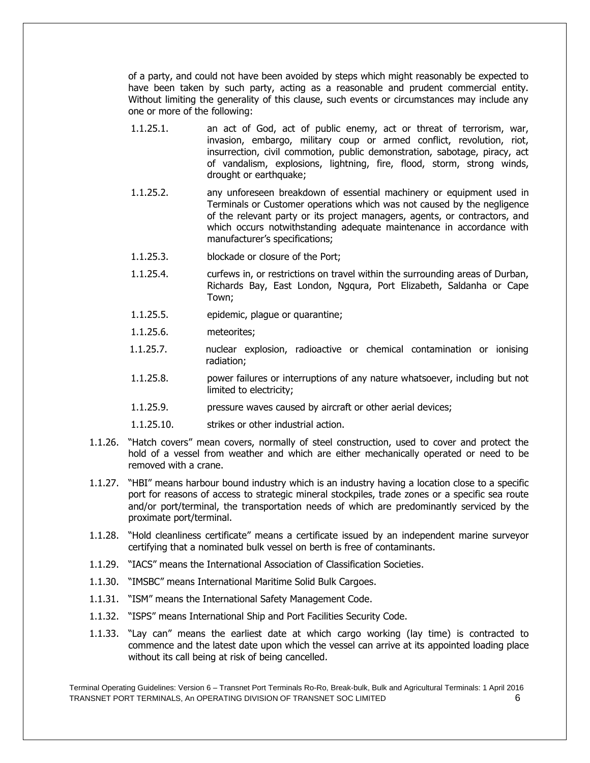of a party, and could not have been avoided by steps which might reasonably be expected to have been taken by such party, acting as a reasonable and prudent commercial entity. Without limiting the generality of this clause, such events or circumstances may include any one or more of the following:

- 1.1.25.1. an act of God, act of public enemy, act or threat of terrorism, war, invasion, embargo, military coup or armed conflict, revolution, riot, insurrection, civil commotion, public demonstration, sabotage, piracy, act of vandalism, explosions, lightning, fire, flood, storm, strong winds, drought or earthquake;
- 1.1.25.2. any unforeseen breakdown of essential machinery or equipment used in Terminals or Customer operations which was not caused by the negligence of the relevant party or its project managers, agents, or contractors, and which occurs notwithstanding adequate maintenance in accordance with manufacturer's specifications;
- 1.1.25.3. blockade or closure of the Port;
- 1.1.25.4. curfews in, or restrictions on travel within the surrounding areas of Durban, Richards Bay, East London, Ngqura, Port Elizabeth, Saldanha or Cape Town;
- 1.1.25.5. epidemic, plague or quarantine;
- 1.1.25.6. meteorites;
- 1.1.25.7. nuclear explosion, radioactive or chemical contamination or ionising radiation;
- 1.1.25.8. power failures or interruptions of any nature whatsoever, including but not limited to electricity;
- 1.1.25.9. pressure waves caused by aircraft or other aerial devices;
- 1.1.25.10. strikes or other industrial action.
- 1.1.26. "Hatch covers" mean covers, normally of steel construction, used to cover and protect the hold of a vessel from weather and which are either mechanically operated or need to be removed with a crane.
- 1.1.27. "HBI" means harbour bound industry which is an industry having a location close to a specific port for reasons of access to strategic mineral stockpiles, trade zones or a specific sea route and/or port/terminal, the transportation needs of which are predominantly serviced by the proximate port/terminal.
- 1.1.28. "Hold cleanliness certificate" means a certificate issued by an independent marine surveyor certifying that a nominated bulk vessel on berth is free of contaminants.
- 1.1.29. "IACS" means the International Association of Classification Societies.
- 1.1.30. "IMSBC" means International Maritime Solid Bulk Cargoes.
- 1.1.31. "ISM" means the International Safety Management Code.
- 1.1.32. "ISPS" means International Ship and Port Facilities Security Code.
- 1.1.33. "Lay can" means the earliest date at which cargo working (lay time) is contracted to commence and the latest date upon which the vessel can arrive at its appointed loading place without its call being at risk of being cancelled.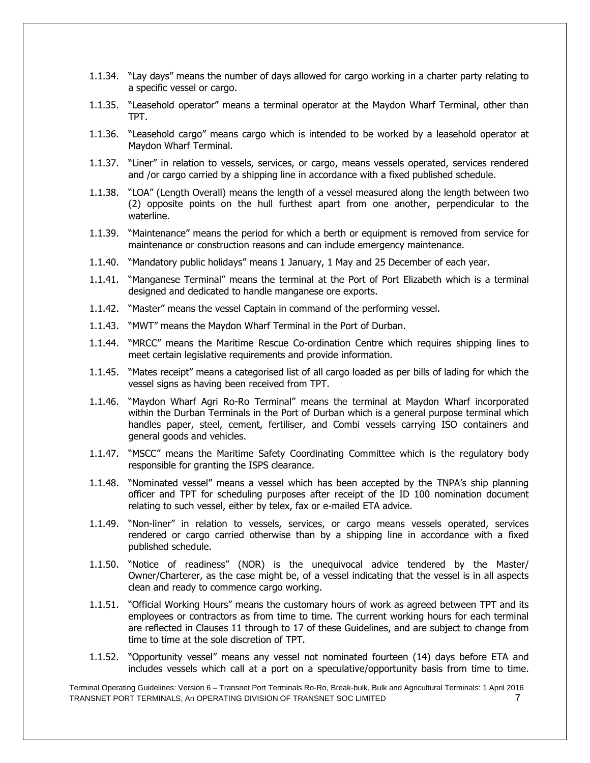- 1.1.34. "Lay days" means the number of days allowed for cargo working in a charter party relating to a specific vessel or cargo.
- 1.1.35. "Leasehold operator" means a terminal operator at the Maydon Wharf Terminal, other than TPT.
- 1.1.36. "Leasehold cargo" means cargo which is intended to be worked by a leasehold operator at Maydon Wharf Terminal.
- 1.1.37. "Liner" in relation to vessels, services, or cargo, means vessels operated, services rendered and /or cargo carried by a shipping line in accordance with a fixed published schedule.
- 1.1.38. "LOA" (Length Overall) means the length of a vessel measured along the length between two (2) opposite points on the hull furthest apart from one another, perpendicular to the waterline.
- 1.1.39. "Maintenance" means the period for which a berth or equipment is removed from service for maintenance or construction reasons and can include emergency maintenance.
- 1.1.40. "Mandatory public holidays" means 1 January, 1 May and 25 December of each year.
- 1.1.41. "Manganese Terminal" means the terminal at the Port of Port Elizabeth which is a terminal designed and dedicated to handle manganese ore exports.
- 1.1.42. "Master" means the vessel Captain in command of the performing vessel.
- 1.1.43. "MWT" means the Maydon Wharf Terminal in the Port of Durban.
- 1.1.44. "MRCC" means the Maritime Rescue Co-ordination Centre which requires shipping lines to meet certain legislative requirements and provide information.
- 1.1.45. "Mates receipt" means a categorised list of all cargo loaded as per bills of lading for which the vessel signs as having been received from TPT.
- 1.1.46. "Maydon Wharf Agri Ro-Ro Terminal" means the terminal at Maydon Wharf incorporated within the Durban Terminals in the Port of Durban which is a general purpose terminal which handles paper, steel, cement, fertiliser, and Combi vessels carrying ISO containers and general goods and vehicles.
- 1.1.47. "MSCC" means the Maritime Safety Coordinating Committee which is the regulatory body responsible for granting the ISPS clearance.
- 1.1.48. "Nominated vessel" means a vessel which has been accepted by the TNPA's ship planning officer and TPT for scheduling purposes after receipt of the ID 100 nomination document relating to such vessel, either by telex, fax or e-mailed ETA advice.
- 1.1.49. "Non-liner" in relation to vessels, services, or cargo means vessels operated, services rendered or cargo carried otherwise than by a shipping line in accordance with a fixed published schedule.
- 1.1.50. "Notice of readiness" (NOR) is the unequivocal advice tendered by the Master/ Owner/Charterer, as the case might be, of a vessel indicating that the vessel is in all aspects clean and ready to commence cargo working.
- 1.1.51. "Official Working Hours" means the customary hours of work as agreed between TPT and its employees or contractors as from time to time. The current working hours for each terminal are reflected in Clauses 11 through to 17 of these Guidelines, and are subject to change from time to time at the sole discretion of TPT.
- 1.1.52. "Opportunity vessel" means any vessel not nominated fourteen (14) days before ETA and includes vessels which call at a port on a speculative/opportunity basis from time to time.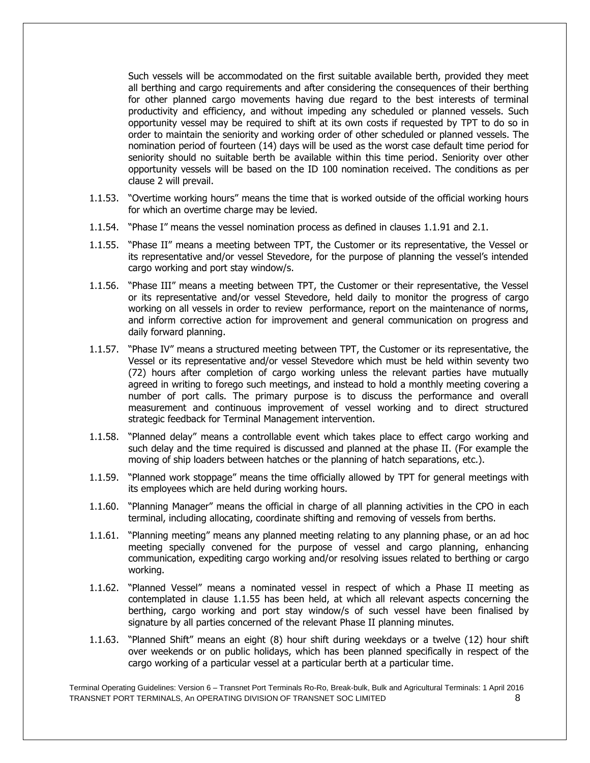Such vessels will be accommodated on the first suitable available berth, provided they meet all berthing and cargo requirements and after considering the consequences of their berthing for other planned cargo movements having due regard to the best interests of terminal productivity and efficiency, and without impeding any scheduled or planned vessels. Such opportunity vessel may be required to shift at its own costs if requested by TPT to do so in order to maintain the seniority and working order of other scheduled or planned vessels. The nomination period of fourteen (14) days will be used as the worst case default time period for seniority should no suitable berth be available within this time period. Seniority over other opportunity vessels will be based on the ID 100 nomination received. The conditions as per clause 2 will prevail.

- 1.1.53. "Overtime working hours" means the time that is worked outside of the official working hours for which an overtime charge may be levied.
- 1.1.54. "Phase I" means the vessel nomination process as defined in clauses 1.1.91 and 2.1.
- 1.1.55. "Phase II" means a meeting between TPT, the Customer or its representative, the Vessel or its representative and/or vessel Stevedore, for the purpose of planning the vessel's intended cargo working and port stay window/s.
- 1.1.56. "Phase III" means a meeting between TPT, the Customer or their representative, the Vessel or its representative and/or vessel Stevedore, held daily to monitor the progress of cargo working on all vessels in order to review performance, report on the maintenance of norms, and inform corrective action for improvement and general communication on progress and daily forward planning.
- 1.1.57. "Phase IV" means a structured meeting between TPT, the Customer or its representative, the Vessel or its representative and/or vessel Stevedore which must be held within seventy two (72) hours after completion of cargo working unless the relevant parties have mutually agreed in writing to forego such meetings, and instead to hold a monthly meeting covering a number of port calls. The primary purpose is to discuss the performance and overall measurement and continuous improvement of vessel working and to direct structured strategic feedback for Terminal Management intervention.
- 1.1.58. "Planned delay" means a controllable event which takes place to effect cargo working and such delay and the time required is discussed and planned at the phase II. (For example the moving of ship loaders between hatches or the planning of hatch separations, etc.).
- 1.1.59. "Planned work stoppage" means the time officially allowed by TPT for general meetings with its employees which are held during working hours.
- 1.1.60. "Planning Manager" means the official in charge of all planning activities in the CPO in each terminal, including allocating, coordinate shifting and removing of vessels from berths.
- 1.1.61. "Planning meeting" means any planned meeting relating to any planning phase, or an ad hoc meeting specially convened for the purpose of vessel and cargo planning, enhancing communication, expediting cargo working and/or resolving issues related to berthing or cargo working.
- 1.1.62. "Planned Vessel" means a nominated vessel in respect of which a Phase II meeting as contemplated in clause 1.1.55 has been held, at which all relevant aspects concerning the berthing, cargo working and port stay window/s of such vessel have been finalised by signature by all parties concerned of the relevant Phase II planning minutes.
- 1.1.63. "Planned Shift" means an eight (8) hour shift during weekdays or a twelve (12) hour shift over weekends or on public holidays, which has been planned specifically in respect of the cargo working of a particular vessel at a particular berth at a particular time.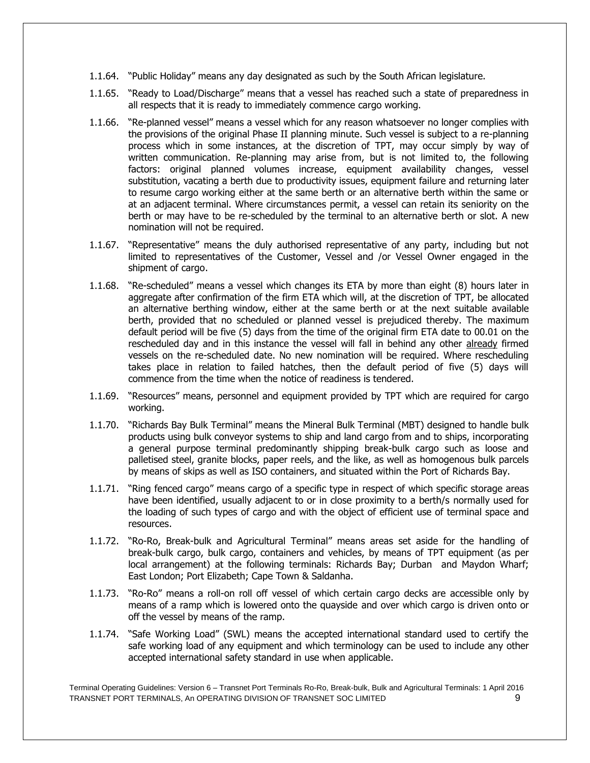- 1.1.64. "Public Holiday" means any day designated as such by the South African legislature.
- 1.1.65. "Ready to Load/Discharge" means that a vessel has reached such a state of preparedness in all respects that it is ready to immediately commence cargo working.
- 1.1.66. "Re-planned vessel" means a vessel which for any reason whatsoever no longer complies with the provisions of the original Phase II planning minute. Such vessel is subject to a re-planning process which in some instances, at the discretion of TPT, may occur simply by way of written communication. Re-planning may arise from, but is not limited to, the following factors: original planned volumes increase, equipment availability changes, vessel substitution, vacating a berth due to productivity issues, equipment failure and returning later to resume cargo working either at the same berth or an alternative berth within the same or at an adjacent terminal. Where circumstances permit, a vessel can retain its seniority on the berth or may have to be re-scheduled by the terminal to an alternative berth or slot. A new nomination will not be required.
- 1.1.67. "Representative" means the duly authorised representative of any party, including but not limited to representatives of the Customer, Vessel and /or Vessel Owner engaged in the shipment of cargo.
- 1.1.68. "Re-scheduled" means a vessel which changes its ETA by more than eight (8) hours later in aggregate after confirmation of the firm ETA which will, at the discretion of TPT, be allocated an alternative berthing window, either at the same berth or at the next suitable available berth, provided that no scheduled or planned vessel is prejudiced thereby. The maximum default period will be five (5) days from the time of the original firm ETA date to 00.01 on the rescheduled day and in this instance the vessel will fall in behind any other already firmed vessels on the re-scheduled date. No new nomination will be required. Where rescheduling takes place in relation to failed hatches, then the default period of five (5) days will commence from the time when the notice of readiness is tendered.
- 1.1.69. "Resources" means, personnel and equipment provided by TPT which are required for cargo working.
- 1.1.70. "Richards Bay Bulk Terminal" means the Mineral Bulk Terminal (MBT) designed to handle bulk products using bulk conveyor systems to ship and land cargo from and to ships, incorporating a general purpose terminal predominantly shipping break-bulk cargo such as loose and palletised steel, granite blocks, paper reels, and the like, as well as homogenous bulk parcels by means of skips as well as ISO containers, and situated within the Port of Richards Bay.
- 1.1.71. "Ring fenced cargo" means cargo of a specific type in respect of which specific storage areas have been identified, usually adjacent to or in close proximity to a berth/s normally used for the loading of such types of cargo and with the object of efficient use of terminal space and resources.
- 1.1.72. "Ro-Ro, Break-bulk and Agricultural Terminal" means areas set aside for the handling of break-bulk cargo, bulk cargo, containers and vehicles, by means of TPT equipment (as per local arrangement) at the following terminals: Richards Bay; Durban and Maydon Wharf; East London; Port Elizabeth; Cape Town & Saldanha.
- 1.1.73. "Ro-Ro" means a roll-on roll off vessel of which certain cargo decks are accessible only by means of a ramp which is lowered onto the quayside and over which cargo is driven onto or off the vessel by means of the ramp.
- 1.1.74. "Safe Working Load" (SWL) means the accepted international standard used to certify the safe working load of any equipment and which terminology can be used to include any other accepted international safety standard in use when applicable.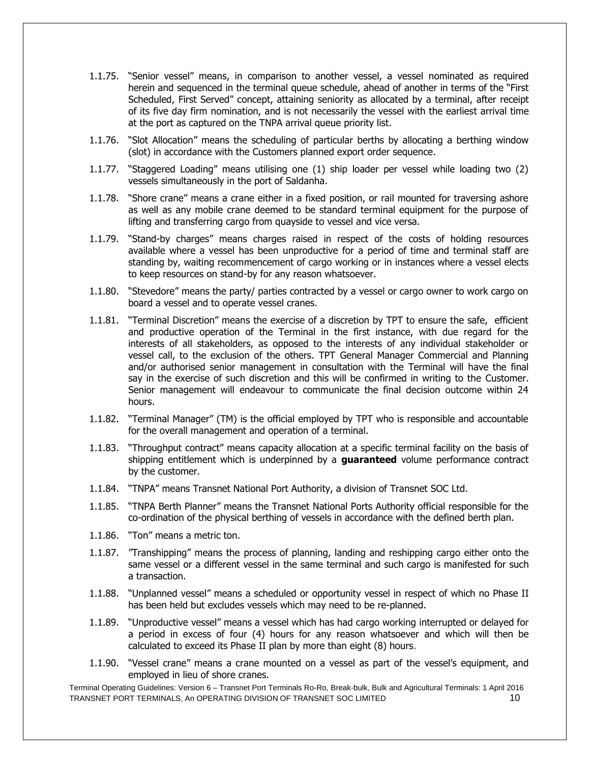- 1.1.75. "Senior vessel" means, in comparison to another vessel, a vessel nominated as required herein and sequenced in the terminal queue schedule, ahead of another in terms of the "First Scheduled, First Served" concept, attaining seniority as allocated by a terminal, after receipt of its five day firm nomination, and is not necessarily the vessel with the earliest arrival time at the port as captured on the TNPA arrival queue priority list.
- 1.1.76. "Slot Allocation" means the scheduling of particular berths by allocating a berthing window (slot) in accordance with the Customers planned export order sequence.
- 1.1.77. "Staggered Loading" means utilising one (1) ship loader per vessel while loading two (2) vessels simultaneously in the port of Saldanha.
- 1.1.78. "Shore crane" means a crane either in a fixed position, or rail mounted for traversing ashore as well as any mobile crane deemed to be standard terminal equipment for the purpose of lifting and transferring cargo from quayside to vessel and vice versa.
- 1.1.79. "Stand-by charges" means charges raised in respect of the costs of holding resources available where a vessel has been unproductive for a period of time and terminal staff are standing by, waiting recommencement of cargo working or in instances where a vessel elects to keep resources on stand-by for any reason whatsoever.
- 1.1.80. "Stevedore" means the party/ parties contracted by a vessel or cargo owner to work cargo on board a vessel and to operate vessel cranes.
- 1.1.81. "Terminal Discretion" means the exercise of a discretion by TPT to ensure the safe, efficient and productive operation of the Terminal in the first instance, with due regard for the interests of all stakeholders, as opposed to the interests of any individual stakeholder or vessel call, to the exclusion of the others. TPT General Manager Commercial and Planning and/or authorised senior management in consultation with the Terminal will have the final say in the exercise of such discretion and this will be confirmed in writing to the Customer. Senior management will endeavour to communicate the final decision outcome within 24 hours.
- 1.1.82. "Terminal Manager" (TM) is the official employed by TPT who is responsible and accountable for the overall management and operation of a terminal.
- 1.1.83. "Throughput contract" means capacity allocation at a specific terminal facility on the basis of shipping entitlement which is underpinned by a **guaranteed** volume performance contract by the customer.
- 1.1.84. "TNPA" means Transnet National Port Authority, a division of Transnet SOC Ltd.
- 1.1.85. "TNPA Berth Planner" means the Transnet National Ports Authority official responsible for the co-ordination of the physical berthing of vessels in accordance with the defined berth plan.
- 1.1.86. "Ton" means a metric ton.
- 1.1.87. "Transhipping" means the process of planning, landing and reshipping cargo either onto the same vessel or a different vessel in the same terminal and such cargo is manifested for such a transaction.
- 1.1.88. "Unplanned vessel" means a scheduled or opportunity vessel in respect of which no Phase II has been held but excludes vessels which may need to be re-planned.
- 1.1.89. "Unproductive vessel" means a vessel which has had cargo working interrupted or delayed for a period in excess of four (4) hours for any reason whatsoever and which will then be calculated to exceed its Phase II plan by more than eight (8) hours.
- 1.1.90. "Vessel crane" means a crane mounted on a vessel as part of the vessel's equipment, and employed in lieu of shore cranes.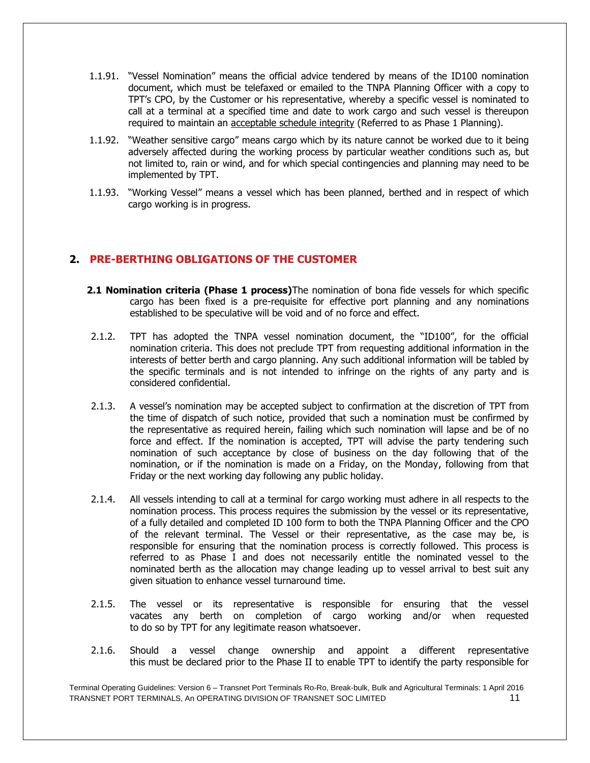- 1.1.91. "Vessel Nomination" means the official advice tendered by means of the ID100 nomination document, which must be telefaxed or emailed to the TNPA Planning Officer with a copy to TPT's CPO, by the Customer or his representative, whereby a specific vessel is nominated to call at a terminal at a specified time and date to work cargo and such vessel is thereupon required to maintain an acceptable schedule integrity (Referred to as Phase 1 Planning).
- 1.1.92. "Weather sensitive cargo" means cargo which by its nature cannot be worked due to it being adversely affected during the working process by particular weather conditions such as, but not limited to, rain or wind, and for which special contingencies and planning may need to be implemented by TPT.
- 1.1.93. "Working Vessel" means a vessel which has been planned, berthed and in respect of which cargo working is in progress.

# **2. PRE-BERTHING OBLIGATIONS OF THE CUSTOMER**

- **2.1 Nomination criteria (Phase 1 process)**The nomination of bona fide vessels for which specific cargo has been fixed is a pre-requisite for effective port planning and any nominations established to be speculative will be void and of no force and effect.
- 2.1.2. TPT has adopted the TNPA vessel nomination document, the "ID100", for the official nomination criteria. This does not preclude TPT from requesting additional information in the interests of better berth and cargo planning. Any such additional information will be tabled by the specific terminals and is not intended to infringe on the rights of any party and is considered confidential.
- 2.1.3. A vessel's nomination may be accepted subject to confirmation at the discretion of TPT from the time of dispatch of such notice, provided that such a nomination must be confirmed by the representative as required herein, failing which such nomination will lapse and be of no force and effect. If the nomination is accepted, TPT will advise the party tendering such nomination of such acceptance by close of business on the day following that of the nomination, or if the nomination is made on a Friday, on the Monday, following from that Friday or the next working day following any public holiday.
- 2.1.4. All vessels intending to call at a terminal for cargo working must adhere in all respects to the nomination process. This process requires the submission by the vessel or its representative, of a fully detailed and completed ID 100 form to both the TNPA Planning Officer and the CPO of the relevant terminal. The Vessel or their representative, as the case may be, is responsible for ensuring that the nomination process is correctly followed. This process is referred to as Phase I and does not necessarily entitle the nominated vessel to the nominated berth as the allocation may change leading up to vessel arrival to best suit any given situation to enhance vessel turnaround time.
- 2.1.5. The vessel or its representative is responsible for ensuring that the vessel vacates any berth on completion of cargo working and/or when requested to do so by TPT for any legitimate reason whatsoever.
- 2.1.6. Should a vessel change ownership and appoint a different representative this must be declared prior to the Phase II to enable TPT to identify the party responsible for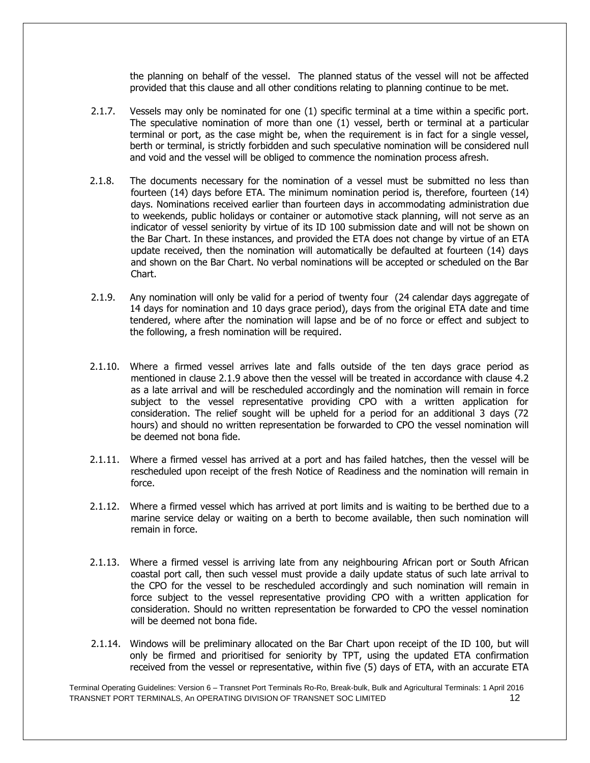the planning on behalf of the vessel. The planned status of the vessel will not be affected provided that this clause and all other conditions relating to planning continue to be met.

- 2.1.7. Vessels may only be nominated for one (1) specific terminal at a time within a specific port. The speculative nomination of more than one (1) vessel, berth or terminal at a particular terminal or port, as the case might be, when the requirement is in fact for a single vessel, berth or terminal, is strictly forbidden and such speculative nomination will be considered null and void and the vessel will be obliged to commence the nomination process afresh.
- 2.1.8. The documents necessary for the nomination of a vessel must be submitted no less than fourteen (14) days before ETA. The minimum nomination period is, therefore, fourteen (14) days. Nominations received earlier than fourteen days in accommodating administration due to weekends, public holidays or container or automotive stack planning, will not serve as an indicator of vessel seniority by virtue of its ID 100 submission date and will not be shown on the Bar Chart. In these instances, and provided the ETA does not change by virtue of an ETA update received, then the nomination will automatically be defaulted at fourteen (14) days and shown on the Bar Chart. No verbal nominations will be accepted or scheduled on the Bar Chart.
- 2.1.9. Any nomination will only be valid for a period of twenty four (24 calendar days aggregate of 14 days for nomination and 10 days grace period), days from the original ETA date and time tendered, where after the nomination will lapse and be of no force or effect and subject to the following, a fresh nomination will be required.
- 2.1.10. Where a firmed vessel arrives late and falls outside of the ten days grace period as mentioned in clause 2.1.9 above then the vessel will be treated in accordance with clause 4.2 as a late arrival and will be rescheduled accordingly and the nomination will remain in force subject to the vessel representative providing CPO with a written application for consideration. The relief sought will be upheld for a period for an additional 3 days (72 hours) and should no written representation be forwarded to CPO the vessel nomination will be deemed not bona fide.
- 2.1.11. Where a firmed vessel has arrived at a port and has failed hatches, then the vessel will be rescheduled upon receipt of the fresh Notice of Readiness and the nomination will remain in force.
- 2.1.12. Where a firmed vessel which has arrived at port limits and is waiting to be berthed due to a marine service delay or waiting on a berth to become available, then such nomination will remain in force.
- 2.1.13. Where a firmed vessel is arriving late from any neighbouring African port or South African coastal port call, then such vessel must provide a daily update status of such late arrival to the CPO for the vessel to be rescheduled accordingly and such nomination will remain in force subject to the vessel representative providing CPO with a written application for consideration. Should no written representation be forwarded to CPO the vessel nomination will be deemed not bona fide.
- 2.1.14. Windows will be preliminary allocated on the Bar Chart upon receipt of the ID 100, but will only be firmed and prioritised for seniority by TPT, using the updated ETA confirmation received from the vessel or representative, within five (5) days of ETA, with an accurate ETA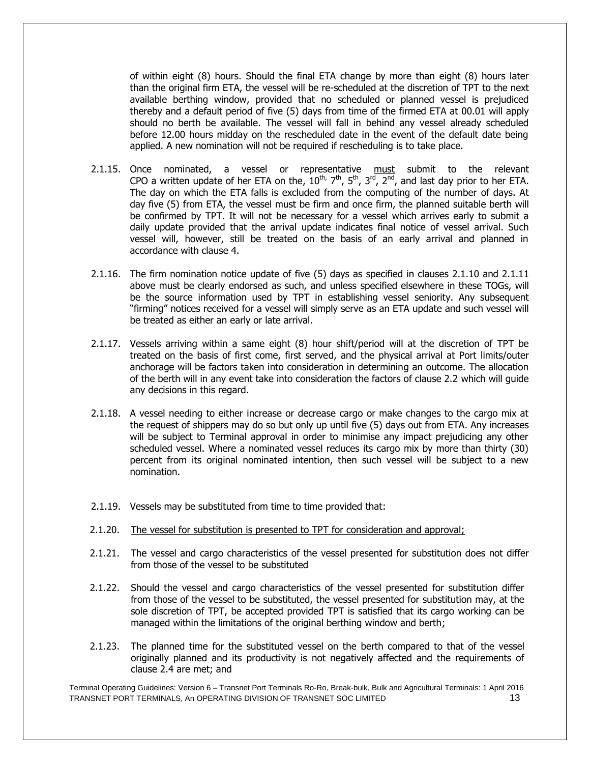of within eight (8) hours. Should the final ETA change by more than eight (8) hours later than the original firm ETA, the vessel will be re-scheduled at the discretion of TPT to the next available berthing window, provided that no scheduled or planned vessel is prejudiced thereby and a default period of five (5) days from time of the firmed ETA at 00.01 will apply should no berth be available. The vessel will fall in behind any vessel already scheduled before 12.00 hours midday on the rescheduled date in the event of the default date being applied. A new nomination will not be required if rescheduling is to take place.

- 2.1.15. Once nominated, a vessel or representative must submit to the relevant CPO a written update of her ETA on the,  $10^{\text{th}}$ ,  $7^{\text{th}}$ ,  $5^{\text{th}}$ ,  $3^{\text{rd}}$ ,  $2^{\text{nd}}$ , and last day prior to her ETA. The day on which the ETA falls is excluded from the computing of the number of days. At day five (5) from ETA, the vessel must be firm and once firm, the planned suitable berth will be confirmed by TPT. It will not be necessary for a vessel which arrives early to submit a daily update provided that the arrival update indicates final notice of vessel arrival. Such vessel will, however, still be treated on the basis of an early arrival and planned in accordance with clause 4.
- 2.1.16. The firm nomination notice update of five (5) days as specified in clauses 2.1.10 and 2.1.11 above must be clearly endorsed as such, and unless specified elsewhere in these TOGs, will be the source information used by TPT in establishing vessel seniority. Any subsequent "firming" notices received for a vessel will simply serve as an ETA update and such vessel will be treated as either an early or late arrival.
- 2.1.17. Vessels arriving within a same eight (8) hour shift/period will at the discretion of TPT be treated on the basis of first come, first served, and the physical arrival at Port limits/outer anchorage will be factors taken into consideration in determining an outcome. The allocation of the berth will in any event take into consideration the factors of clause 2.2 which will guide any decisions in this regard.
- 2.1.18. A vessel needing to either increase or decrease cargo or make changes to the cargo mix at the request of shippers may do so but only up until five (5) days out from ETA. Any increases will be subject to Terminal approval in order to minimise any impact prejudicing any other scheduled vessel. Where a nominated vessel reduces its cargo mix by more than thirty (30) percent from its original nominated intention, then such vessel will be subject to a new nomination.
- 2.1.19. Vessels may be substituted from time to time provided that:
- 2.1.20. The vessel for substitution is presented to TPT for consideration and approval;
- 2.1.21. The vessel and cargo characteristics of the vessel presented for substitution does not differ from those of the vessel to be substituted
- 2.1.22. Should the vessel and cargo characteristics of the vessel presented for substitution differ from those of the vessel to be substituted, the vessel presented for substitution may, at the sole discretion of TPT, be accepted provided TPT is satisfied that its cargo working can be managed within the limitations of the original berthing window and berth;
- 2.1.23. The planned time for the substituted vessel on the berth compared to that of the vessel originally planned and its productivity is not negatively affected and the requirements of clause 2.4 are met; and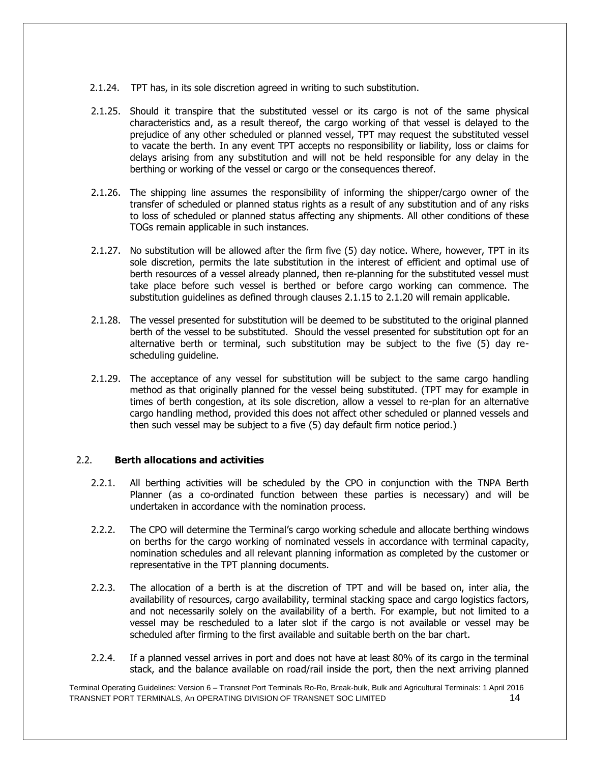- 2.1.24. TPT has, in its sole discretion agreed in writing to such substitution.
- 2.1.25. Should it transpire that the substituted vessel or its cargo is not of the same physical characteristics and, as a result thereof, the cargo working of that vessel is delayed to the prejudice of any other scheduled or planned vessel, TPT may request the substituted vessel to vacate the berth. In any event TPT accepts no responsibility or liability, loss or claims for delays arising from any substitution and will not be held responsible for any delay in the berthing or working of the vessel or cargo or the consequences thereof.
- 2.1.26. The shipping line assumes the responsibility of informing the shipper/cargo owner of the transfer of scheduled or planned status rights as a result of any substitution and of any risks to loss of scheduled or planned status affecting any shipments. All other conditions of these TOGs remain applicable in such instances.
- 2.1.27. No substitution will be allowed after the firm five (5) day notice. Where, however, TPT in its sole discretion, permits the late substitution in the interest of efficient and optimal use of berth resources of a vessel already planned, then re-planning for the substituted vessel must take place before such vessel is berthed or before cargo working can commence. The substitution guidelines as defined through clauses 2.1.15 to 2.1.20 will remain applicable.
- 2.1.28. The vessel presented for substitution will be deemed to be substituted to the original planned berth of the vessel to be substituted. Should the vessel presented for substitution opt for an alternative berth or terminal, such substitution may be subject to the five (5) day rescheduling guideline.
- 2.1.29. The acceptance of any vessel for substitution will be subject to the same cargo handling method as that originally planned for the vessel being substituted. (TPT may for example in times of berth congestion, at its sole discretion, allow a vessel to re-plan for an alternative cargo handling method, provided this does not affect other scheduled or planned vessels and then such vessel may be subject to a five (5) day default firm notice period.)

# 2.2. **Berth allocations and activities**

- 2.2.1. All berthing activities will be scheduled by the CPO in conjunction with the TNPA Berth Planner (as a co-ordinated function between these parties is necessary) and will be undertaken in accordance with the nomination process.
- 2.2.2. The CPO will determine the Terminal's cargo working schedule and allocate berthing windows on berths for the cargo working of nominated vessels in accordance with terminal capacity, nomination schedules and all relevant planning information as completed by the customer or representative in the TPT planning documents.
- 2.2.3. The allocation of a berth is at the discretion of TPT and will be based on, inter alia, the availability of resources, cargo availability, terminal stacking space and cargo logistics factors, and not necessarily solely on the availability of a berth. For example, but not limited to a vessel may be rescheduled to a later slot if the cargo is not available or vessel may be scheduled after firming to the first available and suitable berth on the bar chart.
- 2.2.4. If a planned vessel arrives in port and does not have at least 80% of its cargo in the terminal stack, and the balance available on road/rail inside the port, then the next arriving planned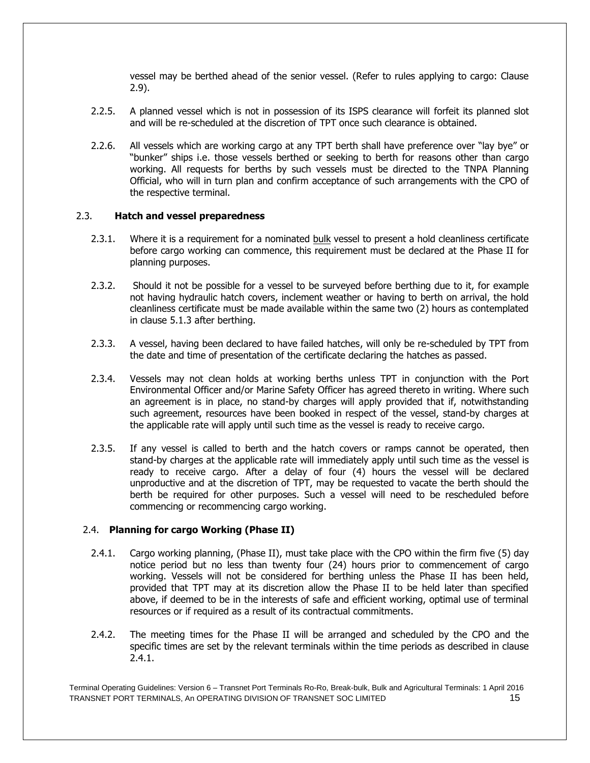vessel may be berthed ahead of the senior vessel. (Refer to rules applying to cargo: Clause 2.9).

- 2.2.5. A planned vessel which is not in possession of its ISPS clearance will forfeit its planned slot and will be re-scheduled at the discretion of TPT once such clearance is obtained.
- 2.2.6. All vessels which are working cargo at any TPT berth shall have preference over "lay bye" or "bunker" ships i.e. those vessels berthed or seeking to berth for reasons other than cargo working. All requests for berths by such vessels must be directed to the TNPA Planning Official, who will in turn plan and confirm acceptance of such arrangements with the CPO of the respective terminal.

#### 2.3. **Hatch and vessel preparedness**

- 2.3.1. Where it is a requirement for a nominated bulk vessel to present a hold cleanliness certificate before cargo working can commence, this requirement must be declared at the Phase II for planning purposes.
- 2.3.2. Should it not be possible for a vessel to be surveyed before berthing due to it, for example not having hydraulic hatch covers, inclement weather or having to berth on arrival, the hold cleanliness certificate must be made available within the same two (2) hours as contemplated in clause 5.1.3 after berthing.
- 2.3.3. A vessel, having been declared to have failed hatches, will only be re-scheduled by TPT from the date and time of presentation of the certificate declaring the hatches as passed.
- 2.3.4. Vessels may not clean holds at working berths unless TPT in conjunction with the Port Environmental Officer and/or Marine Safety Officer has agreed thereto in writing. Where such an agreement is in place, no stand-by charges will apply provided that if, notwithstanding such agreement, resources have been booked in respect of the vessel, stand-by charges at the applicable rate will apply until such time as the vessel is ready to receive cargo.
- 2.3.5. If any vessel is called to berth and the hatch covers or ramps cannot be operated, then stand-by charges at the applicable rate will immediately apply until such time as the vessel is ready to receive cargo. After a delay of four (4) hours the vessel will be declared unproductive and at the discretion of TPT, may be requested to vacate the berth should the berth be required for other purposes. Such a vessel will need to be rescheduled before commencing or recommencing cargo working.

# 2.4. **Planning for cargo Working (Phase II)**

- 2.4.1. Cargo working planning, (Phase II), must take place with the CPO within the firm five (5) day notice period but no less than twenty four (24) hours prior to commencement of cargo working. Vessels will not be considered for berthing unless the Phase II has been held, provided that TPT may at its discretion allow the Phase II to be held later than specified above, if deemed to be in the interests of safe and efficient working, optimal use of terminal resources or if required as a result of its contractual commitments.
- 2.4.2. The meeting times for the Phase II will be arranged and scheduled by the CPO and the specific times are set by the relevant terminals within the time periods as described in clause 2.4.1.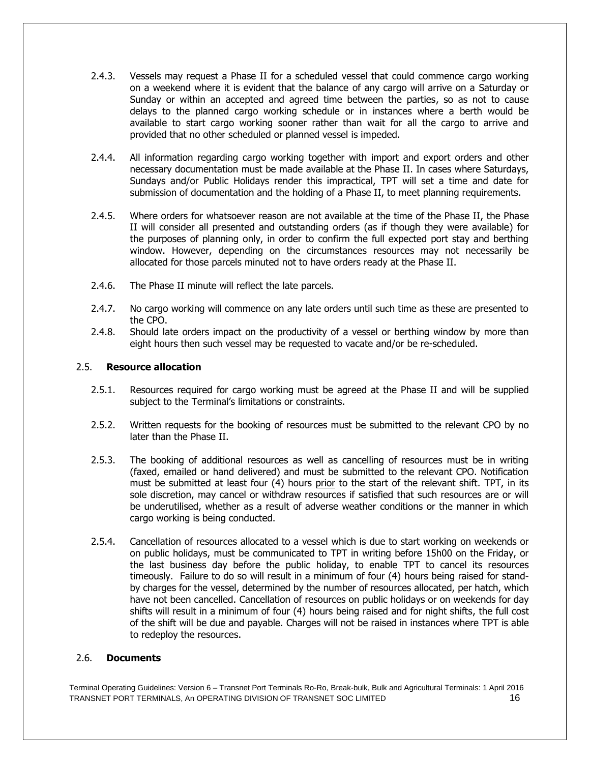- 2.4.3. Vessels may request a Phase II for a scheduled vessel that could commence cargo working on a weekend where it is evident that the balance of any cargo will arrive on a Saturday or Sunday or within an accepted and agreed time between the parties, so as not to cause delays to the planned cargo working schedule or in instances where a berth would be available to start cargo working sooner rather than wait for all the cargo to arrive and provided that no other scheduled or planned vessel is impeded.
- 2.4.4. All information regarding cargo working together with import and export orders and other necessary documentation must be made available at the Phase II. In cases where Saturdays, Sundays and/or Public Holidays render this impractical, TPT will set a time and date for submission of documentation and the holding of a Phase II, to meet planning requirements.
- 2.4.5. Where orders for whatsoever reason are not available at the time of the Phase II, the Phase II will consider all presented and outstanding orders (as if though they were available) for the purposes of planning only, in order to confirm the full expected port stay and berthing window. However, depending on the circumstances resources may not necessarily be allocated for those parcels minuted not to have orders ready at the Phase II.
- 2.4.6. The Phase II minute will reflect the late parcels.
- 2.4.7. No cargo working will commence on any late orders until such time as these are presented to the CPO.
- 2.4.8. Should late orders impact on the productivity of a vessel or berthing window by more than eight hours then such vessel may be requested to vacate and/or be re-scheduled.

# 2.5. **Resource allocation**

- 2.5.1. Resources required for cargo working must be agreed at the Phase II and will be supplied subject to the Terminal's limitations or constraints.
- 2.5.2. Written requests for the booking of resources must be submitted to the relevant CPO by no later than the Phase II.
- 2.5.3. The booking of additional resources as well as cancelling of resources must be in writing (faxed, emailed or hand delivered) and must be submitted to the relevant CPO. Notification must be submitted at least four (4) hours prior to the start of the relevant shift. TPT, in its sole discretion, may cancel or withdraw resources if satisfied that such resources are or will be underutilised, whether as a result of adverse weather conditions or the manner in which cargo working is being conducted.
- 2.5.4. Cancellation of resources allocated to a vessel which is due to start working on weekends or on public holidays, must be communicated to TPT in writing before 15h00 on the Friday, or the last business day before the public holiday, to enable TPT to cancel its resources timeously. Failure to do so will result in a minimum of four (4) hours being raised for standby charges for the vessel, determined by the number of resources allocated, per hatch, which have not been cancelled. Cancellation of resources on public holidays or on weekends for day shifts will result in a minimum of four (4) hours being raised and for night shifts, the full cost of the shift will be due and payable. Charges will not be raised in instances where TPT is able to redeploy the resources.

#### 2.6. **Documents**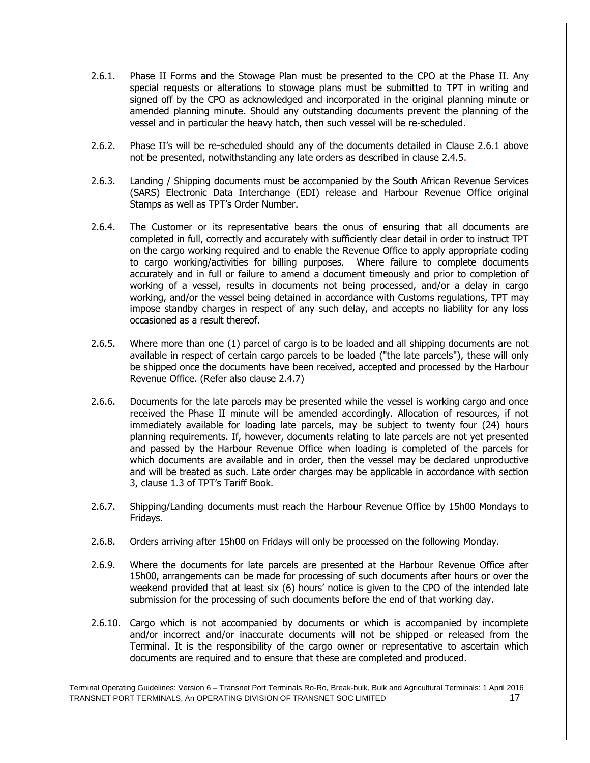- 2.6.1. Phase II Forms and the Stowage Plan must be presented to the CPO at the Phase II. Any special requests or alterations to stowage plans must be submitted to TPT in writing and signed off by the CPO as acknowledged and incorporated in the original planning minute or amended planning minute. Should any outstanding documents prevent the planning of the vessel and in particular the heavy hatch, then such vessel will be re-scheduled.
- 2.6.2. Phase II's will be re-scheduled should any of the documents detailed in Clause 2.6.1 above not be presented, notwithstanding any late orders as described in clause 2.4.5.
- 2.6.3. Landing / Shipping documents must be accompanied by the South African Revenue Services (SARS) Electronic Data Interchange (EDI) release and Harbour Revenue Office original Stamps as well as TPT's Order Number.
- 2.6.4. The Customer or its representative bears the onus of ensuring that all documents are completed in full, correctly and accurately with sufficiently clear detail in order to instruct TPT on the cargo working required and to enable the Revenue Office to apply appropriate coding to cargo working/activities for billing purposes. Where failure to complete documents accurately and in full or failure to amend a document timeously and prior to completion of working of a vessel, results in documents not being processed, and/or a delay in cargo working, and/or the vessel being detained in accordance with Customs regulations, TPT may impose standby charges in respect of any such delay, and accepts no liability for any loss occasioned as a result thereof.
- 2.6.5. Where more than one (1) parcel of cargo is to be loaded and all shipping documents are not available in respect of certain cargo parcels to be loaded ("the late parcels"), these will only be shipped once the documents have been received, accepted and processed by the Harbour Revenue Office. (Refer also clause 2.4.7)
- 2.6.6. Documents for the late parcels may be presented while the vessel is working cargo and once received the Phase II minute will be amended accordingly. Allocation of resources, if not immediately available for loading late parcels, may be subject to twenty four (24) hours planning requirements. If, however, documents relating to late parcels are not yet presented and passed by the Harbour Revenue Office when loading is completed of the parcels for which documents are available and in order, then the vessel may be declared unproductive and will be treated as such. Late order charges may be applicable in accordance with section 3, clause 1.3 of TPT's Tariff Book.
- 2.6.7. Shipping/Landing documents must reach the Harbour Revenue Office by 15h00 Mondays to Fridays.
- 2.6.8. Orders arriving after 15h00 on Fridays will only be processed on the following Monday.
- 2.6.9. Where the documents for late parcels are presented at the Harbour Revenue Office after 15h00, arrangements can be made for processing of such documents after hours or over the weekend provided that at least six (6) hours' notice is given to the CPO of the intended late submission for the processing of such documents before the end of that working day.
- 2.6.10. Cargo which is not accompanied by documents or which is accompanied by incomplete and/or incorrect and/or inaccurate documents will not be shipped or released from the Terminal. It is the responsibility of the cargo owner or representative to ascertain which documents are required and to ensure that these are completed and produced.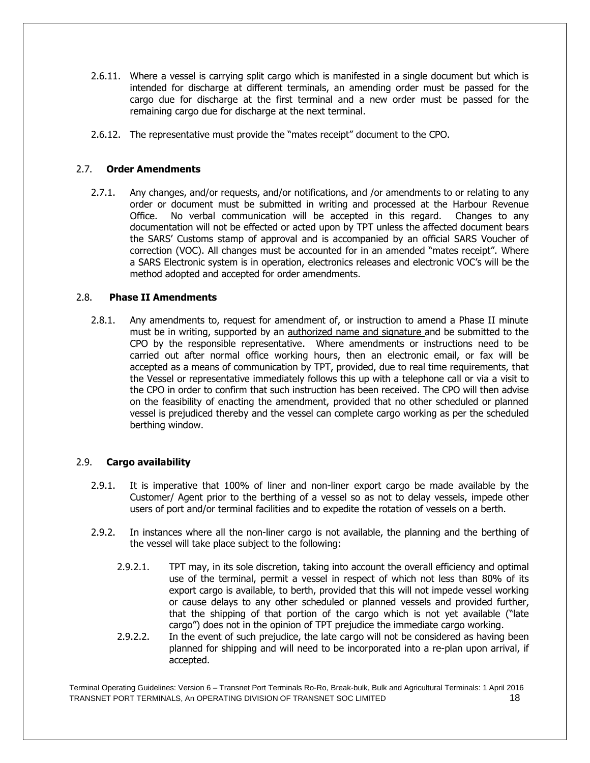- 2.6.11. Where a vessel is carrying split cargo which is manifested in a single document but which is intended for discharge at different terminals, an amending order must be passed for the cargo due for discharge at the first terminal and a new order must be passed for the remaining cargo due for discharge at the next terminal.
- 2.6.12. The representative must provide the "mates receipt" document to the CPO.

# 2.7. **Order Amendments**

2.7.1. Any changes, and/or requests, and/or notifications, and /or amendments to or relating to any order or document must be submitted in writing and processed at the Harbour Revenue Office. No verbal communication will be accepted in this regard. Changes to any documentation will not be effected or acted upon by TPT unless the affected document bears the SARS' Customs stamp of approval and is accompanied by an official SARS Voucher of correction (VOC). All changes must be accounted for in an amended "mates receipt". Where a SARS Electronic system is in operation, electronics releases and electronic VOC's will be the method adopted and accepted for order amendments.

# 2.8. **Phase II Amendments**

2.8.1. Any amendments to, request for amendment of, or instruction to amend a Phase II minute must be in writing, supported by an authorized name and signature and be submitted to the CPO by the responsible representative. Where amendments or instructions need to be carried out after normal office working hours, then an electronic email, or fax will be accepted as a means of communication by TPT, provided, due to real time requirements, that the Vessel or representative immediately follows this up with a telephone call or via a visit to the CPO in order to confirm that such instruction has been received. The CPO will then advise on the feasibility of enacting the amendment, provided that no other scheduled or planned vessel is prejudiced thereby and the vessel can complete cargo working as per the scheduled berthing window.

# 2.9. **Cargo availability**

- 2.9.1. It is imperative that 100% of liner and non-liner export cargo be made available by the Customer/ Agent prior to the berthing of a vessel so as not to delay vessels, impede other users of port and/or terminal facilities and to expedite the rotation of vessels on a berth.
- 2.9.2. In instances where all the non-liner cargo is not available, the planning and the berthing of the vessel will take place subject to the following:
	- 2.9.2.1. TPT may, in its sole discretion, taking into account the overall efficiency and optimal use of the terminal, permit a vessel in respect of which not less than 80% of its export cargo is available, to berth, provided that this will not impede vessel working or cause delays to any other scheduled or planned vessels and provided further, that the shipping of that portion of the cargo which is not yet available ("late cargo") does not in the opinion of TPT prejudice the immediate cargo working.
	- 2.9.2.2. In the event of such prejudice, the late cargo will not be considered as having been planned for shipping and will need to be incorporated into a re-plan upon arrival, if accepted.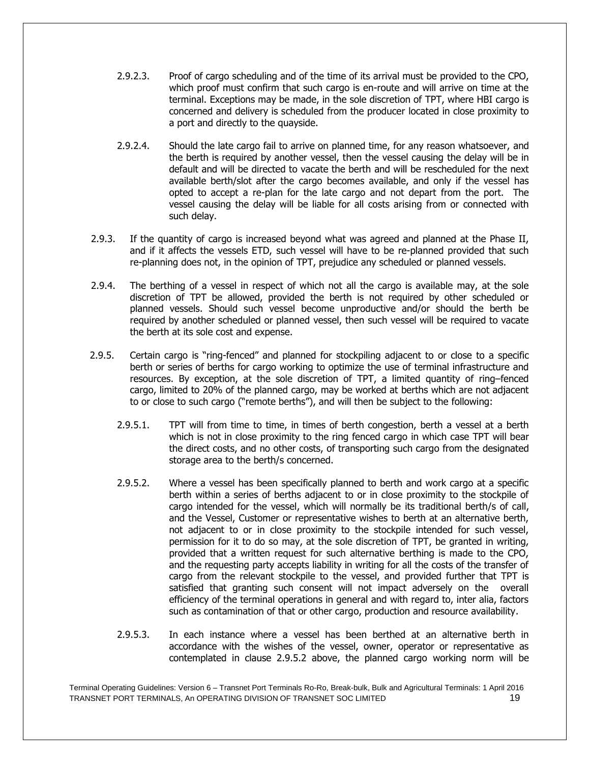- 2.9.2.3. Proof of cargo scheduling and of the time of its arrival must be provided to the CPO. which proof must confirm that such cargo is en-route and will arrive on time at the terminal. Exceptions may be made, in the sole discretion of TPT, where HBI cargo is concerned and delivery is scheduled from the producer located in close proximity to a port and directly to the quayside.
- 2.9.2.4. Should the late cargo fail to arrive on planned time, for any reason whatsoever, and the berth is required by another vessel, then the vessel causing the delay will be in default and will be directed to vacate the berth and will be rescheduled for the next available berth/slot after the cargo becomes available, and only if the vessel has opted to accept a re-plan for the late cargo and not depart from the port. The vessel causing the delay will be liable for all costs arising from or connected with such delay.
- 2.9.3. If the quantity of cargo is increased beyond what was agreed and planned at the Phase II, and if it affects the vessels ETD, such vessel will have to be re-planned provided that such re-planning does not, in the opinion of TPT, prejudice any scheduled or planned vessels.
- 2.9.4. The berthing of a vessel in respect of which not all the cargo is available may, at the sole discretion of TPT be allowed, provided the berth is not required by other scheduled or planned vessels. Should such vessel become unproductive and/or should the berth be required by another scheduled or planned vessel, then such vessel will be required to vacate the berth at its sole cost and expense.
- 2.9.5. Certain cargo is "ring-fenced" and planned for stockpiling adjacent to or close to a specific berth or series of berths for cargo working to optimize the use of terminal infrastructure and resources. By exception, at the sole discretion of TPT, a limited quantity of ring–fenced cargo, limited to 20% of the planned cargo, may be worked at berths which are not adjacent to or close to such cargo ("remote berths"), and will then be subject to the following:
	- 2.9.5.1. TPT will from time to time, in times of berth congestion, berth a vessel at a berth which is not in close proximity to the ring fenced cargo in which case TPT will bear the direct costs, and no other costs, of transporting such cargo from the designated storage area to the berth/s concerned.
	- 2.9.5.2. Where a vessel has been specifically planned to berth and work cargo at a specific berth within a series of berths adjacent to or in close proximity to the stockpile of cargo intended for the vessel, which will normally be its traditional berth/s of call, and the Vessel, Customer or representative wishes to berth at an alternative berth, not adjacent to or in close proximity to the stockpile intended for such vessel, permission for it to do so may, at the sole discretion of TPT, be granted in writing, provided that a written request for such alternative berthing is made to the CPO, and the requesting party accepts liability in writing for all the costs of the transfer of cargo from the relevant stockpile to the vessel, and provided further that TPT is satisfied that granting such consent will not impact adversely on the overall efficiency of the terminal operations in general and with regard to, inter alia, factors such as contamination of that or other cargo, production and resource availability.
	- 2.9.5.3. In each instance where a vessel has been berthed at an alternative berth in accordance with the wishes of the vessel, owner, operator or representative as contemplated in clause 2.9.5.2 above, the planned cargo working norm will be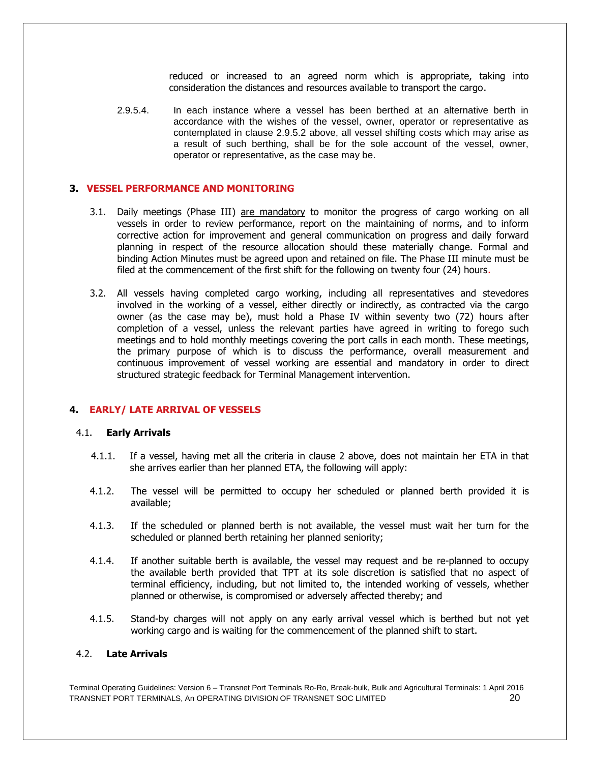reduced or increased to an agreed norm which is appropriate, taking into consideration the distances and resources available to transport the cargo.

2.9.5.4. In each instance where a vessel has been berthed at an alternative berth in accordance with the wishes of the vessel, owner, operator or representative as contemplated in clause 2.9.5.2 above, all vessel shifting costs which may arise as a result of such berthing, shall be for the sole account of the vessel, owner, operator or representative, as the case may be.

#### **3. VESSEL PERFORMANCE AND MONITORING**

- 3.1. Daily meetings (Phase III) are mandatory to monitor the progress of cargo working on all vessels in order to review performance, report on the maintaining of norms, and to inform corrective action for improvement and general communication on progress and daily forward planning in respect of the resource allocation should these materially change. Formal and binding Action Minutes must be agreed upon and retained on file. The Phase III minute must be filed at the commencement of the first shift for the following on twenty four (24) hours.
- 3.2. All vessels having completed cargo working, including all representatives and stevedores involved in the working of a vessel, either directly or indirectly, as contracted via the cargo owner (as the case may be), must hold a Phase IV within seventy two (72) hours after completion of a vessel, unless the relevant parties have agreed in writing to forego such meetings and to hold monthly meetings covering the port calls in each month. These meetings, the primary purpose of which is to discuss the performance, overall measurement and continuous improvement of vessel working are essential and mandatory in order to direct structured strategic feedback for Terminal Management intervention.

#### **4. EARLY/ LATE ARRIVAL OF VESSELS**

#### 4.1. **Early Arrivals**

- 4.1.1. If a vessel, having met all the criteria in clause 2 above, does not maintain her ETA in that she arrives earlier than her planned ETA, the following will apply:
- 4.1.2. The vessel will be permitted to occupy her scheduled or planned berth provided it is available;
- 4.1.3. If the scheduled or planned berth is not available, the vessel must wait her turn for the scheduled or planned berth retaining her planned seniority;
- 4.1.4. If another suitable berth is available, the vessel may request and be re-planned to occupy the available berth provided that TPT at its sole discretion is satisfied that no aspect of terminal efficiency, including, but not limited to, the intended working of vessels, whether planned or otherwise, is compromised or adversely affected thereby; and
- 4.1.5. Stand-by charges will not apply on any early arrival vessel which is berthed but not yet working cargo and is waiting for the commencement of the planned shift to start.

#### 4.2. **Late Arrivals**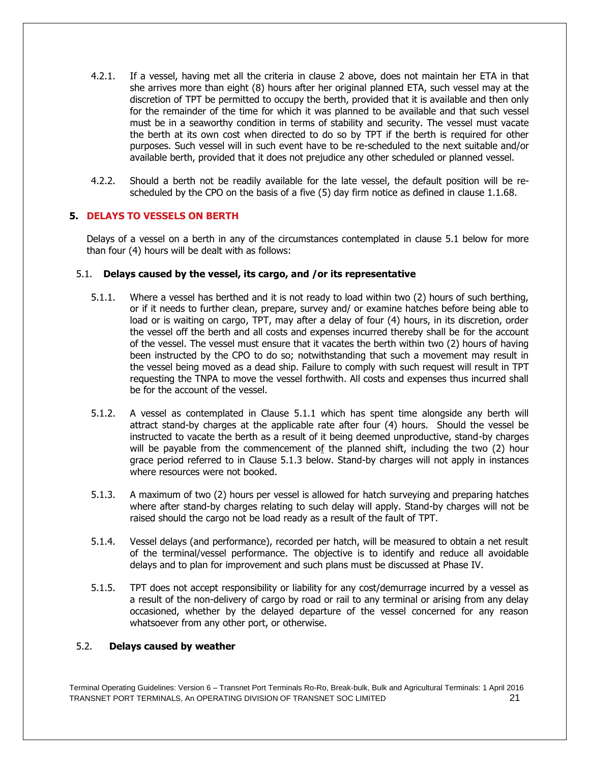- 4.2.1. If a vessel, having met all the criteria in clause 2 above, does not maintain her ETA in that she arrives more than eight (8) hours after her original planned ETA, such vessel may at the discretion of TPT be permitted to occupy the berth, provided that it is available and then only for the remainder of the time for which it was planned to be available and that such vessel must be in a seaworthy condition in terms of stability and security. The vessel must vacate the berth at its own cost when directed to do so by TPT if the berth is required for other purposes. Such vessel will in such event have to be re-scheduled to the next suitable and/or available berth, provided that it does not prejudice any other scheduled or planned vessel.
- 4.2.2. Should a berth not be readily available for the late vessel, the default position will be rescheduled by the CPO on the basis of a five (5) day firm notice as defined in clause 1.1.68.

# **5. DELAYS TO VESSELS ON BERTH**

Delays of a vessel on a berth in any of the circumstances contemplated in clause 5.1 below for more than four (4) hours will be dealt with as follows:

#### 5.1. **Delays caused by the vessel, its cargo, and /or its representative**

- 5.1.1. Where a vessel has berthed and it is not ready to load within two (2) hours of such berthing, or if it needs to further clean, prepare, survey and/ or examine hatches before being able to load or is waiting on cargo, TPT, may after a delay of four (4) hours, in its discretion, order the vessel off the berth and all costs and expenses incurred thereby shall be for the account of the vessel. The vessel must ensure that it vacates the berth within two (2) hours of having been instructed by the CPO to do so; notwithstanding that such a movement may result in the vessel being moved as a dead ship. Failure to comply with such request will result in TPT requesting the TNPA to move the vessel forthwith. All costs and expenses thus incurred shall be for the account of the vessel.
- 5.1.2. A vessel as contemplated in Clause 5.1.1 which has spent time alongside any berth will attract stand-by charges at the applicable rate after four (4) hours. Should the vessel be instructed to vacate the berth as a result of it being deemed unproductive, stand-by charges will be payable from the commencement of the planned shift, including the two  $(2)$  hour grace period referred to in Clause 5.1.3 below. Stand-by charges will not apply in instances where resources were not booked.
- 5.1.3. A maximum of two (2) hours per vessel is allowed for hatch surveying and preparing hatches where after stand-by charges relating to such delay will apply. Stand-by charges will not be raised should the cargo not be load ready as a result of the fault of TPT.
- 5.1.4. Vessel delays (and performance), recorded per hatch, will be measured to obtain a net result of the terminal/vessel performance. The objective is to identify and reduce all avoidable delays and to plan for improvement and such plans must be discussed at Phase IV.
- 5.1.5. TPT does not accept responsibility or liability for any cost/demurrage incurred by a vessel as a result of the non-delivery of cargo by road or rail to any terminal or arising from any delay occasioned, whether by the delayed departure of the vessel concerned for any reason whatsoever from any other port, or otherwise.

#### 5.2. **Delays caused by weather**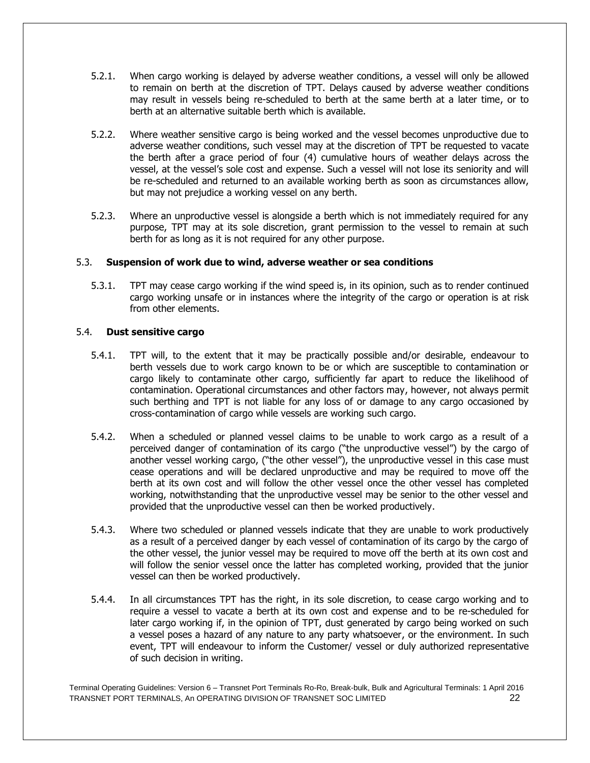- 5.2.1. When cargo working is delayed by adverse weather conditions, a vessel will only be allowed to remain on berth at the discretion of TPT. Delays caused by adverse weather conditions may result in vessels being re-scheduled to berth at the same berth at a later time, or to berth at an alternative suitable berth which is available.
- 5.2.2. Where weather sensitive cargo is being worked and the vessel becomes unproductive due to adverse weather conditions, such vessel may at the discretion of TPT be requested to vacate the berth after a grace period of four (4) cumulative hours of weather delays across the vessel, at the vessel's sole cost and expense. Such a vessel will not lose its seniority and will be re-scheduled and returned to an available working berth as soon as circumstances allow, but may not prejudice a working vessel on any berth.
- 5.2.3. Where an unproductive vessel is alongside a berth which is not immediately required for any purpose, TPT may at its sole discretion, grant permission to the vessel to remain at such berth for as long as it is not required for any other purpose.

# 5.3. **Suspension of work due to wind, adverse weather or sea conditions**

5.3.1. TPT may cease cargo working if the wind speed is, in its opinion, such as to render continued cargo working unsafe or in instances where the integrity of the cargo or operation is at risk from other elements.

# 5.4. **Dust sensitive cargo**

- 5.4.1. TPT will, to the extent that it may be practically possible and/or desirable, endeavour to berth vessels due to work cargo known to be or which are susceptible to contamination or cargo likely to contaminate other cargo, sufficiently far apart to reduce the likelihood of contamination. Operational circumstances and other factors may, however, not always permit such berthing and TPT is not liable for any loss of or damage to any cargo occasioned by cross-contamination of cargo while vessels are working such cargo.
- 5.4.2. When a scheduled or planned vessel claims to be unable to work cargo as a result of a perceived danger of contamination of its cargo ("the unproductive vessel") by the cargo of another vessel working cargo, ("the other vessel"), the unproductive vessel in this case must cease operations and will be declared unproductive and may be required to move off the berth at its own cost and will follow the other vessel once the other vessel has completed working, notwithstanding that the unproductive vessel may be senior to the other vessel and provided that the unproductive vessel can then be worked productively.
- 5.4.3. Where two scheduled or planned vessels indicate that they are unable to work productively as a result of a perceived danger by each vessel of contamination of its cargo by the cargo of the other vessel, the junior vessel may be required to move off the berth at its own cost and will follow the senior vessel once the latter has completed working, provided that the junior vessel can then be worked productively.
- 5.4.4. In all circumstances TPT has the right, in its sole discretion, to cease cargo working and to require a vessel to vacate a berth at its own cost and expense and to be re-scheduled for later cargo working if, in the opinion of TPT, dust generated by cargo being worked on such a vessel poses a hazard of any nature to any party whatsoever, or the environment. In such event, TPT will endeavour to inform the Customer/ vessel or duly authorized representative of such decision in writing.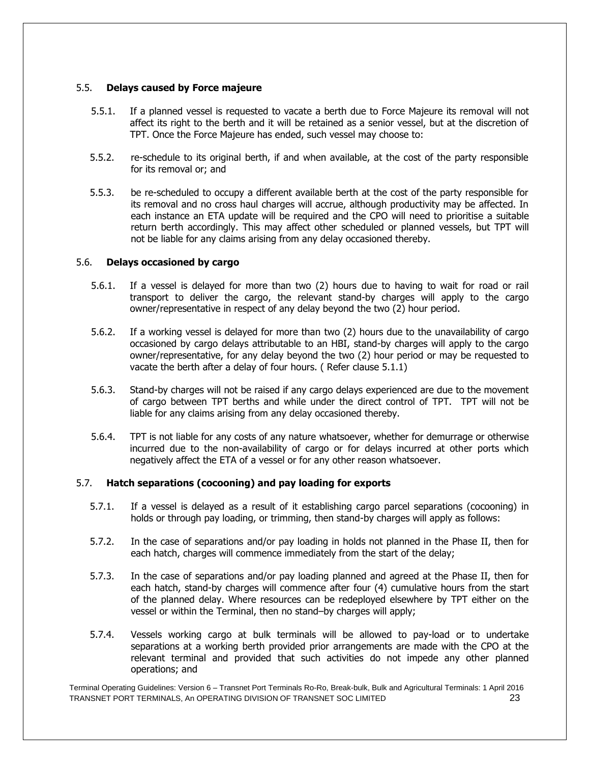# 5.5. **Delays caused by Force majeure**

- 5.5.1. If a planned vessel is requested to vacate a berth due to Force Majeure its removal will not affect its right to the berth and it will be retained as a senior vessel, but at the discretion of TPT. Once the Force Majeure has ended, such vessel may choose to:
- 5.5.2. re-schedule to its original berth, if and when available, at the cost of the party responsible for its removal or; and
- 5.5.3. be re-scheduled to occupy a different available berth at the cost of the party responsible for its removal and no cross haul charges will accrue, although productivity may be affected. In each instance an ETA update will be required and the CPO will need to prioritise a suitable return berth accordingly. This may affect other scheduled or planned vessels, but TPT will not be liable for any claims arising from any delay occasioned thereby.

# 5.6. **Delays occasioned by cargo**

- 5.6.1. If a vessel is delayed for more than two (2) hours due to having to wait for road or rail transport to deliver the cargo, the relevant stand-by charges will apply to the cargo owner/representative in respect of any delay beyond the two (2) hour period.
- 5.6.2. If a working vessel is delayed for more than two (2) hours due to the unavailability of cargo occasioned by cargo delays attributable to an HBI, stand-by charges will apply to the cargo owner/representative, for any delay beyond the two (2) hour period or may be requested to vacate the berth after a delay of four hours. ( Refer clause 5.1.1)
- 5.6.3. Stand-by charges will not be raised if any cargo delays experienced are due to the movement of cargo between TPT berths and while under the direct control of TPT. TPT will not be liable for any claims arising from any delay occasioned thereby.
- 5.6.4. TPT is not liable for any costs of any nature whatsoever, whether for demurrage or otherwise incurred due to the non-availability of cargo or for delays incurred at other ports which negatively affect the ETA of a vessel or for any other reason whatsoever.

#### 5.7. **Hatch separations (cocooning) and pay loading for exports**

- 5.7.1. If a vessel is delayed as a result of it establishing cargo parcel separations (cocooning) in holds or through pay loading, or trimming, then stand-by charges will apply as follows:
- 5.7.2. In the case of separations and/or pay loading in holds not planned in the Phase II, then for each hatch, charges will commence immediately from the start of the delay;
- 5.7.3. In the case of separations and/or pay loading planned and agreed at the Phase II, then for each hatch, stand-by charges will commence after four (4) cumulative hours from the start of the planned delay. Where resources can be redeployed elsewhere by TPT either on the vessel or within the Terminal, then no stand–by charges will apply;
- 5.7.4. Vessels working cargo at bulk terminals will be allowed to pay-load or to undertake separations at a working berth provided prior arrangements are made with the CPO at the relevant terminal and provided that such activities do not impede any other planned operations; and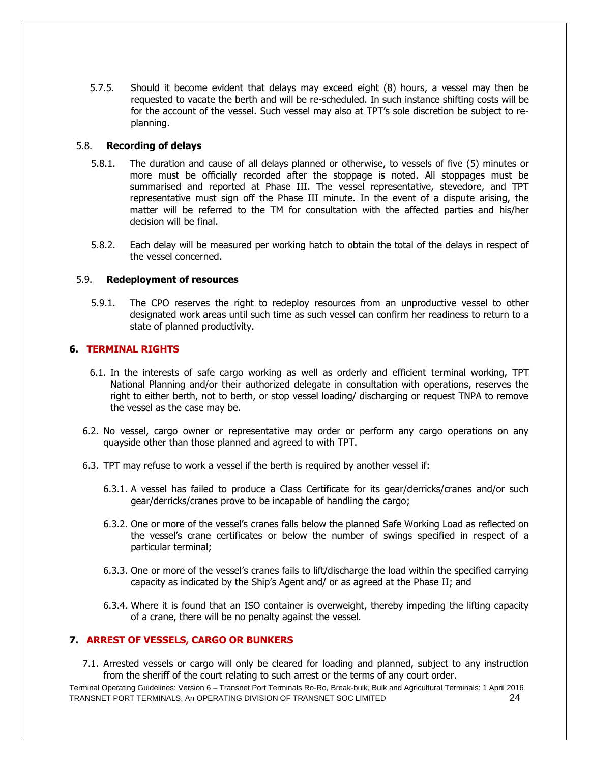5.7.5. Should it become evident that delays may exceed eight (8) hours, a vessel may then be requested to vacate the berth and will be re-scheduled. In such instance shifting costs will be for the account of the vessel. Such vessel may also at TPT's sole discretion be subject to replanning.

#### 5.8. **Recording of delays**

- 5.8.1. The duration and cause of all delays planned or otherwise, to vessels of five (5) minutes or more must be officially recorded after the stoppage is noted. All stoppages must be summarised and reported at Phase III. The vessel representative, stevedore, and TPT representative must sign off the Phase III minute. In the event of a dispute arising, the matter will be referred to the TM for consultation with the affected parties and his/her decision will be final.
- 5.8.2. Each delay will be measured per working hatch to obtain the total of the delays in respect of the vessel concerned.

# 5.9. **Redeployment of resources**

5.9.1. The CPO reserves the right to redeploy resources from an unproductive vessel to other designated work areas until such time as such vessel can confirm her readiness to return to a state of planned productivity.

# **6. TERMINAL RIGHTS**

- 6.1. In the interests of safe cargo working as well as orderly and efficient terminal working, TPT National Planning and/or their authorized delegate in consultation with operations, reserves the right to either berth, not to berth, or stop vessel loading/ discharging or request TNPA to remove the vessel as the case may be.
- 6.2. No vessel, cargo owner or representative may order or perform any cargo operations on any quayside other than those planned and agreed to with TPT.
- 6.3. TPT may refuse to work a vessel if the berth is required by another vessel if:
	- 6.3.1. A vessel has failed to produce a Class Certificate for its gear/derricks/cranes and/or such gear/derricks/cranes prove to be incapable of handling the cargo;
	- 6.3.2. One or more of the vessel's cranes falls below the planned Safe Working Load as reflected on the vessel's crane certificates or below the number of swings specified in respect of a particular terminal;
	- 6.3.3. One or more of the vessel's cranes fails to lift/discharge the load within the specified carrying capacity as indicated by the Ship's Agent and/ or as agreed at the Phase II; and
	- 6.3.4. Where it is found that an ISO container is overweight, thereby impeding the lifting capacity of a crane, there will be no penalty against the vessel.

#### **7. ARREST OF VESSELS, CARGO OR BUNKERS**

7.1. Arrested vessels or cargo will only be cleared for loading and planned, subject to any instruction from the sheriff of the court relating to such arrest or the terms of any court order.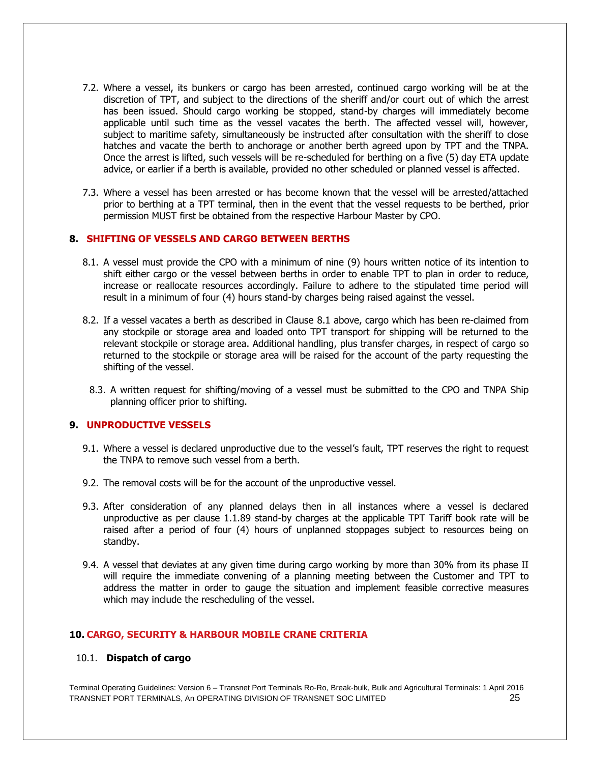- 7.2. Where a vessel, its bunkers or cargo has been arrested, continued cargo working will be at the discretion of TPT, and subject to the directions of the sheriff and/or court out of which the arrest has been issued. Should cargo working be stopped, stand-by charges will immediately become applicable until such time as the vessel vacates the berth. The affected vessel will, however, subject to maritime safety, simultaneously be instructed after consultation with the sheriff to close hatches and vacate the berth to anchorage or another berth agreed upon by TPT and the TNPA. Once the arrest is lifted, such vessels will be re-scheduled for berthing on a five (5) day ETA update advice, or earlier if a berth is available, provided no other scheduled or planned vessel is affected.
- 7.3. Where a vessel has been arrested or has become known that the vessel will be arrested/attached prior to berthing at a TPT terminal, then in the event that the vessel requests to be berthed, prior permission MUST first be obtained from the respective Harbour Master by CPO.

#### **8. SHIFTING OF VESSELS AND CARGO BETWEEN BERTHS**

- 8.1. A vessel must provide the CPO with a minimum of nine (9) hours written notice of its intention to shift either cargo or the vessel between berths in order to enable TPT to plan in order to reduce, increase or reallocate resources accordingly. Failure to adhere to the stipulated time period will result in a minimum of four (4) hours stand-by charges being raised against the vessel.
- 8.2. If a vessel vacates a berth as described in Clause 8.1 above, cargo which has been re-claimed from any stockpile or storage area and loaded onto TPT transport for shipping will be returned to the relevant stockpile or storage area. Additional handling, plus transfer charges, in respect of cargo so returned to the stockpile or storage area will be raised for the account of the party requesting the shifting of the vessel.
- 8.3. A written request for shifting/moving of a vessel must be submitted to the CPO and TNPA Ship planning officer prior to shifting.

#### **9. UNPRODUCTIVE VESSELS**

- 9.1. Where a vessel is declared unproductive due to the vessel's fault, TPT reserves the right to request the TNPA to remove such vessel from a berth.
- 9.2. The removal costs will be for the account of the unproductive vessel.
- 9.3. After consideration of any planned delays then in all instances where a vessel is declared unproductive as per clause 1.1.89 stand-by charges at the applicable TPT Tariff book rate will be raised after a period of four (4) hours of unplanned stoppages subject to resources being on standby.
- 9.4. A vessel that deviates at any given time during cargo working by more than 30% from its phase II will require the immediate convening of a planning meeting between the Customer and TPT to address the matter in order to gauge the situation and implement feasible corrective measures which may include the rescheduling of the vessel.

#### **10. CARGO, SECURITY & HARBOUR MOBILE CRANE CRITERIA**

#### 10.1. **Dispatch of cargo**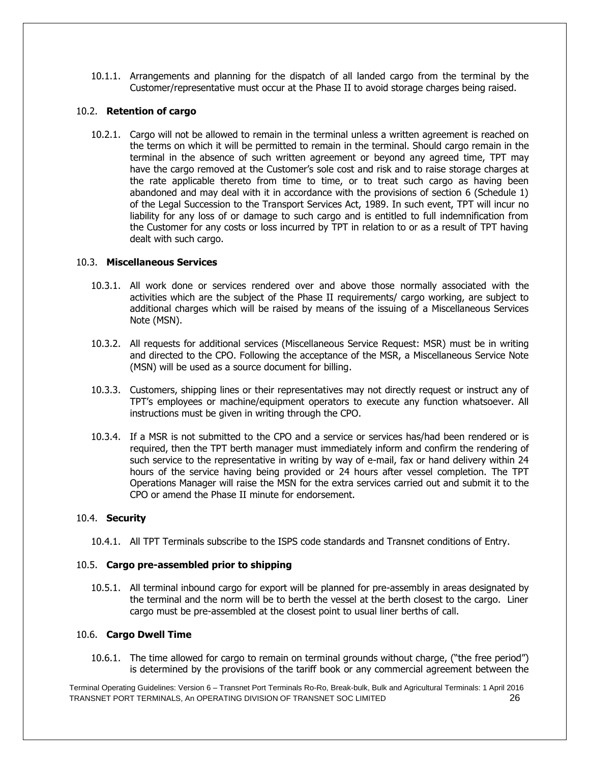10.1.1. Arrangements and planning for the dispatch of all landed cargo from the terminal by the Customer/representative must occur at the Phase II to avoid storage charges being raised.

# 10.2. **Retention of cargo**

10.2.1. Cargo will not be allowed to remain in the terminal unless a written agreement is reached on the terms on which it will be permitted to remain in the terminal. Should cargo remain in the terminal in the absence of such written agreement or beyond any agreed time, TPT may have the cargo removed at the Customer's sole cost and risk and to raise storage charges at the rate applicable thereto from time to time, or to treat such cargo as having been abandoned and may deal with it in accordance with the provisions of section 6 (Schedule 1) of the Legal Succession to the Transport Services Act, 1989. In such event, TPT will incur no liability for any loss of or damage to such cargo and is entitled to full indemnification from the Customer for any costs or loss incurred by TPT in relation to or as a result of TPT having dealt with such cargo.

# 10.3. **Miscellaneous Services**

- 10.3.1. All work done or services rendered over and above those normally associated with the activities which are the subject of the Phase II requirements/ cargo working, are subject to additional charges which will be raised by means of the issuing of a Miscellaneous Services Note (MSN).
- 10.3.2. All requests for additional services (Miscellaneous Service Request: MSR) must be in writing and directed to the CPO. Following the acceptance of the MSR, a Miscellaneous Service Note (MSN) will be used as a source document for billing.
- 10.3.3. Customers, shipping lines or their representatives may not directly request or instruct any of TPT's employees or machine/equipment operators to execute any function whatsoever. All instructions must be given in writing through the CPO.
- 10.3.4. If a MSR is not submitted to the CPO and a service or services has/had been rendered or is required, then the TPT berth manager must immediately inform and confirm the rendering of such service to the representative in writing by way of e-mail, fax or hand delivery within 24 hours of the service having being provided or 24 hours after vessel completion. The TPT Operations Manager will raise the MSN for the extra services carried out and submit it to the CPO or amend the Phase II minute for endorsement.

#### 10.4. **Security**

10.4.1. All TPT Terminals subscribe to the ISPS code standards and Transnet conditions of Entry.

#### 10.5. **Cargo pre-assembled prior to shipping**

10.5.1. All terminal inbound cargo for export will be planned for pre-assembly in areas designated by the terminal and the norm will be to berth the vessel at the berth closest to the cargo. Liner cargo must be pre-assembled at the closest point to usual liner berths of call.

#### 10.6. **Cargo Dwell Time**

10.6.1. The time allowed for cargo to remain on terminal grounds without charge, ("the free period") is determined by the provisions of the tariff book or any commercial agreement between the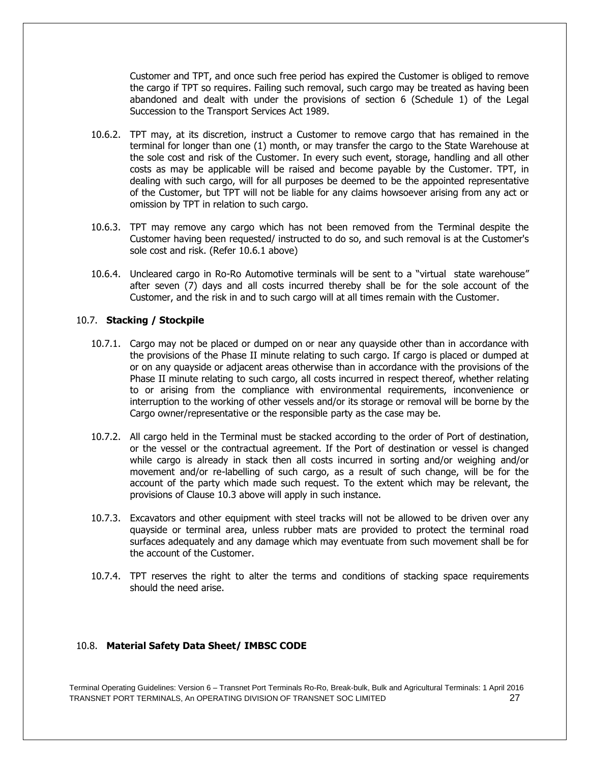Customer and TPT, and once such free period has expired the Customer is obliged to remove the cargo if TPT so requires. Failing such removal, such cargo may be treated as having been abandoned and dealt with under the provisions of section 6 (Schedule 1) of the Legal Succession to the Transport Services Act 1989.

- 10.6.2. TPT may, at its discretion, instruct a Customer to remove cargo that has remained in the terminal for longer than one (1) month, or may transfer the cargo to the State Warehouse at the sole cost and risk of the Customer. In every such event, storage, handling and all other costs as may be applicable will be raised and become payable by the Customer. TPT, in dealing with such cargo, will for all purposes be deemed to be the appointed representative of the Customer, but TPT will not be liable for any claims howsoever arising from any act or omission by TPT in relation to such cargo.
- 10.6.3. TPT may remove any cargo which has not been removed from the Terminal despite the Customer having been requested/ instructed to do so, and such removal is at the Customer's sole cost and risk. (Refer 10.6.1 above)
- 10.6.4. Uncleared cargo in Ro-Ro Automotive terminals will be sent to a "virtual state warehouse" after seven (7) days and all costs incurred thereby shall be for the sole account of the Customer, and the risk in and to such cargo will at all times remain with the Customer.

# 10.7. **Stacking / Stockpile**

- 10.7.1. Cargo may not be placed or dumped on or near any quayside other than in accordance with the provisions of the Phase II minute relating to such cargo. If cargo is placed or dumped at or on any quayside or adjacent areas otherwise than in accordance with the provisions of the Phase II minute relating to such cargo, all costs incurred in respect thereof, whether relating to or arising from the compliance with environmental requirements, inconvenience or interruption to the working of other vessels and/or its storage or removal will be borne by the Cargo owner/representative or the responsible party as the case may be.
- 10.7.2. All cargo held in the Terminal must be stacked according to the order of Port of destination, or the vessel or the contractual agreement. If the Port of destination or vessel is changed while cargo is already in stack then all costs incurred in sorting and/or weighing and/or movement and/or re-labelling of such cargo, as a result of such change, will be for the account of the party which made such request. To the extent which may be relevant, the provisions of Clause 10.3 above will apply in such instance.
- 10.7.3. Excavators and other equipment with steel tracks will not be allowed to be driven over any quayside or terminal area, unless rubber mats are provided to protect the terminal road surfaces adequately and any damage which may eventuate from such movement shall be for the account of the Customer.
- 10.7.4. TPT reserves the right to alter the terms and conditions of stacking space requirements should the need arise.

# 10.8. **Material Safety Data Sheet/ IMBSC CODE**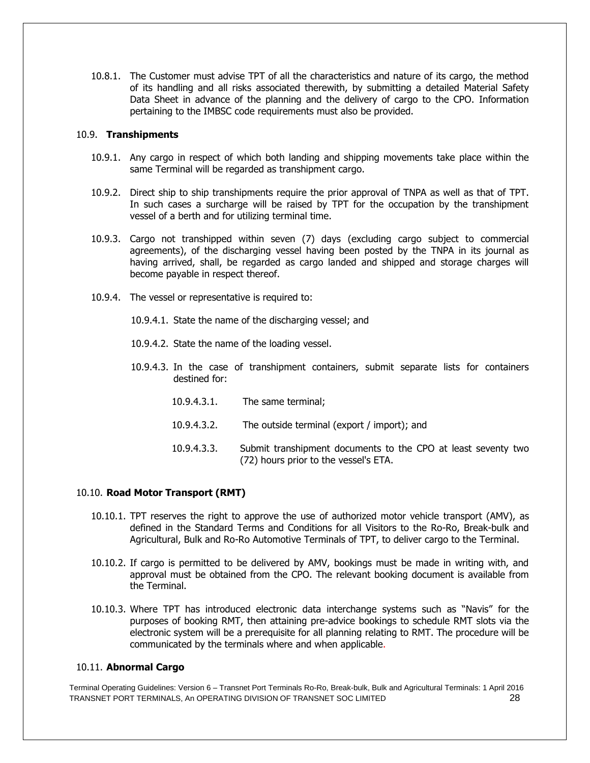10.8.1. The Customer must advise TPT of all the characteristics and nature of its cargo, the method of its handling and all risks associated therewith, by submitting a detailed Material Safety Data Sheet in advance of the planning and the delivery of cargo to the CPO. Information pertaining to the IMBSC code requirements must also be provided.

#### 10.9. **Transhipments**

- 10.9.1. Any cargo in respect of which both landing and shipping movements take place within the same Terminal will be regarded as transhipment cargo.
- 10.9.2. Direct ship to ship transhipments require the prior approval of TNPA as well as that of TPT. In such cases a surcharge will be raised by TPT for the occupation by the transhipment vessel of a berth and for utilizing terminal time.
- 10.9.3. Cargo not transhipped within seven (7) days (excluding cargo subject to commercial agreements), of the discharging vessel having been posted by the TNPA in its journal as having arrived, shall, be regarded as cargo landed and shipped and storage charges will become payable in respect thereof.
- 10.9.4. The vessel or representative is required to:

10.9.4.1. State the name of the discharging vessel; and

- 10.9.4.2. State the name of the loading vessel.
- 10.9.4.3. In the case of transhipment containers, submit separate lists for containers destined for:
	- 10.9.4.3.1. The same terminal;
	- 10.9.4.3.2. The outside terminal (export / import); and
	- 10.9.4.3.3. Submit transhipment documents to the CPO at least seventy two (72) hours prior to the vessel's ETA.

# 10.10. **Road Motor Transport (RMT)**

- 10.10.1. TPT reserves the right to approve the use of authorized motor vehicle transport (AMV), as defined in the Standard Terms and Conditions for all Visitors to the Ro-Ro, Break-bulk and Agricultural, Bulk and Ro-Ro Automotive Terminals of TPT, to deliver cargo to the Terminal.
- 10.10.2. If cargo is permitted to be delivered by AMV, bookings must be made in writing with, and approval must be obtained from the CPO. The relevant booking document is available from the Terminal.
- 10.10.3. Where TPT has introduced electronic data interchange systems such as "Navis" for the purposes of booking RMT, then attaining pre-advice bookings to schedule RMT slots via the electronic system will be a prerequisite for all planning relating to RMT. The procedure will be communicated by the terminals where and when applicable.

#### 10.11. **Abnormal Cargo**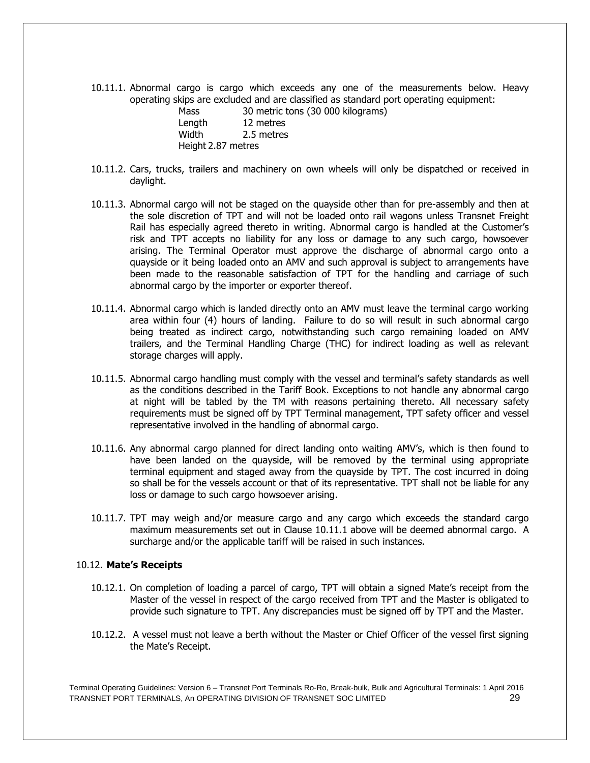10.11.1. Abnormal cargo is cargo which exceeds any one of the measurements below. Heavy operating skips are excluded and are classified as standard port operating equipment:

| Mass               | 30 metric tons (30 000 kilograms) |
|--------------------|-----------------------------------|
| Length             | 12 metres                         |
| Width              | 2.5 metres                        |
| Height 2.87 metres |                                   |

- 10.11.2. Cars, trucks, trailers and machinery on own wheels will only be dispatched or received in daylight.
- 10.11.3. Abnormal cargo will not be staged on the quayside other than for pre-assembly and then at the sole discretion of TPT and will not be loaded onto rail wagons unless Transnet Freight Rail has especially agreed thereto in writing. Abnormal cargo is handled at the Customer's risk and TPT accepts no liability for any loss or damage to any such cargo, howsoever arising. The Terminal Operator must approve the discharge of abnormal cargo onto a quayside or it being loaded onto an AMV and such approval is subject to arrangements have been made to the reasonable satisfaction of TPT for the handling and carriage of such abnormal cargo by the importer or exporter thereof.
- 10.11.4. Abnormal cargo which is landed directly onto an AMV must leave the terminal cargo working area within four (4) hours of landing. Failure to do so will result in such abnormal cargo being treated as indirect cargo, notwithstanding such cargo remaining loaded on AMV trailers, and the Terminal Handling Charge (THC) for indirect loading as well as relevant storage charges will apply.
- 10.11.5. Abnormal cargo handling must comply with the vessel and terminal's safety standards as well as the conditions described in the Tariff Book. Exceptions to not handle any abnormal cargo at night will be tabled by the TM with reasons pertaining thereto. All necessary safety requirements must be signed off by TPT Terminal management, TPT safety officer and vessel representative involved in the handling of abnormal cargo.
- 10.11.6. Any abnormal cargo planned for direct landing onto waiting AMV's, which is then found to have been landed on the quayside, will be removed by the terminal using appropriate terminal equipment and staged away from the quayside by TPT. The cost incurred in doing so shall be for the vessels account or that of its representative. TPT shall not be liable for any loss or damage to such cargo howsoever arising.
- 10.11.7. TPT may weigh and/or measure cargo and any cargo which exceeds the standard cargo maximum measurements set out in Clause 10.11.1 above will be deemed abnormal cargo. A surcharge and/or the applicable tariff will be raised in such instances.

#### 10.12. **Mate's Receipts**

- 10.12.1. On completion of loading a parcel of cargo, TPT will obtain a signed Mate's receipt from the Master of the vessel in respect of the cargo received from TPT and the Master is obligated to provide such signature to TPT. Any discrepancies must be signed off by TPT and the Master.
- 10.12.2. A vessel must not leave a berth without the Master or Chief Officer of the vessel first signing the Mate's Receipt.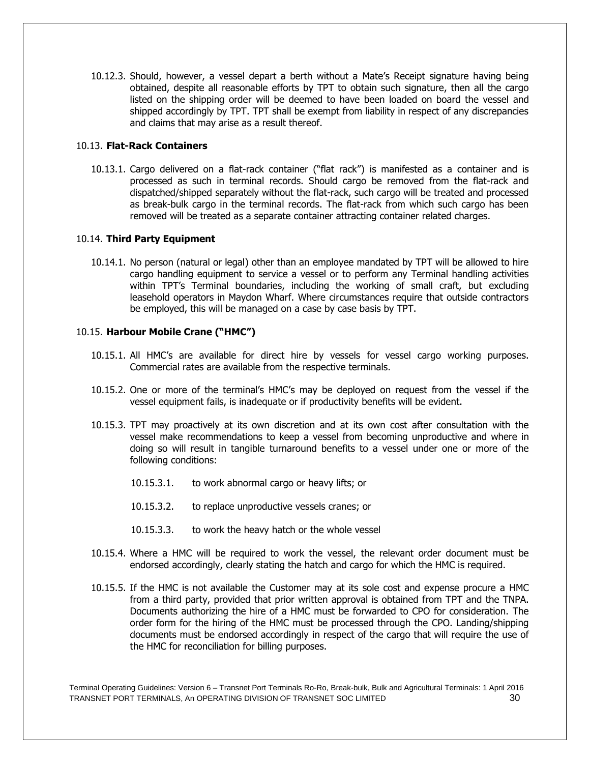10.12.3. Should, however, a vessel depart a berth without a Mate's Receipt signature having being obtained, despite all reasonable efforts by TPT to obtain such signature, then all the cargo listed on the shipping order will be deemed to have been loaded on board the vessel and shipped accordingly by TPT. TPT shall be exempt from liability in respect of any discrepancies and claims that may arise as a result thereof.

#### 10.13. **Flat-Rack Containers**

10.13.1. Cargo delivered on a flat-rack container ("flat rack") is manifested as a container and is processed as such in terminal records. Should cargo be removed from the flat-rack and dispatched/shipped separately without the flat-rack, such cargo will be treated and processed as break-bulk cargo in the terminal records. The flat-rack from which such cargo has been removed will be treated as a separate container attracting container related charges.

# 10.14. **Third Party Equipment**

10.14.1. No person (natural or legal) other than an employee mandated by TPT will be allowed to hire cargo handling equipment to service a vessel or to perform any Terminal handling activities within TPT's Terminal boundaries, including the working of small craft, but excluding leasehold operators in Maydon Wharf. Where circumstances require that outside contractors be employed, this will be managed on a case by case basis by TPT.

# 10.15. **Harbour Mobile Crane ("HMC")**

- 10.15.1. All HMC's are available for direct hire by vessels for vessel cargo working purposes. Commercial rates are available from the respective terminals.
- 10.15.2. One or more of the terminal's HMC's may be deployed on request from the vessel if the vessel equipment fails, is inadequate or if productivity benefits will be evident.
- 10.15.3. TPT may proactively at its own discretion and at its own cost after consultation with the vessel make recommendations to keep a vessel from becoming unproductive and where in doing so will result in tangible turnaround benefits to a vessel under one or more of the following conditions:
	- 10.15.3.1. to work abnormal cargo or heavy lifts; or
	- 10.15.3.2. to replace unproductive vessels cranes; or
	- 10.15.3.3. to work the heavy hatch or the whole vessel
- 10.15.4. Where a HMC will be required to work the vessel, the relevant order document must be endorsed accordingly, clearly stating the hatch and cargo for which the HMC is required.
- 10.15.5. If the HMC is not available the Customer may at its sole cost and expense procure a HMC from a third party, provided that prior written approval is obtained from TPT and the TNPA. Documents authorizing the hire of a HMC must be forwarded to CPO for consideration. The order form for the hiring of the HMC must be processed through the CPO. Landing/shipping documents must be endorsed accordingly in respect of the cargo that will require the use of the HMC for reconciliation for billing purposes.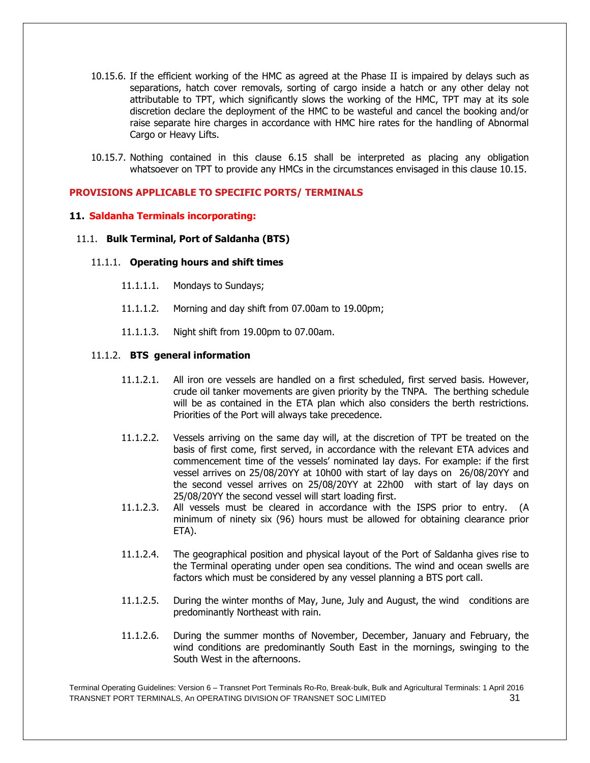- 10.15.6. If the efficient working of the HMC as agreed at the Phase II is impaired by delays such as separations, hatch cover removals, sorting of cargo inside a hatch or any other delay not attributable to TPT, which significantly slows the working of the HMC, TPT may at its sole discretion declare the deployment of the HMC to be wasteful and cancel the booking and/or raise separate hire charges in accordance with HMC hire rates for the handling of Abnormal Cargo or Heavy Lifts.
- 10.15.7. Nothing contained in this clause 6.15 shall be interpreted as placing any obligation whatsoever on TPT to provide any HMCs in the circumstances envisaged in this clause 10.15.

#### **PROVISIONS APPLICABLE TO SPECIFIC PORTS/ TERMINALS**

#### **11. Saldanha Terminals incorporating:**

#### 11.1. **Bulk Terminal, Port of Saldanha (BTS)**

#### 11.1.1. **Operating hours and shift times**

- 11.1.1.1. Mondays to Sundays;
- 11.1.1.2. Morning and day shift from 07.00am to 19.00pm;
- 11.1.1.3. Night shift from 19.00pm to 07.00am.

#### 11.1.2. **BTS general information**

- 11.1.2.1. All iron ore vessels are handled on a first scheduled, first served basis. However, crude oil tanker movements are given priority by the TNPA. The berthing schedule will be as contained in the ETA plan which also considers the berth restrictions. Priorities of the Port will always take precedence.
- 11.1.2.2. Vessels arriving on the same day will, at the discretion of TPT be treated on the basis of first come, first served, in accordance with the relevant ETA advices and commencement time of the vessels' nominated lay days. For example: if the first vessel arrives on 25/08/20YY at 10h00 with start of lay days on 26/08/20YY and the second vessel arrives on 25/08/20YY at 22h00 with start of lay days on 25/08/20YY the second vessel will start loading first.
- 11.1.2.3. All vessels must be cleared in accordance with the ISPS prior to entry. (A minimum of ninety six (96) hours must be allowed for obtaining clearance prior ETA).
- 11.1.2.4. The geographical position and physical layout of the Port of Saldanha gives rise to the Terminal operating under open sea conditions. The wind and ocean swells are factors which must be considered by any vessel planning a BTS port call.
- 11.1.2.5. During the winter months of May, June, July and August, the wind conditions are predominantly Northeast with rain.
- 11.1.2.6. During the summer months of November, December, January and February, the wind conditions are predominantly South East in the mornings, swinging to the South West in the afternoons.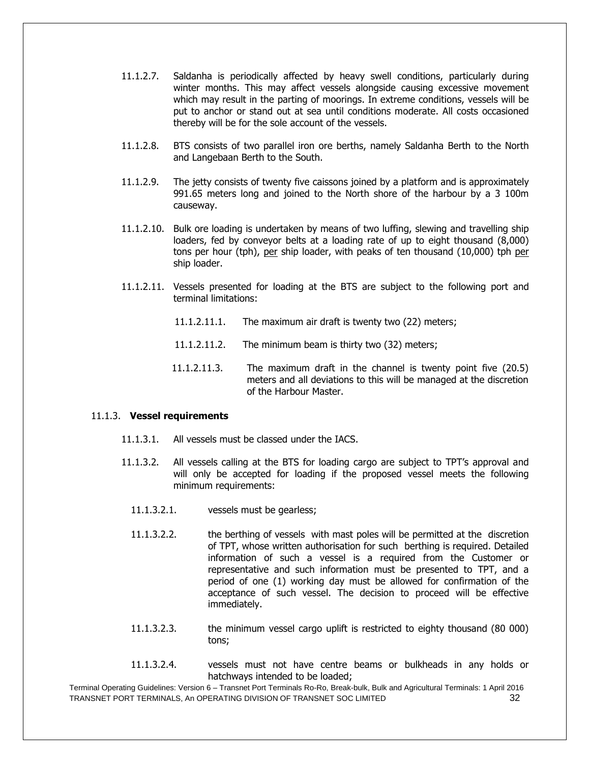- 11.1.2.7. Saldanha is periodically affected by heavy swell conditions, particularly during winter months. This may affect vessels alongside causing excessive movement which may result in the parting of moorings. In extreme conditions, vessels will be put to anchor or stand out at sea until conditions moderate. All costs occasioned thereby will be for the sole account of the vessels.
- 11.1.2.8. BTS consists of two parallel iron ore berths, namely Saldanha Berth to the North and Langebaan Berth to the South.
- 11.1.2.9. The jetty consists of twenty five caissons joined by a platform and is approximately 991.65 meters long and joined to the North shore of the harbour by a 3 100m causeway.
- 11.1.2.10. Bulk ore loading is undertaken by means of two luffing, slewing and travelling ship loaders, fed by conveyor belts at a loading rate of up to eight thousand (8,000) tons per hour (tph), per ship loader, with peaks of ten thousand (10,000) tph per ship loader.
- 11.1.2.11. Vessels presented for loading at the BTS are subject to the following port and terminal limitations:
	- 11.1.2.11.1. The maximum air draft is twenty two (22) meters;
	- 11.1.2.11.2. The minimum beam is thirty two (32) meters;
	- 11.1.2.11.3. The maximum draft in the channel is twenty point five (20.5) meters and all deviations to this will be managed at the discretion of the Harbour Master.

#### 11.1.3. **Vessel requirements**

- 11.1.3.1. All vessels must be classed under the IACS.
- 11.1.3.2. All vessels calling at the BTS for loading cargo are subject to TPT's approval and will only be accepted for loading if the proposed vessel meets the following minimum requirements:
	- 11.1.3.2.1. vessels must be gearless;
	- 11.1.3.2.2. the berthing of vessels with mast poles will be permitted at the discretion of TPT, whose written authorisation for such berthing is required. Detailed information of such a vessel is a required from the Customer or representative and such information must be presented to TPT, and a period of one (1) working day must be allowed for confirmation of the acceptance of such vessel. The decision to proceed will be effective immediately.
	- 11.1.3.2.3. the minimum vessel cargo uplift is restricted to eighty thousand (80 000) tons;
	- 11.1.3.2.4. vessels must not have centre beams or bulkheads in any holds or hatchways intended to be loaded;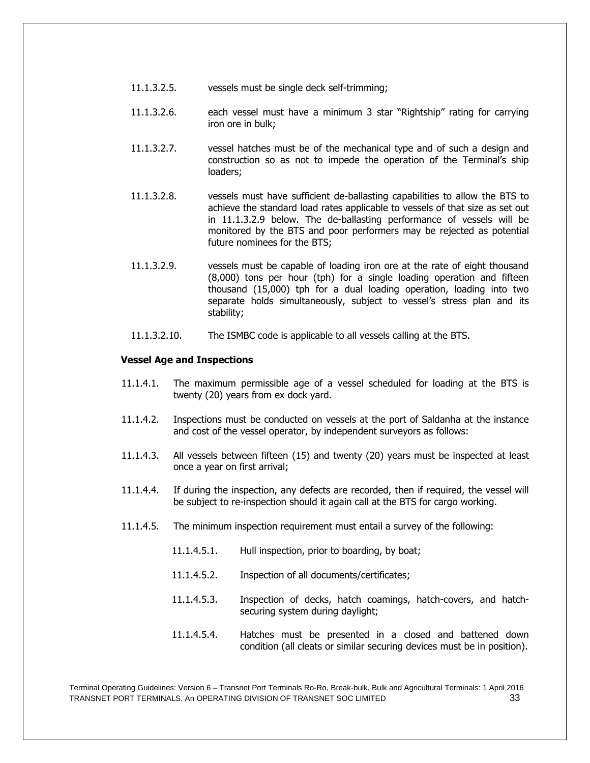- 11.1.3.2.5. vessels must be single deck self-trimming;
- 11.1.3.2.6. each vessel must have a minimum 3 star "Rightship" rating for carrying iron ore in bulk;
- 11.1.3.2.7. vessel hatches must be of the mechanical type and of such a design and construction so as not to impede the operation of the Terminal's ship loaders;
- 11.1.3.2.8. vessels must have sufficient de-ballasting capabilities to allow the BTS to achieve the standard load rates applicable to vessels of that size as set out in 11.1.3.2.9 below. The de-ballasting performance of vessels will be monitored by the BTS and poor performers may be rejected as potential future nominees for the BTS;
- 11.1.3.2.9. vessels must be capable of loading iron ore at the rate of eight thousand (8,000) tons per hour (tph) for a single loading operation and fifteen thousand (15,000) tph for a dual loading operation, loading into two separate holds simultaneously, subject to vessel's stress plan and its stability;
- 11.1.3.2.10. The ISMBC code is applicable to all vessels calling at the BTS.

#### **Vessel Age and Inspections**

- 11.1.4.1. The maximum permissible age of a vessel scheduled for loading at the BTS is twenty (20) years from ex dock yard.
- 11.1.4.2. Inspections must be conducted on vessels at the port of Saldanha at the instance and cost of the vessel operator, by independent surveyors as follows:
- 11.1.4.3. All vessels between fifteen (15) and twenty (20) years must be inspected at least once a year on first arrival;
- 11.1.4.4. If during the inspection, any defects are recorded, then if required, the vessel will be subject to re-inspection should it again call at the BTS for cargo working.
- 11.1.4.5. The minimum inspection requirement must entail a survey of the following:
	- 11.1.4.5.1. Hull inspection, prior to boarding, by boat;
	- 11.1.4.5.2. Inspection of all documents/certificates;
	- 11.1.4.5.3. Inspection of decks, hatch coamings, hatch-covers, and hatchsecuring system during daylight;
	- 11.1.4.5.4. Hatches must be presented in a closed and battened down condition (all cleats or similar securing devices must be in position).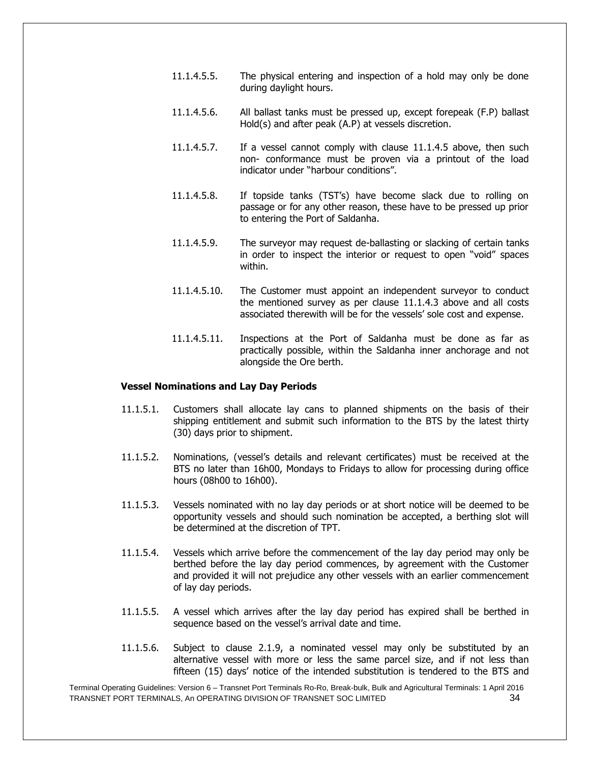- 11.1.4.5.5. The physical entering and inspection of a hold may only be done during daylight hours.
- 11.1.4.5.6. All ballast tanks must be pressed up, except forepeak (F.P) ballast Hold(s) and after peak (A.P) at vessels discretion.
- 11.1.4.5.7. If a vessel cannot comply with clause 11.1.4.5 above, then such non- conformance must be proven via a printout of the load indicator under "harbour conditions".
- 11.1.4.5.8. If topside tanks (TST's) have become slack due to rolling on passage or for any other reason, these have to be pressed up prior to entering the Port of Saldanha.
- 11.1.4.5.9. The surveyor may request de-ballasting or slacking of certain tanks in order to inspect the interior or request to open "void" spaces within.
- 11.1.4.5.10. The Customer must appoint an independent surveyor to conduct the mentioned survey as per clause 11.1.4.3 above and all costs associated therewith will be for the vessels' sole cost and expense.
- 11.1.4.5.11. Inspections at the Port of Saldanha must be done as far as practically possible, within the Saldanha inner anchorage and not alongside the Ore berth.

#### 11.1.5. **Vessel Nominations and Lay Day Periods**

- 11.1.5.1. Customers shall allocate lay cans to planned shipments on the basis of their shipping entitlement and submit such information to the BTS by the latest thirty (30) days prior to shipment.
- 11.1.5.2. Nominations, (vessel's details and relevant certificates) must be received at the BTS no later than 16h00, Mondays to Fridays to allow for processing during office hours (08h00 to 16h00).
- 11.1.5.3. Vessels nominated with no lay day periods or at short notice will be deemed to be opportunity vessels and should such nomination be accepted, a berthing slot will be determined at the discretion of TPT.
- 11.1.5.4. Vessels which arrive before the commencement of the lay day period may only be berthed before the lay day period commences, by agreement with the Customer and provided it will not prejudice any other vessels with an earlier commencement of lay day periods.
- 11.1.5.5. A vessel which arrives after the lay day period has expired shall be berthed in sequence based on the vessel's arrival date and time.
- 11.1.5.6. Subject to clause 2.1.9, a nominated vessel may only be substituted by an alternative vessel with more or less the same parcel size, and if not less than fifteen (15) days' notice of the intended substitution is tendered to the BTS and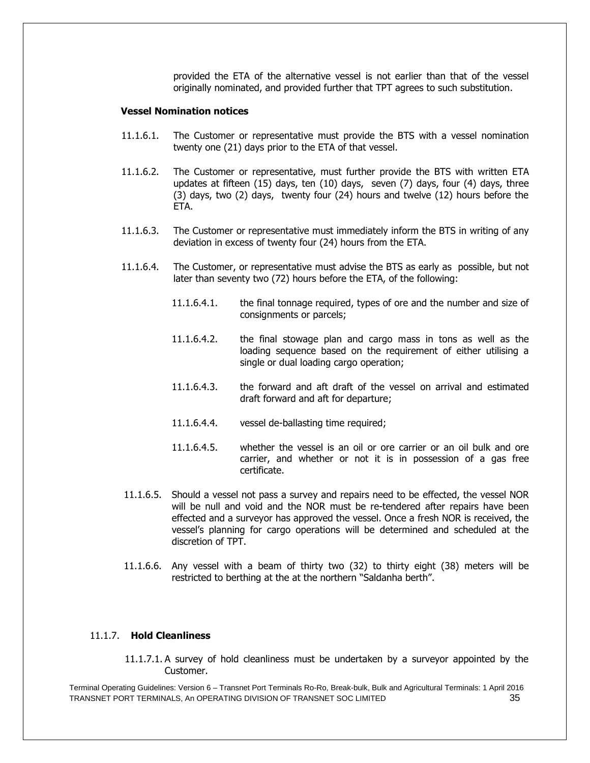provided the ETA of the alternative vessel is not earlier than that of the vessel originally nominated, and provided further that TPT agrees to such substitution.

#### **Vessel Nomination notices**

- 11.1.6.1. The Customer or representative must provide the BTS with a vessel nomination twenty one (21) days prior to the ETA of that vessel.
- 11.1.6.2. The Customer or representative, must further provide the BTS with written ETA updates at fifteen (15) days, ten (10) days, seven (7) days, four (4) days, three (3) days, two (2) days, twenty four (24) hours and twelve (12) hours before the ETA.
- 11.1.6.3. The Customer or representative must immediately inform the BTS in writing of any deviation in excess of twenty four (24) hours from the ETA.
- 11.1.6.4. The Customer, or representative must advise the BTS as early as possible, but not later than seventy two (72) hours before the ETA, of the following:
	- 11.1.6.4.1. the final tonnage required, types of ore and the number and size of consignments or parcels;
	- 11.1.6.4.2. the final stowage plan and cargo mass in tons as well as the loading sequence based on the requirement of either utilising a single or dual loading cargo operation;
	- 11.1.6.4.3. the forward and aft draft of the vessel on arrival and estimated draft forward and aft for departure;
	- 11.1.6.4.4. vessel de-ballasting time required;
	- 11.1.6.4.5. whether the vessel is an oil or ore carrier or an oil bulk and ore carrier, and whether or not it is in possession of a gas free certificate.
- 11.1.6.5. Should a vessel not pass a survey and repairs need to be effected, the vessel NOR will be null and void and the NOR must be re-tendered after repairs have been effected and a surveyor has approved the vessel. Once a fresh NOR is received, the vessel's planning for cargo operations will be determined and scheduled at the discretion of TPT.
- 11.1.6.6. Any vessel with a beam of thirty two (32) to thirty eight (38) meters will be restricted to berthing at the at the northern "Saldanha berth".

#### 11.1.7. **Hold Cleanliness**

11.1.7.1. A survey of hold cleanliness must be undertaken by a surveyor appointed by the Customer.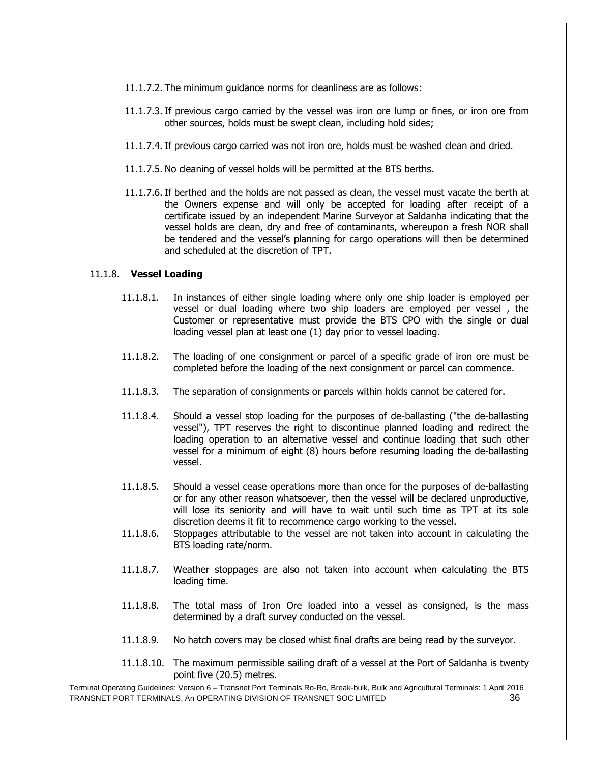- 11.1.7.2. The minimum guidance norms for cleanliness are as follows:
- 11.1.7.3. If previous cargo carried by the vessel was iron ore lump or fines, or iron ore from other sources, holds must be swept clean, including hold sides;
- 11.1.7.4. If previous cargo carried was not iron ore, holds must be washed clean and dried.
- 11.1.7.5. No cleaning of vessel holds will be permitted at the BTS berths.
- 11.1.7.6. If berthed and the holds are not passed as clean, the vessel must vacate the berth at the Owners expense and will only be accepted for loading after receipt of a certificate issued by an independent Marine Surveyor at Saldanha indicating that the vessel holds are clean, dry and free of contaminants, whereupon a fresh NOR shall be tendered and the vessel's planning for cargo operations will then be determined and scheduled at the discretion of TPT.

#### 11.1.8. **Vessel Loading**

- 11.1.8.1. In instances of either single loading where only one ship loader is employed per vessel or dual loading where two ship loaders are employed per vessel , the Customer or representative must provide the BTS CPO with the single or dual loading vessel plan at least one (1) day prior to vessel loading.
- 11.1.8.2. The loading of one consignment or parcel of a specific grade of iron ore must be completed before the loading of the next consignment or parcel can commence.
- 11.1.8.3. The separation of consignments or parcels within holds cannot be catered for.
- 11.1.8.4. Should a vessel stop loading for the purposes of de-ballasting ("the de-ballasting vessel"), TPT reserves the right to discontinue planned loading and redirect the loading operation to an alternative vessel and continue loading that such other vessel for a minimum of eight (8) hours before resuming loading the de-ballasting vessel.
- 11.1.8.5. Should a vessel cease operations more than once for the purposes of de-ballasting or for any other reason whatsoever, then the vessel will be declared unproductive, will lose its seniority and will have to wait until such time as TPT at its sole discretion deems it fit to recommence cargo working to the vessel.
- 11.1.8.6. Stoppages attributable to the vessel are not taken into account in calculating the BTS loading rate/norm.
- 11.1.8.7. Weather stoppages are also not taken into account when calculating the BTS loading time.
- 11.1.8.8. The total mass of Iron Ore loaded into a vessel as consigned, is the mass determined by a draft survey conducted on the vessel.
- 11.1.8.9. No hatch covers may be closed whist final drafts are being read by the surveyor.
- 11.1.8.10. The maximum permissible sailing draft of a vessel at the Port of Saldanha is twenty point five (20.5) metres.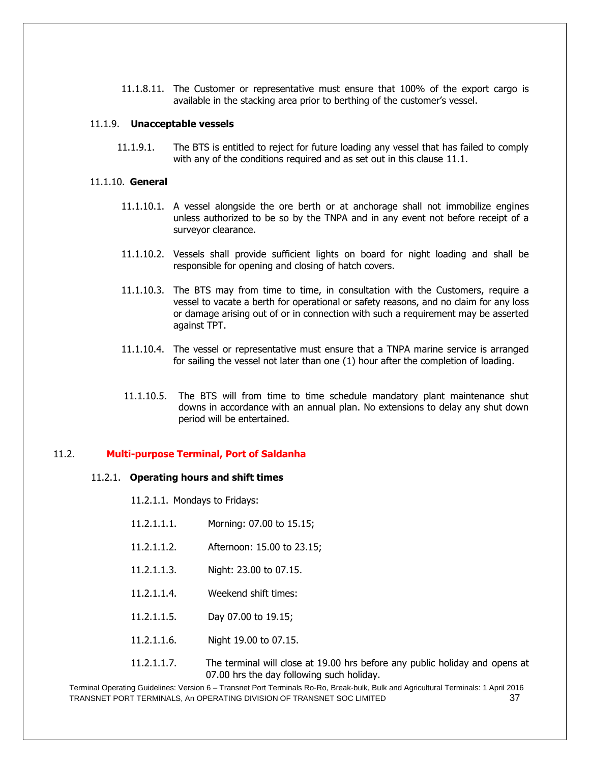11.1.8.11. The Customer or representative must ensure that 100% of the export cargo is available in the stacking area prior to berthing of the customer's vessel.

#### 11.1.9. **Unacceptable vessels**

11.1.9.1. The BTS is entitled to reject for future loading any vessel that has failed to comply with any of the conditions required and as set out in this clause 11.1.

#### 11.1.10. **General**

- 11.1.10.1. A vessel alongside the ore berth or at anchorage shall not immobilize engines unless authorized to be so by the TNPA and in any event not before receipt of a surveyor clearance.
- 11.1.10.2. Vessels shall provide sufficient lights on board for night loading and shall be responsible for opening and closing of hatch covers.
- 11.1.10.3. The BTS may from time to time, in consultation with the Customers, require a vessel to vacate a berth for operational or safety reasons, and no claim for any loss or damage arising out of or in connection with such a requirement may be asserted against TPT.
- 11.1.10.4. The vessel or representative must ensure that a TNPA marine service is arranged for sailing the vessel not later than one (1) hour after the completion of loading.
- 11.1.10.5. The BTS will from time to time schedule mandatory plant maintenance shut downs in accordance with an annual plan. No extensions to delay any shut down period will be entertained.

#### 11.2. **Multi-purpose Terminal, Port of Saldanha**

#### 11.2.1. **Operating hours and shift times**

- 11.2.1.1. Mondays to Fridays:
- 11.2.1.1.1. Morning: 07.00 to 15.15;
- 11.2.1.1.2. Afternoon: 15.00 to 23.15;
- 11.2.1.1.3. Night: 23.00 to 07.15.
- 11.2.1.1.4. Weekend shift times:
- 11.2.1.1.5. Day 07.00 to 19.15;
- 11.2.1.1.6. Night 19.00 to 07.15.
- 11.2.1.1.7. The terminal will close at 19.00 hrs before any public holiday and opens at 07.00 hrs the day following such holiday.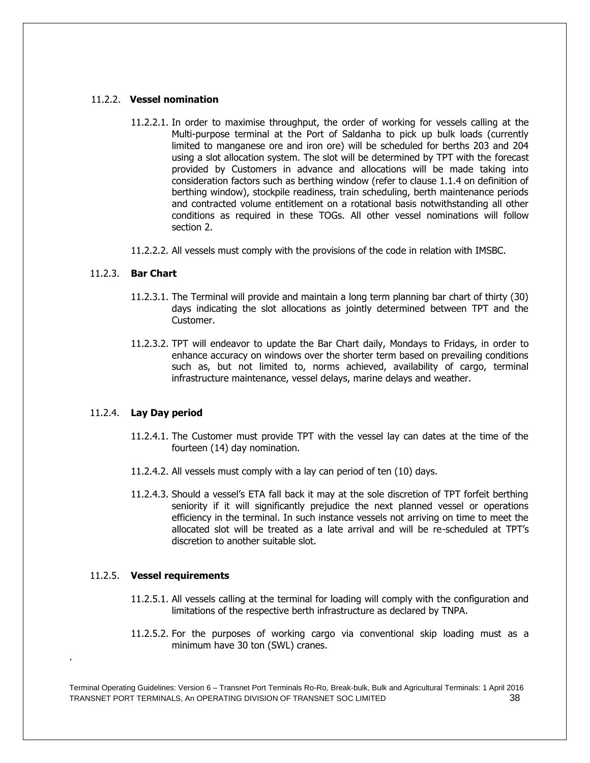#### 11.2.2. **Vessel nomination**

- 11.2.2.1. In order to maximise throughput, the order of working for vessels calling at the Multi-purpose terminal at the Port of Saldanha to pick up bulk loads (currently limited to manganese ore and iron ore) will be scheduled for berths 203 and 204 using a slot allocation system. The slot will be determined by TPT with the forecast provided by Customers in advance and allocations will be made taking into consideration factors such as berthing window (refer to clause 1.1.4 on definition of berthing window), stockpile readiness, train scheduling, berth maintenance periods and contracted volume entitlement on a rotational basis notwithstanding all other conditions as required in these TOGs. All other vessel nominations will follow section 2.
- 11.2.2.2. All vessels must comply with the provisions of the code in relation with IMSBC.

# 11.2.3. **Bar Chart**

- 11.2.3.1. The Terminal will provide and maintain a long term planning bar chart of thirty (30) days indicating the slot allocations as jointly determined between TPT and the Customer.
- 11.2.3.2. TPT will endeavor to update the Bar Chart daily, Mondays to Fridays, in order to enhance accuracy on windows over the shorter term based on prevailing conditions such as, but not limited to, norms achieved, availability of cargo, terminal infrastructure maintenance, vessel delays, marine delays and weather.

# 11.2.4. **Lay Day period**

- 11.2.4.1. The Customer must provide TPT with the vessel lay can dates at the time of the fourteen (14) day nomination.
- 11.2.4.2. All vessels must comply with a lay can period of ten (10) days.
- 11.2.4.3. Should a vessel's ETA fall back it may at the sole discretion of TPT forfeit berthing seniority if it will significantly prejudice the next planned vessel or operations efficiency in the terminal. In such instance vessels not arriving on time to meet the allocated slot will be treated as a late arrival and will be re-scheduled at TPT's discretion to another suitable slot.

# 11.2.5. **Vessel requirements**

.

- 11.2.5.1. All vessels calling at the terminal for loading will comply with the configuration and limitations of the respective berth infrastructure as declared by TNPA.
- 11.2.5.2. For the purposes of working cargo via conventional skip loading must as a minimum have 30 ton (SWL) cranes.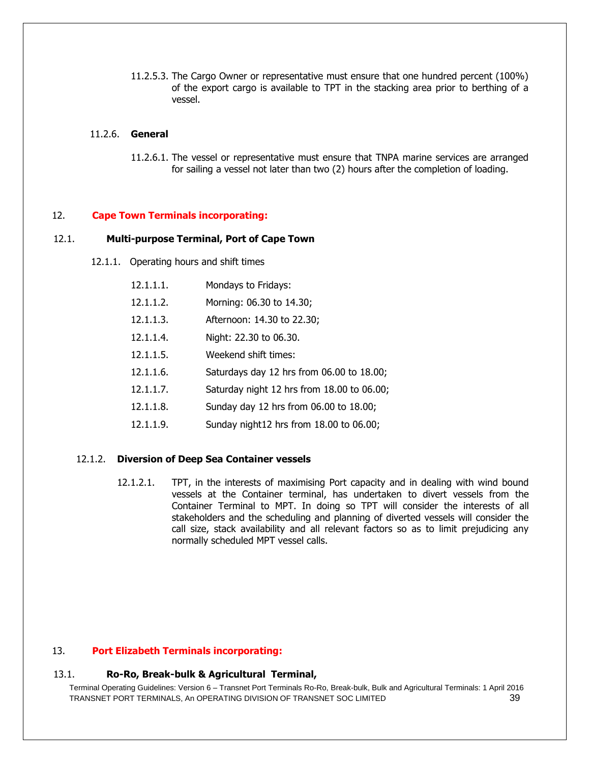11.2.5.3. The Cargo Owner or representative must ensure that one hundred percent (100%) of the export cargo is available to TPT in the stacking area prior to berthing of a vessel.

# 11.2.6. **General**

11.2.6.1. The vessel or representative must ensure that TNPA marine services are arranged for sailing a vessel not later than two (2) hours after the completion of loading.

#### 12. **Cape Town Terminals incorporating:**

#### 12.1. **Multi-purpose Terminal, Port of Cape Town**

12.1.1. Operating hours and shift times

| 12.1.1.1. | Mondays to Fridays:                        |
|-----------|--------------------------------------------|
| 12.1.1.2. | Morning: 06.30 to 14.30;                   |
| 12.1.1.3. | Afternoon: 14.30 to 22.30;                 |
| 12.1.1.4. | Night: 22.30 to 06.30.                     |
| 12.1.1.5. | Weekend shift times:                       |
| 12.1.1.6. | Saturdays day 12 hrs from 06.00 to 18.00;  |
| 12.1.1.7. | Saturday night 12 hrs from 18.00 to 06.00; |
| 12.1.1.8. | Sunday day 12 hrs from 06.00 to 18.00;     |
| 12.1.1.9. | Sunday night12 hrs from 18.00 to 06.00;    |

#### 12.1.2. **Diversion of Deep Sea Container vessels**

12.1.2.1. TPT, in the interests of maximising Port capacity and in dealing with wind bound vessels at the Container terminal, has undertaken to divert vessels from the Container Terminal to MPT. In doing so TPT will consider the interests of all stakeholders and the scheduling and planning of diverted vessels will consider the call size, stack availability and all relevant factors so as to limit prejudicing any normally scheduled MPT vessel calls.

# 13. **Port Elizabeth Terminals incorporating:**

#### 13.1. **Ro-Ro, Break-bulk & Agricultural Terminal,**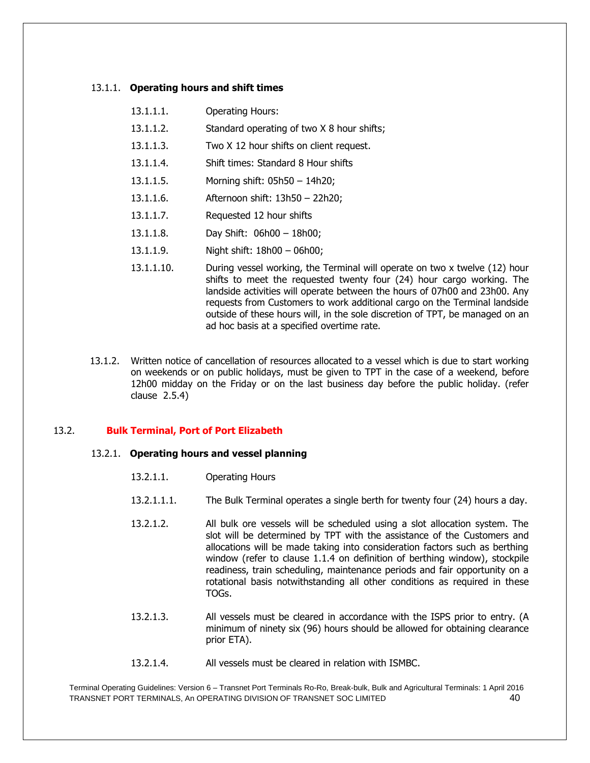#### 13.1.1. **Operating hours and shift times**

| 13.1.1.1. | <b>Operating Hours:</b>                    |
|-----------|--------------------------------------------|
| 13.1.1.2. | Standard operating of two X 8 hour shifts; |
| 13.1.1.3. | Two X 12 hour shifts on client request.    |
| 13.1.1.4. | Shift times: Standard 8 Hour shifts        |
| 13.1.1.5. | Morning shift: 05h50 - 14h20;              |
| 13.1.1.6. | Afternoon shift: 13h50 - 22h20;            |
| 13.1.1.7. | Requested 12 hour shifts                   |

- 13.1.1.8. Day Shift: 06h00 18h00;
- 13.1.1.9. Night shift: 18h00 06h00;
- 13.1.1.10. During vessel working, the Terminal will operate on two x twelve (12) hour shifts to meet the requested twenty four (24) hour cargo working. The landside activities will operate between the hours of 07h00 and 23h00. Any requests from Customers to work additional cargo on the Terminal landside outside of these hours will, in the sole discretion of TPT, be managed on an ad hoc basis at a specified overtime rate.
- 13.1.2. Written notice of cancellation of resources allocated to a vessel which is due to start working on weekends or on public holidays, must be given to TPT in the case of a weekend, before 12h00 midday on the Friday or on the last business day before the public holiday. (refer clause 2.5.4)

#### 13.2. **Bulk Terminal, Port of Port Elizabeth**

#### 13.2.1. **Operating hours and vessel planning**

- 13.2.1.1.1. The Bulk Terminal operates a single berth for twenty four (24) hours a day.
- 13.2.1.2. All bulk ore vessels will be scheduled using a slot allocation system. The slot will be determined by TPT with the assistance of the Customers and allocations will be made taking into consideration factors such as berthing window (refer to clause 1.1.4 on definition of berthing window), stockpile readiness, train scheduling, maintenance periods and fair opportunity on a rotational basis notwithstanding all other conditions as required in these TOGs.
- 13.2.1.3. All vessels must be cleared in accordance with the ISPS prior to entry. (A minimum of ninety six (96) hours should be allowed for obtaining clearance prior ETA).
- 13.2.1.4. All vessels must be cleared in relation with ISMBC.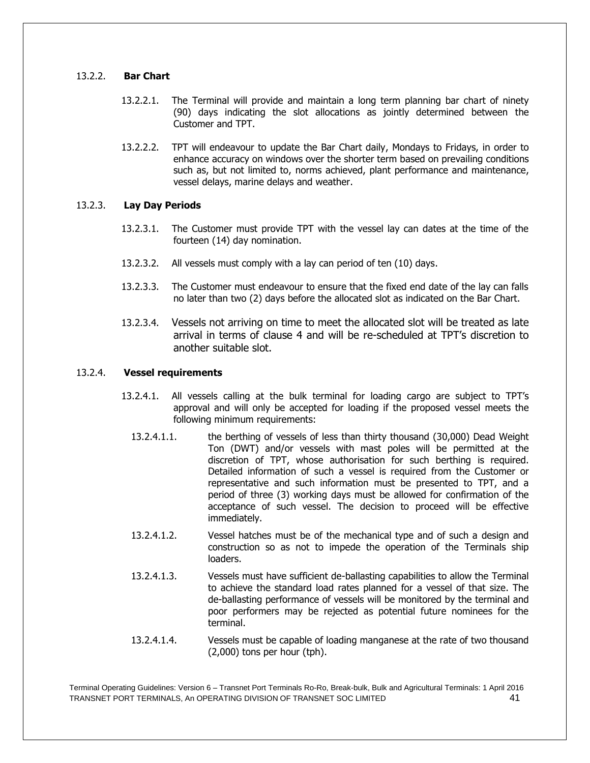# 13.2.2. **Bar Chart**

- 13.2.2.1. The Terminal will provide and maintain a long term planning bar chart of ninety (90) days indicating the slot allocations as jointly determined between the Customer and TPT.
- 13.2.2.2. TPT will endeavour to update the Bar Chart daily, Mondays to Fridays, in order to enhance accuracy on windows over the shorter term based on prevailing conditions such as, but not limited to, norms achieved, plant performance and maintenance, vessel delays, marine delays and weather.

# 13.2.3. **Lay Day Periods**

- 13.2.3.1. The Customer must provide TPT with the vessel lay can dates at the time of the fourteen (14) day nomination.
- 13.2.3.2. All vessels must comply with a lay can period of ten (10) days.
- 13.2.3.3. The Customer must endeavour to ensure that the fixed end date of the lay can falls no later than two (2) days before the allocated slot as indicated on the Bar Chart.
- 13.2.3.4. Vessels not arriving on time to meet the allocated slot will be treated as late arrival in terms of clause 4 and will be re-scheduled at TPT's discretion to another suitable slot.

# 13.2.4. **Vessel requirements**

- 13.2.4.1. All vessels calling at the bulk terminal for loading cargo are subject to TPT's approval and will only be accepted for loading if the proposed vessel meets the following minimum requirements:
	- 13.2.4.1.1. the berthing of vessels of less than thirty thousand (30,000) Dead Weight Ton (DWT) and/or vessels with mast poles will be permitted at the discretion of TPT, whose authorisation for such berthing is required. Detailed information of such a vessel is required from the Customer or representative and such information must be presented to TPT, and a period of three (3) working days must be allowed for confirmation of the acceptance of such vessel. The decision to proceed will be effective immediately.
	- 13.2.4.1.2. Vessel hatches must be of the mechanical type and of such a design and construction so as not to impede the operation of the Terminals ship loaders.
	- 13.2.4.1.3. Vessels must have sufficient de-ballasting capabilities to allow the Terminal to achieve the standard load rates planned for a vessel of that size. The de-ballasting performance of vessels will be monitored by the terminal and poor performers may be rejected as potential future nominees for the terminal.
	- 13.2.4.1.4. Vessels must be capable of loading manganese at the rate of two thousand (2,000) tons per hour (tph).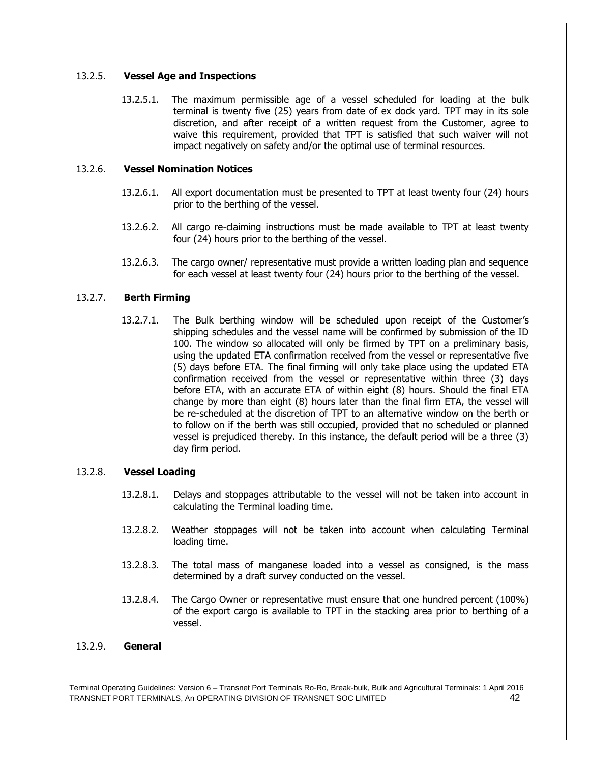# 13.2.5. **Vessel Age and Inspections**

13.2.5.1. The maximum permissible age of a vessel scheduled for loading at the bulk terminal is twenty five (25) years from date of ex dock yard. TPT may in its sole discretion, and after receipt of a written request from the Customer, agree to waive this requirement, provided that TPT is satisfied that such waiver will not impact negatively on safety and/or the optimal use of terminal resources.

# 13.2.6. **Vessel Nomination Notices**

- 13.2.6.1. All export documentation must be presented to TPT at least twenty four (24) hours prior to the berthing of the vessel.
- 13.2.6.2. All cargo re-claiming instructions must be made available to TPT at least twenty four (24) hours prior to the berthing of the vessel.
- 13.2.6.3. The cargo owner/ representative must provide a written loading plan and sequence for each vessel at least twenty four (24) hours prior to the berthing of the vessel.

# 13.2.7. **Berth Firming**

13.2.7.1. The Bulk berthing window will be scheduled upon receipt of the Customer's shipping schedules and the vessel name will be confirmed by submission of the ID 100. The window so allocated will only be firmed by TPT on a preliminary basis, using the updated ETA confirmation received from the vessel or representative five (5) days before ETA. The final firming will only take place using the updated ETA confirmation received from the vessel or representative within three (3) days before ETA, with an accurate ETA of within eight (8) hours. Should the final ETA change by more than eight (8) hours later than the final firm ETA, the vessel will be re-scheduled at the discretion of TPT to an alternative window on the berth or to follow on if the berth was still occupied, provided that no scheduled or planned vessel is prejudiced thereby. In this instance, the default period will be a three (3) day firm period.

#### 13.2.8. **Vessel Loading**

- 13.2.8.1. Delays and stoppages attributable to the vessel will not be taken into account in calculating the Terminal loading time.
- 13.2.8.2. Weather stoppages will not be taken into account when calculating Terminal loading time.
- 13.2.8.3. The total mass of manganese loaded into a vessel as consigned, is the mass determined by a draft survey conducted on the vessel.
- 13.2.8.4. The Cargo Owner or representative must ensure that one hundred percent (100%) of the export cargo is available to TPT in the stacking area prior to berthing of a vessel.

# 13.2.9. **General**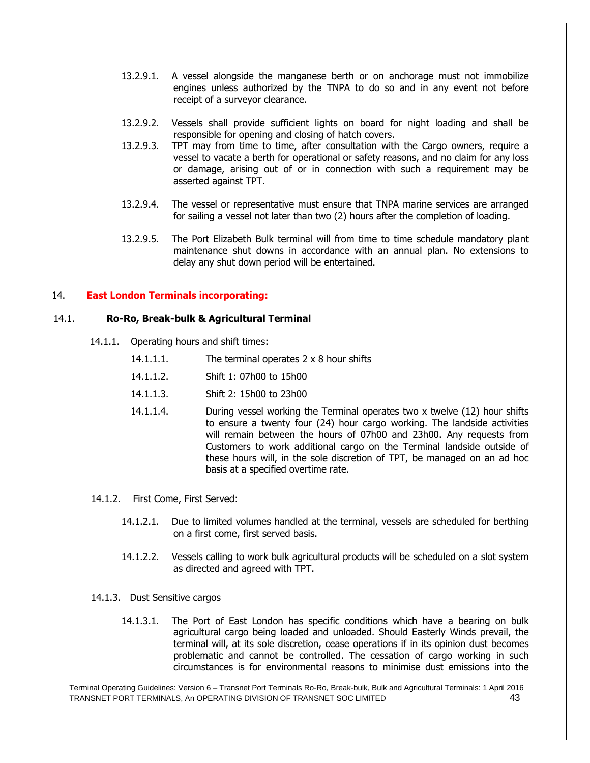- 13.2.9.1. A vessel alongside the manganese berth or on anchorage must not immobilize engines unless authorized by the TNPA to do so and in any event not before receipt of a surveyor clearance.
- 13.2.9.2. Vessels shall provide sufficient lights on board for night loading and shall be responsible for opening and closing of hatch covers.
- 13.2.9.3. TPT may from time to time, after consultation with the Cargo owners, require a vessel to vacate a berth for operational or safety reasons, and no claim for any loss or damage, arising out of or in connection with such a requirement may be asserted against TPT.
- 13.2.9.4. The vessel or representative must ensure that TNPA marine services are arranged for sailing a vessel not later than two (2) hours after the completion of loading.
- 13.2.9.5. The Port Elizabeth Bulk terminal will from time to time schedule mandatory plant maintenance shut downs in accordance with an annual plan. No extensions to delay any shut down period will be entertained.

# 14. **East London Terminals incorporating:**

#### 14.1. **Ro-Ro, Break-bulk & Agricultural Terminal**

- 14.1.1. Operating hours and shift times:
	- 14.1.1.1. The terminal operates 2 x 8 hour shifts
	- 14.1.1.2. Shift 1: 07h00 to 15h00
	- 14.1.1.3. Shift 2: 15h00 to 23h00
	- 14.1.1.4. During vessel working the Terminal operates two x twelve (12) hour shifts to ensure a twenty four (24) hour cargo working. The landside activities will remain between the hours of 07h00 and 23h00. Any requests from Customers to work additional cargo on the Terminal landside outside of these hours will, in the sole discretion of TPT, be managed on an ad hoc basis at a specified overtime rate.
- 14.1.2. First Come, First Served:
	- 14.1.2.1. Due to limited volumes handled at the terminal, vessels are scheduled for berthing on a first come, first served basis.
	- 14.1.2.2. Vessels calling to work bulk agricultural products will be scheduled on a slot system as directed and agreed with TPT.
- 14.1.3. Dust Sensitive cargos
	- 14.1.3.1. The Port of East London has specific conditions which have a bearing on bulk agricultural cargo being loaded and unloaded. Should Easterly Winds prevail, the terminal will, at its sole discretion, cease operations if in its opinion dust becomes problematic and cannot be controlled. The cessation of cargo working in such circumstances is for environmental reasons to minimise dust emissions into the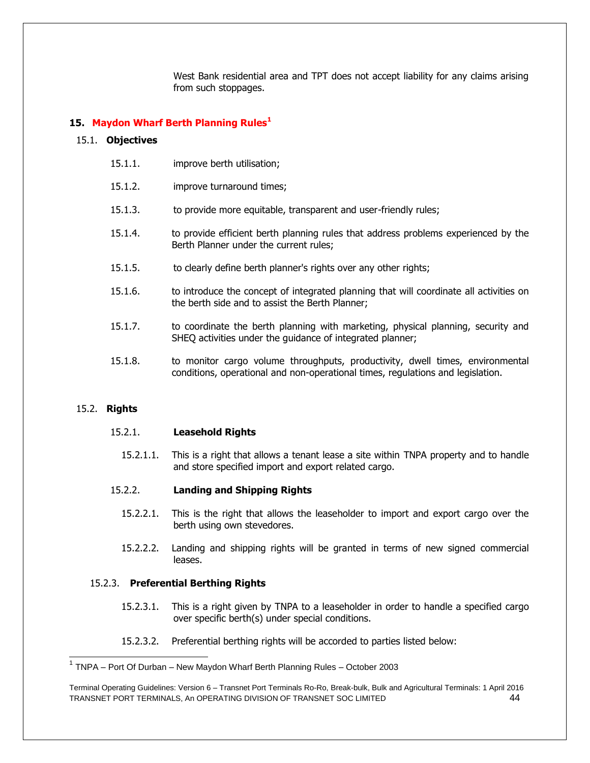West Bank residential area and TPT does not accept liability for any claims arising from such stoppages.

# **15. Maydon Wharf Berth Planning Rules<sup>1</sup>**

#### 15.1. **Objectives**

- 15.1.1. improve berth utilisation;
- 15.1.2. improve turnaround times;
- 15.1.3. to provide more equitable, transparent and user-friendly rules;
- 15.1.4. to provide efficient berth planning rules that address problems experienced by the Berth Planner under the current rules;
- 15.1.5. to clearly define berth planner's rights over any other rights;
- 15.1.6. to introduce the concept of integrated planning that will coordinate all activities on the berth side and to assist the Berth Planner;
- 15.1.7. to coordinate the berth planning with marketing, physical planning, security and SHEQ activities under the guidance of integrated planner;
- 15.1.8. to monitor cargo volume throughputs, productivity, dwell times, environmental conditions, operational and non-operational times, regulations and legislation.

#### 15.2. **Rights**

l

#### 15.2.1. **Leasehold Rights**

15.2.1.1. This is a right that allows a tenant lease a site within TNPA property and to handle and store specified import and export related cargo.

#### 15.2.2. **Landing and Shipping Rights**

- 15.2.2.1. This is the right that allows the leaseholder to import and export cargo over the berth using own stevedores.
- 15.2.2.2. Landing and shipping rights will be granted in terms of new signed commercial leases.

# 15.2.3. **Preferential Berthing Rights**

- 15.2.3.1. This is a right given by TNPA to a leaseholder in order to handle a specified cargo over specific berth(s) under special conditions.
- 15.2.3.2. Preferential berthing rights will be accorded to parties listed below:

<sup>&</sup>lt;sup>1</sup> TNPA – Port Of Durban – New Maydon Wharf Berth Planning Rules – October 2003

Terminal Operating Guidelines: Version 6 – Transnet Port Terminals Ro-Ro, Break-bulk, Bulk and Agricultural Terminals: 1 April 2016 TRANSNET PORT TERMINALS, An OPERATING DIVISION OF TRANSNET SOC LIMITED 44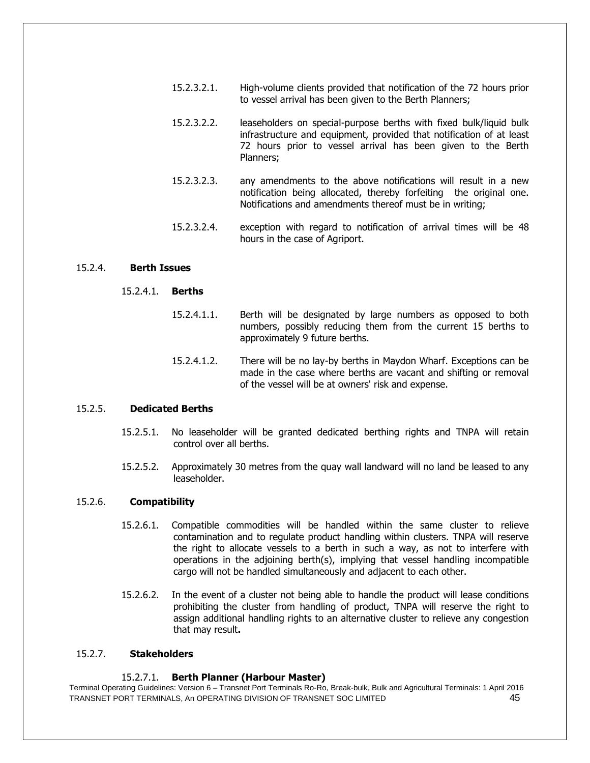- 15.2.3.2.1. High-volume clients provided that notification of the 72 hours prior to vessel arrival has been given to the Berth Planners;
- 15.2.3.2.2. leaseholders on special-purpose berths with fixed bulk/liquid bulk infrastructure and equipment, provided that notification of at least 72 hours prior to vessel arrival has been given to the Berth Planners;
- 15.2.3.2.3. any amendments to the above notifications will result in a new notification being allocated, thereby forfeiting the original one. Notifications and amendments thereof must be in writing;
- 15.2.3.2.4. exception with regard to notification of arrival times will be 48 hours in the case of Agriport.

#### 15.2.4. **Berth Issues**

# 15.2.4.1. **Berths**

- 15.2.4.1.1. Berth will be designated by large numbers as opposed to both numbers, possibly reducing them from the current 15 berths to approximately 9 future berths.
- 15.2.4.1.2. There will be no lay-by berths in Maydon Wharf. Exceptions can be made in the case where berths are vacant and shifting or removal of the vessel will be at owners' risk and expense.

#### 15.2.5. **Dedicated Berths**

- 15.2.5.1. No leaseholder will be granted dedicated berthing rights and TNPA will retain control over all berths.
- 15.2.5.2. Approximately 30 metres from the quay wall landward will no land be leased to any leaseholder.

#### 15.2.6. **Compatibility**

- 15.2.6.1. Compatible commodities will be handled within the same cluster to relieve contamination and to regulate product handling within clusters. TNPA will reserve the right to allocate vessels to a berth in such a way, as not to interfere with operations in the adjoining berth(s), implying that vessel handling incompatible cargo will not be handled simultaneously and adjacent to each other.
- 15.2.6.2. In the event of a cluster not being able to handle the product will lease conditions prohibiting the cluster from handling of product, TNPA will reserve the right to assign additional handling rights to an alternative cluster to relieve any congestion that may result**.**

#### 15.2.7. **Stakeholders**

#### 15.2.7.1. **Berth Planner (Harbour Master)**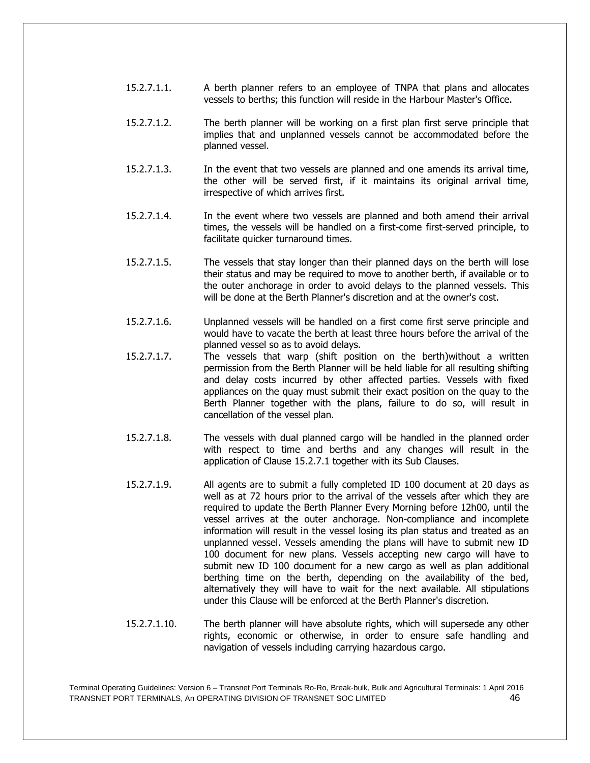- 15.2.7.1.1. A berth planner refers to an employee of TNPA that plans and allocates vessels to berths; this function will reside in the Harbour Master's Office.
- 15.2.7.1.2. The berth planner will be working on a first plan first serve principle that implies that and unplanned vessels cannot be accommodated before the planned vessel.
- 15.2.7.1.3. In the event that two vessels are planned and one amends its arrival time, the other will be served first, if it maintains its original arrival time, irrespective of which arrives first.
- 15.2.7.1.4. In the event where two vessels are planned and both amend their arrival times, the vessels will be handled on a first-come first-served principle, to facilitate quicker turnaround times.
- 15.2.7.1.5. The vessels that stay longer than their planned days on the berth will lose their status and may be required to move to another berth, if available or to the outer anchorage in order to avoid delays to the planned vessels. This will be done at the Berth Planner's discretion and at the owner's cost.
- 15.2.7.1.6. Unplanned vessels will be handled on a first come first serve principle and would have to vacate the berth at least three hours before the arrival of the planned vessel so as to avoid delays.
- 15.2.7.1.7. The vessels that warp (shift position on the berth)without a written permission from the Berth Planner will be held liable for all resulting shifting and delay costs incurred by other affected parties. Vessels with fixed appliances on the quay must submit their exact position on the quay to the Berth Planner together with the plans, failure to do so, will result in cancellation of the vessel plan.
- 15.2.7.1.8. The vessels with dual planned cargo will be handled in the planned order with respect to time and berths and any changes will result in the application of Clause 15.2.7.1 together with its Sub Clauses.
- 15.2.7.1.9. All agents are to submit a fully completed ID 100 document at 20 days as well as at 72 hours prior to the arrival of the vessels after which they are required to update the Berth Planner Every Morning before 12h00, until the vessel arrives at the outer anchorage. Non-compliance and incomplete information will result in the vessel losing its plan status and treated as an unplanned vessel. Vessels amending the plans will have to submit new ID 100 document for new plans. Vessels accepting new cargo will have to submit new ID 100 document for a new cargo as well as plan additional berthing time on the berth, depending on the availability of the bed, alternatively they will have to wait for the next available. All stipulations under this Clause will be enforced at the Berth Planner's discretion.
- 15.2.7.1.10. The berth planner will have absolute rights, which will supersede any other rights, economic or otherwise, in order to ensure safe handling and navigation of vessels including carrying hazardous cargo.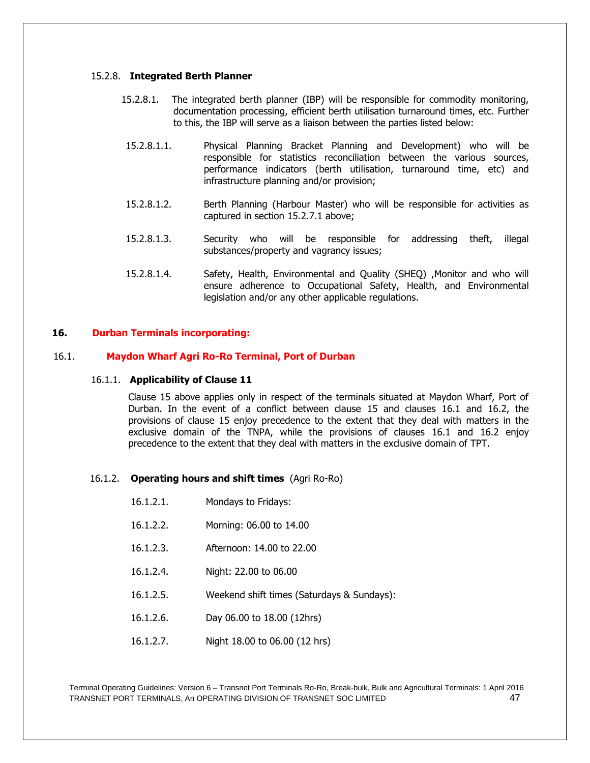#### 15.2.8. **Integrated Berth Planner**

- 15.2.8.1. The integrated berth planner (IBP) will be responsible for commodity monitoring, documentation processing, efficient berth utilisation turnaround times, etc. Further to this, the IBP will serve as a liaison between the parties listed below:
	- 15.2.8.1.1. Physical Planning Bracket Planning and Development) who will be responsible for statistics reconciliation between the various sources, performance indicators (berth utilisation, turnaround time, etc) and infrastructure planning and/or provision;
	- 15.2.8.1.2. Berth Planning (Harbour Master) who will be responsible for activities as captured in section 15.2.7.1 above;
	- 15.2.8.1.3. Security who will be responsible for addressing theft, illegal substances/property and vagrancy issues;
	- 15.2.8.1.4. Safety, Health, Environmental and Quality (SHEQ) ,Monitor and who will ensure adherence to Occupational Safety, Health, and Environmental legislation and/or any other applicable regulations.

# **16. Durban Terminals incorporating:**

# 16.1. **Maydon Wharf Agri Ro-Ro Terminal, Port of Durban**

#### 16.1.1. **Applicability of Clause 11**

Clause 15 above applies only in respect of the terminals situated at Maydon Wharf, Port of Durban. In the event of a conflict between clause 15 and clauses 16.1 and 16.2, the provisions of clause 15 enjoy precedence to the extent that they deal with matters in the exclusive domain of the TNPA, while the provisions of clauses 16.1 and 16.2 enjoy precedence to the extent that they deal with matters in the exclusive domain of TPT.

#### 16.1.2. **Operating hours and shift times** (Agri Ro-Ro)

- 16.1.2.1. Mondays to Fridays:
- 16.1.2.2. Morning: 06.00 to 14.00
- 16.1.2.3. Afternoon: 14.00 to 22.00
- 16.1.2.4. Night: 22.00 to 06.00
- 16.1.2.5. Weekend shift times (Saturdays & Sundays):
- 16.1.2.6. Day 06.00 to 18.00 (12hrs)
- 16.1.2.7. Night 18.00 to 06.00 (12 hrs)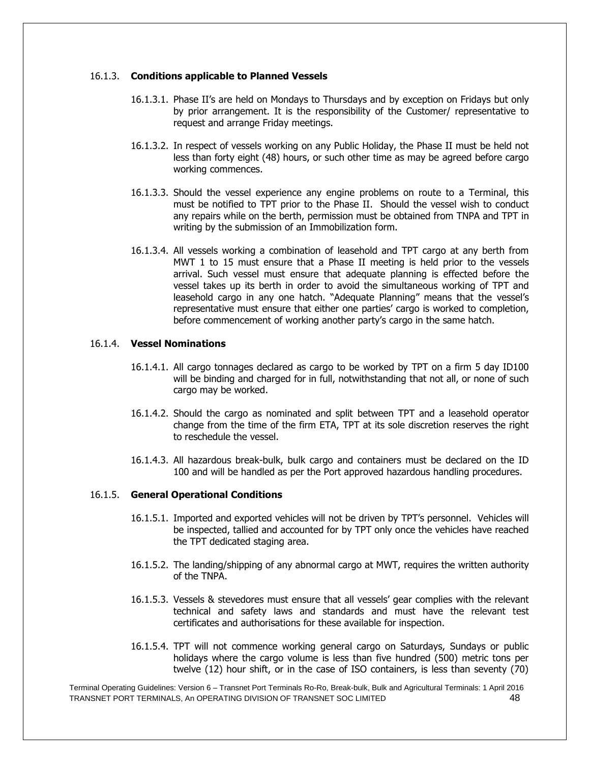#### 16.1.3. **Conditions applicable to Planned Vessels**

- 16.1.3.1. Phase II's are held on Mondays to Thursdays and by exception on Fridays but only by prior arrangement. It is the responsibility of the Customer/ representative to request and arrange Friday meetings.
- 16.1.3.2. In respect of vessels working on any Public Holiday, the Phase II must be held not less than forty eight (48) hours, or such other time as may be agreed before cargo working commences.
- 16.1.3.3. Should the vessel experience any engine problems on route to a Terminal, this must be notified to TPT prior to the Phase II. Should the vessel wish to conduct any repairs while on the berth, permission must be obtained from TNPA and TPT in writing by the submission of an Immobilization form.
- 16.1.3.4. All vessels working a combination of leasehold and TPT cargo at any berth from MWT 1 to 15 must ensure that a Phase II meeting is held prior to the vessels arrival. Such vessel must ensure that adequate planning is effected before the vessel takes up its berth in order to avoid the simultaneous working of TPT and leasehold cargo in any one hatch. "Adequate Planning" means that the vessel's representative must ensure that either one parties' cargo is worked to completion, before commencement of working another party's cargo in the same hatch.

# 16.1.4. **Vessel Nominations**

- 16.1.4.1. All cargo tonnages declared as cargo to be worked by TPT on a firm 5 day ID100 will be binding and charged for in full, notwithstanding that not all, or none of such cargo may be worked.
- 16.1.4.2. Should the cargo as nominated and split between TPT and a leasehold operator change from the time of the firm ETA, TPT at its sole discretion reserves the right to reschedule the vessel.
- 16.1.4.3. All hazardous break-bulk, bulk cargo and containers must be declared on the ID 100 and will be handled as per the Port approved hazardous handling procedures.

#### 16.1.5. **General Operational Conditions**

- 16.1.5.1. Imported and exported vehicles will not be driven by TPT's personnel. Vehicles will be inspected, tallied and accounted for by TPT only once the vehicles have reached the TPT dedicated staging area.
- 16.1.5.2. The landing/shipping of any abnormal cargo at MWT, requires the written authority of the TNPA.
- 16.1.5.3. Vessels & stevedores must ensure that all vessels' gear complies with the relevant technical and safety laws and standards and must have the relevant test certificates and authorisations for these available for inspection.
- 16.1.5.4. TPT will not commence working general cargo on Saturdays, Sundays or public holidays where the cargo volume is less than five hundred (500) metric tons per twelve (12) hour shift, or in the case of ISO containers, is less than seventy (70)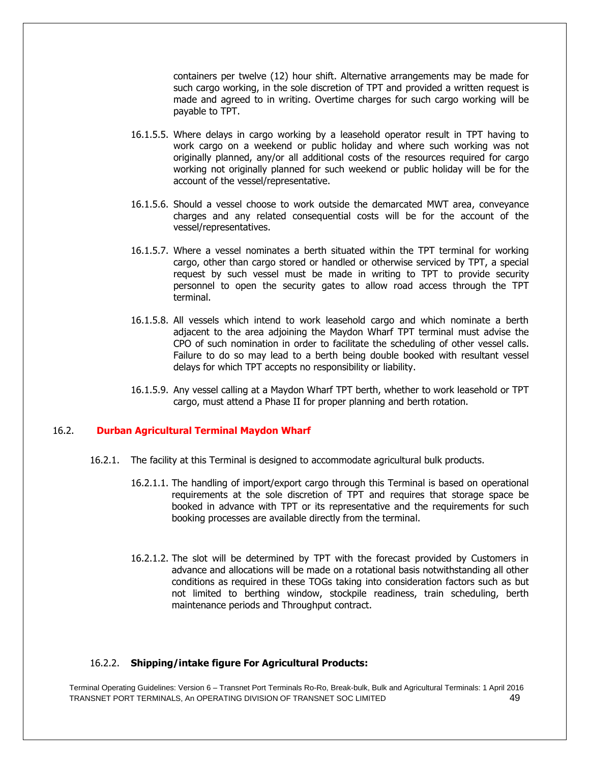containers per twelve (12) hour shift. Alternative arrangements may be made for such cargo working, in the sole discretion of TPT and provided a written request is made and agreed to in writing. Overtime charges for such cargo working will be payable to TPT.

- 16.1.5.5. Where delays in cargo working by a leasehold operator result in TPT having to work cargo on a weekend or public holiday and where such working was not originally planned, any/or all additional costs of the resources required for cargo working not originally planned for such weekend or public holiday will be for the account of the vessel/representative.
- 16.1.5.6. Should a vessel choose to work outside the demarcated MWT area, conveyance charges and any related consequential costs will be for the account of the vessel/representatives.
- 16.1.5.7. Where a vessel nominates a berth situated within the TPT terminal for working cargo, other than cargo stored or handled or otherwise serviced by TPT, a special request by such vessel must be made in writing to TPT to provide security personnel to open the security gates to allow road access through the TPT terminal.
- 16.1.5.8. All vessels which intend to work leasehold cargo and which nominate a berth adjacent to the area adjoining the Maydon Wharf TPT terminal must advise the CPO of such nomination in order to facilitate the scheduling of other vessel calls. Failure to do so may lead to a berth being double booked with resultant vessel delays for which TPT accepts no responsibility or liability.
- 16.1.5.9. Any vessel calling at a Maydon Wharf TPT berth, whether to work leasehold or TPT cargo, must attend a Phase II for proper planning and berth rotation.

#### 16.2. **Durban Agricultural Terminal Maydon Wharf**

- 16.2.1. The facility at this Terminal is designed to accommodate agricultural bulk products.
	- 16.2.1.1. The handling of import/export cargo through this Terminal is based on operational requirements at the sole discretion of TPT and requires that storage space be booked in advance with TPT or its representative and the requirements for such booking processes are available directly from the terminal.
	- 16.2.1.2. The slot will be determined by TPT with the forecast provided by Customers in advance and allocations will be made on a rotational basis notwithstanding all other conditions as required in these TOGs taking into consideration factors such as but not limited to berthing window, stockpile readiness, train scheduling, berth maintenance periods and Throughput contract.

#### 16.2.2. **Shipping/intake figure For Agricultural Products:**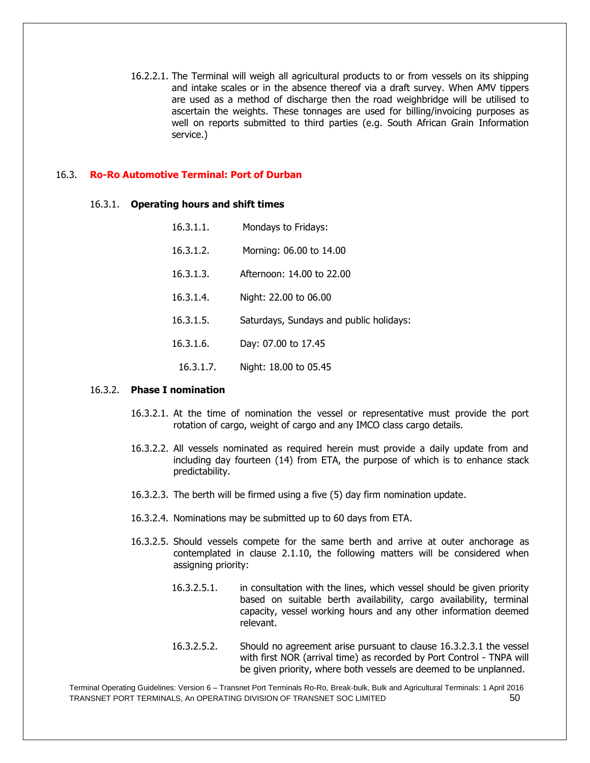16.2.2.1. The Terminal will weigh all agricultural products to or from vessels on its shipping and intake scales or in the absence thereof via a draft survey. When AMV tippers are used as a method of discharge then the road weighbridge will be utilised to ascertain the weights. These tonnages are used for billing/invoicing purposes as well on reports submitted to third parties (e.g. South African Grain Information service.)

# 16.3. **Ro-Ro Automotive Terminal: Port of Durban**

#### 16.3.1. **Operating hours and shift times**

| 16.3.1.1. | Mondays to Fridays:                     |
|-----------|-----------------------------------------|
| 16.3.1.2. | Morning: 06.00 to 14.00                 |
| 16.3.1.3. | Afternoon: 14.00 to 22.00               |
| 16.3.1.4. | Night: 22.00 to 06.00                   |
| 16.3.1.5. | Saturdays, Sundays and public holidays: |
| 16.3.1.6. | Day: 07.00 to 17.45                     |
| 16.3.1.7. | Night: 18.00 to 05.45                   |

#### 16.3.2. **Phase I nomination**

- 16.3.2.1. At the time of nomination the vessel or representative must provide the port rotation of cargo, weight of cargo and any IMCO class cargo details.
- 16.3.2.2. All vessels nominated as required herein must provide a daily update from and including day fourteen (14) from ETA, the purpose of which is to enhance stack predictability.
- 16.3.2.3. The berth will be firmed using a five (5) day firm nomination update.
- 16.3.2.4. Nominations may be submitted up to 60 days from ETA.
- 16.3.2.5. Should vessels compete for the same berth and arrive at outer anchorage as contemplated in clause 2.1.10, the following matters will be considered when assigning priority:
	- 16.3.2.5.1. in consultation with the lines, which vessel should be given priority based on suitable berth availability, cargo availability, terminal capacity, vessel working hours and any other information deemed relevant.
	- 16.3.2.5.2. Should no agreement arise pursuant to clause 16.3.2.3.1 the vessel with first NOR (arrival time) as recorded by Port Control - TNPA will be given priority, where both vessels are deemed to be unplanned.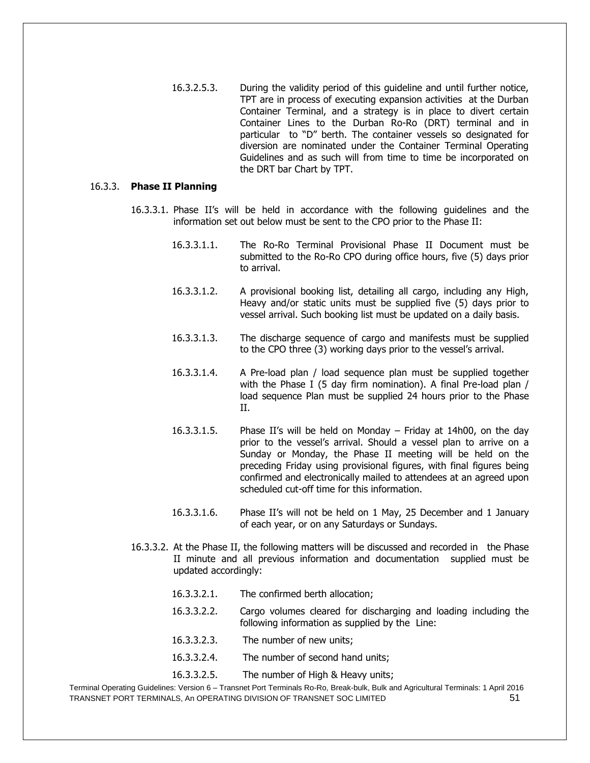16.3.2.5.3. During the validity period of this guideline and until further notice, TPT are in process of executing expansion activities at the Durban Container Terminal, and a strategy is in place to divert certain Container Lines to the Durban Ro-Ro (DRT) terminal and in particular to "D" berth. The container vessels so designated for diversion are nominated under the Container Terminal Operating Guidelines and as such will from time to time be incorporated on the DRT bar Chart by TPT.

#### 16.3.3. **Phase II Planning**

- 16.3.3.1. Phase II's will be held in accordance with the following guidelines and the information set out below must be sent to the CPO prior to the Phase II:
	- 16.3.3.1.1. The Ro-Ro Terminal Provisional Phase II Document must be submitted to the Ro-Ro CPO during office hours, five (5) days prior to arrival.
	- 16.3.3.1.2. A provisional booking list, detailing all cargo, including any High, Heavy and/or static units must be supplied five (5) days prior to vessel arrival. Such booking list must be updated on a daily basis.
	- 16.3.3.1.3. The discharge sequence of cargo and manifests must be supplied to the CPO three (3) working days prior to the vessel's arrival.
	- 16.3.3.1.4. A Pre-load plan / load sequence plan must be supplied together with the Phase I (5 day firm nomination). A final Pre-load plan / load sequence Plan must be supplied 24 hours prior to the Phase II.
	- 16.3.3.1.5. Phase II's will be held on Monday Friday at 14h00, on the day prior to the vessel's arrival. Should a vessel plan to arrive on a Sunday or Monday, the Phase II meeting will be held on the preceding Friday using provisional figures, with final figures being confirmed and electronically mailed to attendees at an agreed upon scheduled cut-off time for this information.
	- 16.3.3.1.6. Phase II's will not be held on 1 May, 25 December and 1 January of each year, or on any Saturdays or Sundays.
- 16.3.3.2. At the Phase II, the following matters will be discussed and recorded in the Phase II minute and all previous information and documentation supplied must be updated accordingly:
	- 16.3.3.2.1. The confirmed berth allocation;
	- 16.3.3.2.2. Cargo volumes cleared for discharging and loading including the following information as supplied by the Line:
	- 16.3.3.2.3. The number of new units;
	- 16.3.3.2.4. The number of second hand units;
	- 16.3.3.2.5. The number of High & Heavy units;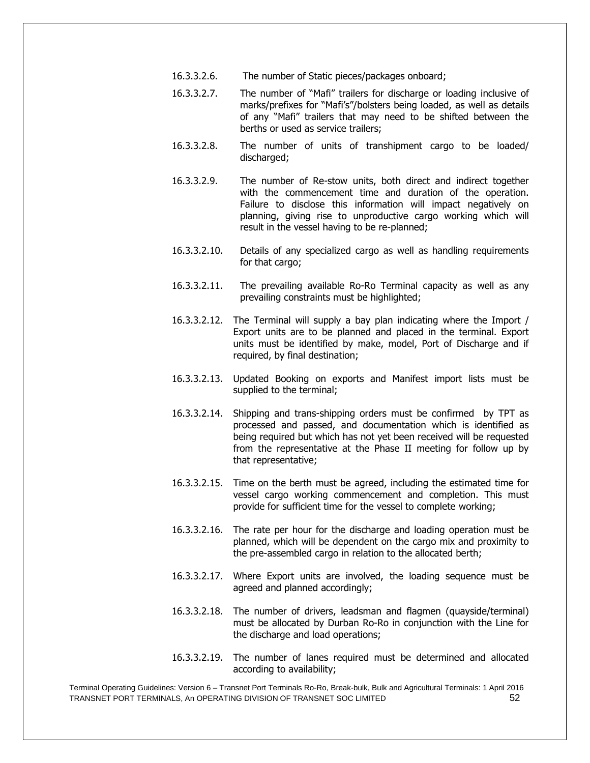- 16.3.3.2.6. The number of Static pieces/packages onboard;
- 16.3.3.2.7. The number of "Mafi" trailers for discharge or loading inclusive of marks/prefixes for "Mafi's"/bolsters being loaded, as well as details of any "Mafi" trailers that may need to be shifted between the berths or used as service trailers;
- 16.3.3.2.8. The number of units of transhipment cargo to be loaded/ discharged;
- 16.3.3.2.9. The number of Re-stow units, both direct and indirect together with the commencement time and duration of the operation. Failure to disclose this information will impact negatively on planning, giving rise to unproductive cargo working which will result in the vessel having to be re-planned;
- 16.3.3.2.10. Details of any specialized cargo as well as handling requirements for that cargo;
- 16.3.3.2.11. The prevailing available Ro-Ro Terminal capacity as well as any prevailing constraints must be highlighted;
- 16.3.3.2.12. The Terminal will supply a bay plan indicating where the Import / Export units are to be planned and placed in the terminal. Export units must be identified by make, model, Port of Discharge and if required, by final destination;
- 16.3.3.2.13. Updated Booking on exports and Manifest import lists must be supplied to the terminal;
- 16.3.3.2.14. Shipping and trans-shipping orders must be confirmed by TPT as processed and passed, and documentation which is identified as being required but which has not yet been received will be requested from the representative at the Phase II meeting for follow up by that representative;
- 16.3.3.2.15. Time on the berth must be agreed, including the estimated time for vessel cargo working commencement and completion. This must provide for sufficient time for the vessel to complete working;
- 16.3.3.2.16. The rate per hour for the discharge and loading operation must be planned, which will be dependent on the cargo mix and proximity to the pre-assembled cargo in relation to the allocated berth;
- 16.3.3.2.17. Where Export units are involved, the loading sequence must be agreed and planned accordingly;
- 16.3.3.2.18. The number of drivers, leadsman and flagmen (quayside/terminal) must be allocated by Durban Ro-Ro in conjunction with the Line for the discharge and load operations;
- 16.3.3.2.19. The number of lanes required must be determined and allocated according to availability;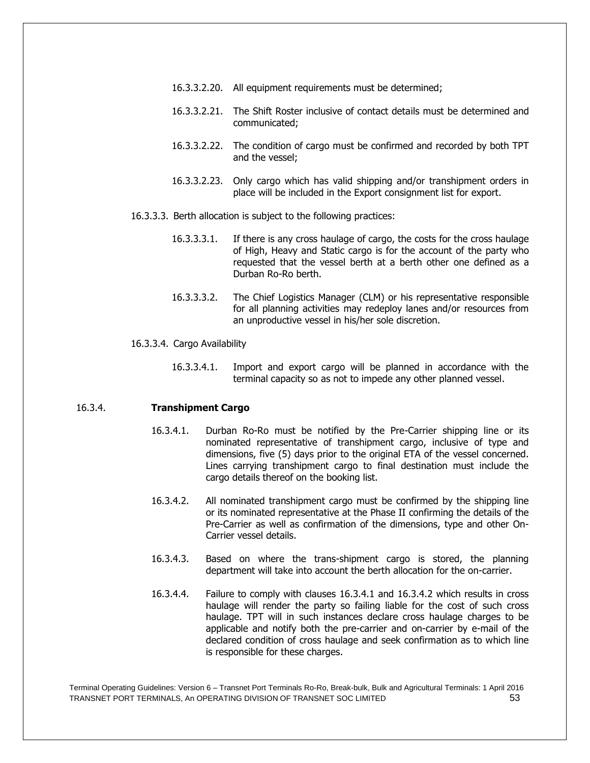- 16.3.3.2.20. All equipment requirements must be determined;
- 16.3.3.2.21. The Shift Roster inclusive of contact details must be determined and communicated;
- 16.3.3.2.22. The condition of cargo must be confirmed and recorded by both TPT and the vessel;
- 16.3.3.2.23. Only cargo which has valid shipping and/or transhipment orders in place will be included in the Export consignment list for export.
- 16.3.3.3. Berth allocation is subject to the following practices:
	- 16.3.3.3.1. If there is any cross haulage of cargo, the costs for the cross haulage of High, Heavy and Static cargo is for the account of the party who requested that the vessel berth at a berth other one defined as a Durban Ro-Ro berth.
	- 16.3.3.3.2. The Chief Logistics Manager (CLM) or his representative responsible for all planning activities may redeploy lanes and/or resources from an unproductive vessel in his/her sole discretion.

#### 16.3.3.4. Cargo Availability

16.3.3.4.1. Import and export cargo will be planned in accordance with the terminal capacity so as not to impede any other planned vessel.

# 16.3.4. **Transhipment Cargo**

- 16.3.4.1. Durban Ro-Ro must be notified by the Pre-Carrier shipping line or its nominated representative of transhipment cargo, inclusive of type and dimensions, five (5) days prior to the original ETA of the vessel concerned. Lines carrying transhipment cargo to final destination must include the cargo details thereof on the booking list.
- 16.3.4.2. All nominated transhipment cargo must be confirmed by the shipping line or its nominated representative at the Phase II confirming the details of the Pre-Carrier as well as confirmation of the dimensions, type and other On-Carrier vessel details.
- 16.3.4.3. Based on where the trans-shipment cargo is stored, the planning department will take into account the berth allocation for the on-carrier.
- 16.3.4.4. Failure to comply with clauses 16.3.4.1 and 16.3.4.2 which results in cross haulage will render the party so failing liable for the cost of such cross haulage. TPT will in such instances declare cross haulage charges to be applicable and notify both the pre-carrier and on-carrier by e-mail of the declared condition of cross haulage and seek confirmation as to which line is responsible for these charges.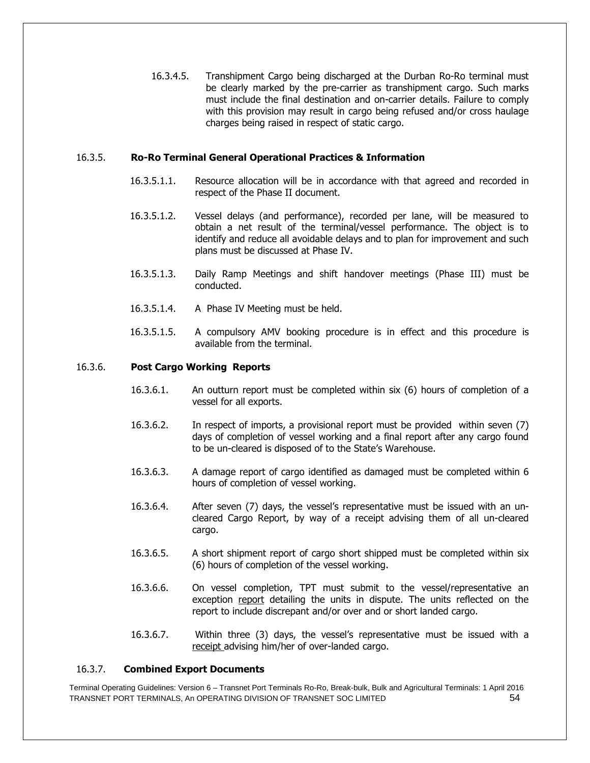16.3.4.5. Transhipment Cargo being discharged at the Durban Ro-Ro terminal must be clearly marked by the pre-carrier as transhipment cargo. Such marks must include the final destination and on-carrier details. Failure to comply with this provision may result in cargo being refused and/or cross haulage charges being raised in respect of static cargo.

# 16.3.5. **Ro-Ro Terminal General Operational Practices & Information**

- 16.3.5.1.1. Resource allocation will be in accordance with that agreed and recorded in respect of the Phase II document.
- 16.3.5.1.2. Vessel delays (and performance), recorded per lane, will be measured to obtain a net result of the terminal/vessel performance. The object is to identify and reduce all avoidable delays and to plan for improvement and such plans must be discussed at Phase IV.
- 16.3.5.1.3. Daily Ramp Meetings and shift handover meetings (Phase III) must be conducted.
- 16.3.5.1.4. A Phase IV Meeting must be held.
- 16.3.5.1.5. A compulsory AMV booking procedure is in effect and this procedure is available from the terminal.

# 16.3.6. **Post Cargo Working Reports**

- 16.3.6.1. An outturn report must be completed within six (6) hours of completion of a vessel for all exports.
- 16.3.6.2. In respect of imports, a provisional report must be provided within seven (7) days of completion of vessel working and a final report after any cargo found to be un-cleared is disposed of to the State's Warehouse.
- 16.3.6.3. A damage report of cargo identified as damaged must be completed within 6 hours of completion of vessel working.
- 16.3.6.4. After seven (7) days, the vessel's representative must be issued with an uncleared Cargo Report, by way of a receipt advising them of all un-cleared cargo.
- 16.3.6.5. A short shipment report of cargo short shipped must be completed within six (6) hours of completion of the vessel working.
- 16.3.6.6. On vessel completion, TPT must submit to the vessel/representative an exception report detailing the units in dispute. The units reflected on the report to include discrepant and/or over and or short landed cargo.
- 16.3.6.7. Within three (3) days, the vessel's representative must be issued with a receipt advising him/her of over-landed cargo.

#### 16.3.7. **Combined Export Documents**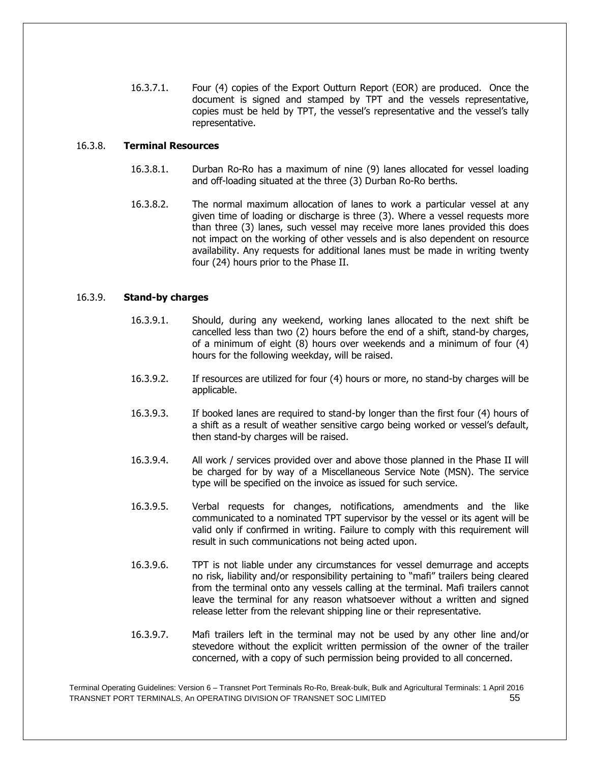16.3.7.1. Four (4) copies of the Export Outturn Report (EOR) are produced. Once the document is signed and stamped by TPT and the vessels representative, copies must be held by TPT, the vessel's representative and the vessel's tally representative.

# 16.3.8. **Terminal Resources**

- 16.3.8.1. Durban Ro-Ro has a maximum of nine (9) lanes allocated for vessel loading and off-loading situated at the three (3) Durban Ro-Ro berths.
- 16.3.8.2. The normal maximum allocation of lanes to work a particular vessel at any given time of loading or discharge is three (3). Where a vessel requests more than three (3) lanes, such vessel may receive more lanes provided this does not impact on the working of other vessels and is also dependent on resource availability. Any requests for additional lanes must be made in writing twenty four (24) hours prior to the Phase II.

# 16.3.9. **Stand-by charges**

- 16.3.9.1. Should, during any weekend, working lanes allocated to the next shift be cancelled less than two (2) hours before the end of a shift, stand-by charges, of a minimum of eight (8) hours over weekends and a minimum of four (4) hours for the following weekday, will be raised.
- 16.3.9.2. If resources are utilized for four (4) hours or more, no stand-by charges will be applicable.
- 16.3.9.3. If booked lanes are required to stand-by longer than the first four (4) hours of a shift as a result of weather sensitive cargo being worked or vessel's default, then stand-by charges will be raised.
- 16.3.9.4. All work / services provided over and above those planned in the Phase II will be charged for by way of a Miscellaneous Service Note (MSN). The service type will be specified on the invoice as issued for such service.
- 16.3.9.5. Verbal requests for changes, notifications, amendments and the like communicated to a nominated TPT supervisor by the vessel or its agent will be valid only if confirmed in writing. Failure to comply with this requirement will result in such communications not being acted upon.
- 16.3.9.6. TPT is not liable under any circumstances for vessel demurrage and accepts no risk, liability and/or responsibility pertaining to "mafi" trailers being cleared from the terminal onto any vessels calling at the terminal. Mafi trailers cannot leave the terminal for any reason whatsoever without a written and signed release letter from the relevant shipping line or their representative.
- 16.3.9.7. Mafi trailers left in the terminal may not be used by any other line and/or stevedore without the explicit written permission of the owner of the trailer concerned, with a copy of such permission being provided to all concerned.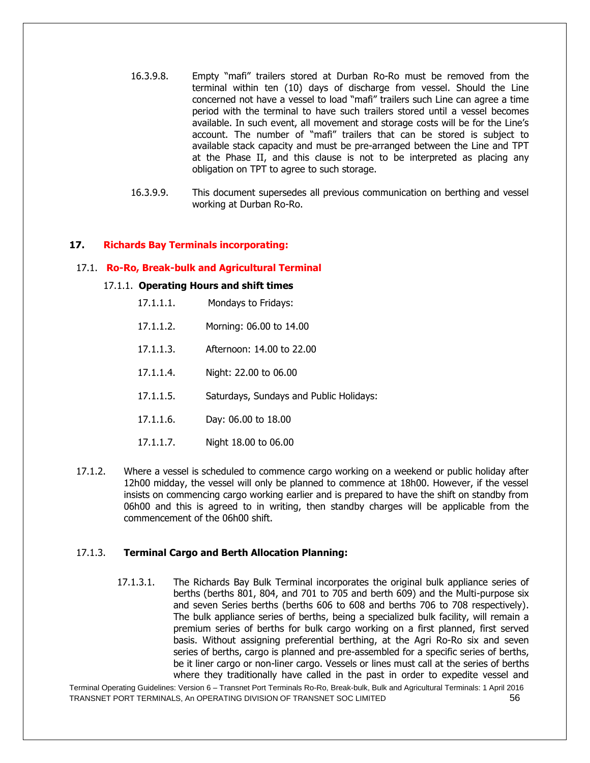- 16.3.9.8. Empty "mafi" trailers stored at Durban Ro-Ro must be removed from the terminal within ten (10) days of discharge from vessel. Should the Line concerned not have a vessel to load "mafi" trailers such Line can agree a time period with the terminal to have such trailers stored until a vessel becomes available. In such event, all movement and storage costs will be for the Line's account. The number of "mafi" trailers that can be stored is subject to available stack capacity and must be pre-arranged between the Line and TPT at the Phase II, and this clause is not to be interpreted as placing any obligation on TPT to agree to such storage.
- 16.3.9.9. This document supersedes all previous communication on berthing and vessel working at Durban Ro-Ro.

#### **17. Richards Bay Terminals incorporating:**

#### 17.1. **Ro-Ro, Break-bulk and Agricultural Terminal**

#### 17.1.1. **Operating Hours and shift times**

- 17.1.1.1. Mondays to Fridays:
- 17.1.1.2. Morning: 06.00 to 14.00
- 17.1.1.3. Afternoon: 14.00 to 22.00
- 17.1.1.4. Night: 22.00 to 06.00
- 17.1.1.5. Saturdays, Sundays and Public Holidays:
- 17.1.1.6. Day: 06.00 to 18.00
- 17.1.1.7. Night 18.00 to 06.00
- 17.1.2. Where a vessel is scheduled to commence cargo working on a weekend or public holiday after 12h00 midday, the vessel will only be planned to commence at 18h00. However, if the vessel insists on commencing cargo working earlier and is prepared to have the shift on standby from 06h00 and this is agreed to in writing, then standby charges will be applicable from the commencement of the 06h00 shift.

#### 17.1.3. **Terminal Cargo and Berth Allocation Planning:**

17.1.3.1. The Richards Bay Bulk Terminal incorporates the original bulk appliance series of berths (berths 801, 804, and 701 to 705 and berth 609) and the Multi-purpose six and seven Series berths (berths 606 to 608 and berths 706 to 708 respectively). The bulk appliance series of berths, being a specialized bulk facility, will remain a premium series of berths for bulk cargo working on a first planned, first served basis. Without assigning preferential berthing, at the Agri Ro-Ro six and seven series of berths, cargo is planned and pre-assembled for a specific series of berths, be it liner cargo or non-liner cargo. Vessels or lines must call at the series of berths where they traditionally have called in the past in order to expedite vessel and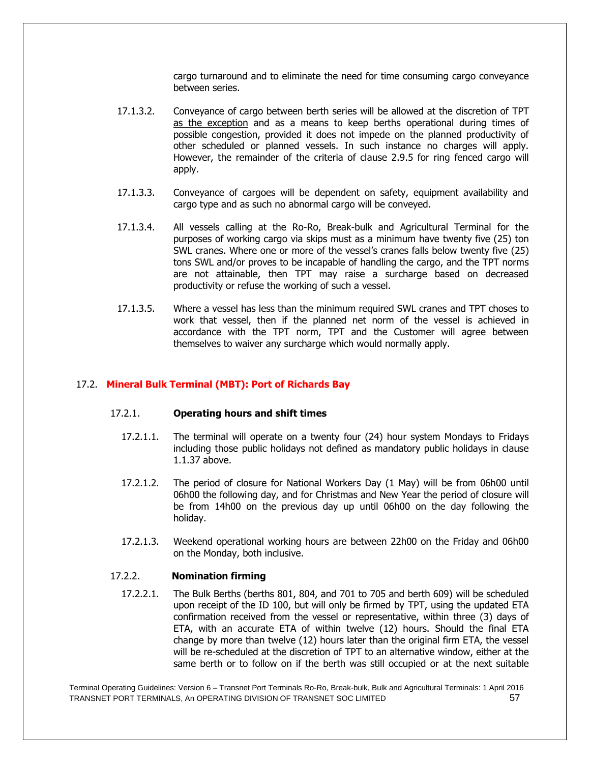cargo turnaround and to eliminate the need for time consuming cargo conveyance between series.

- 17.1.3.2. Conveyance of cargo between berth series will be allowed at the discretion of TPT as the exception and as a means to keep berths operational during times of possible congestion, provided it does not impede on the planned productivity of other scheduled or planned vessels. In such instance no charges will apply. However, the remainder of the criteria of clause 2.9.5 for ring fenced cargo will apply.
- 17.1.3.3. Conveyance of cargoes will be dependent on safety, equipment availability and cargo type and as such no abnormal cargo will be conveyed.
- 17.1.3.4. All vessels calling at the Ro-Ro, Break-bulk and Agricultural Terminal for the purposes of working cargo via skips must as a minimum have twenty five (25) ton SWL cranes. Where one or more of the vessel's cranes falls below twenty five (25) tons SWL and/or proves to be incapable of handling the cargo, and the TPT norms are not attainable, then TPT may raise a surcharge based on decreased productivity or refuse the working of such a vessel.
- 17.1.3.5. Where a vessel has less than the minimum required SWL cranes and TPT choses to work that vessel, then if the planned net norm of the vessel is achieved in accordance with the TPT norm, TPT and the Customer will agree between themselves to waiver any surcharge which would normally apply.

#### 17.2. **Mineral Bulk Terminal (MBT): Port of Richards Bay**

#### 17.2.1. **Operating hours and shift times**

- 17.2.1.1. The terminal will operate on a twenty four (24) hour system Mondays to Fridays including those public holidays not defined as mandatory public holidays in clause 1.1.37 above.
- 17.2.1.2. The period of closure for National Workers Day (1 May) will be from 06h00 until 06h00 the following day, and for Christmas and New Year the period of closure will be from 14h00 on the previous day up until 06h00 on the day following the holiday.
- 17.2.1.3. Weekend operational working hours are between 22h00 on the Friday and 06h00 on the Monday, both inclusive.

#### 17.2.2. **Nomination firming**

17.2.2.1. The Bulk Berths (berths 801, 804, and 701 to 705 and berth 609) will be scheduled upon receipt of the ID 100, but will only be firmed by TPT, using the updated ETA confirmation received from the vessel or representative, within three (3) days of ETA, with an accurate ETA of within twelve (12) hours. Should the final ETA change by more than twelve (12) hours later than the original firm ETA, the vessel will be re-scheduled at the discretion of TPT to an alternative window, either at the same berth or to follow on if the berth was still occupied or at the next suitable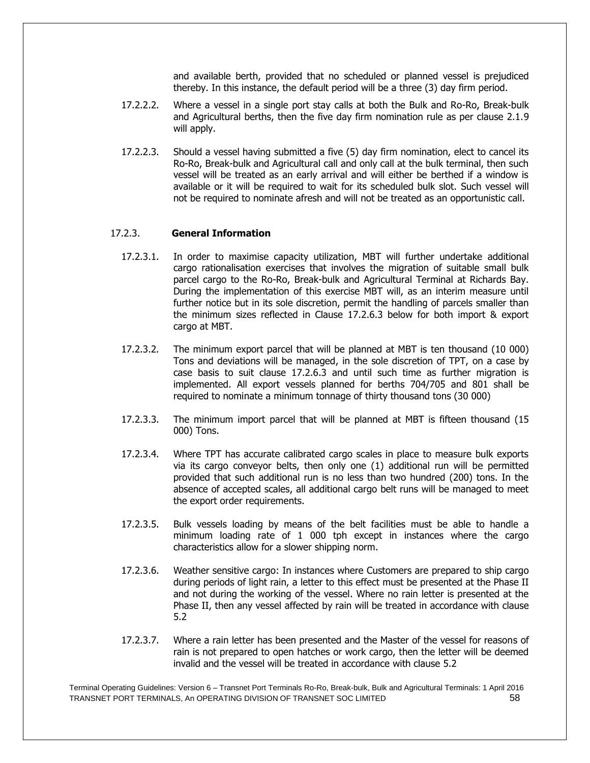and available berth, provided that no scheduled or planned vessel is prejudiced thereby. In this instance, the default period will be a three (3) day firm period.

- 17.2.2.2. Where a vessel in a single port stay calls at both the Bulk and Ro-Ro, Break-bulk and Agricultural berths, then the five day firm nomination rule as per clause 2.1.9 will apply.
- 17.2.2.3. Should a vessel having submitted a five (5) day firm nomination, elect to cancel its Ro-Ro, Break-bulk and Agricultural call and only call at the bulk terminal, then such vessel will be treated as an early arrival and will either be berthed if a window is available or it will be required to wait for its scheduled bulk slot. Such vessel will not be required to nominate afresh and will not be treated as an opportunistic call.

# 17.2.3. **General Information**

- 17.2.3.1. In order to maximise capacity utilization, MBT will further undertake additional cargo rationalisation exercises that involves the migration of suitable small bulk parcel cargo to the Ro-Ro, Break-bulk and Agricultural Terminal at Richards Bay. During the implementation of this exercise MBT will, as an interim measure until further notice but in its sole discretion, permit the handling of parcels smaller than the minimum sizes reflected in Clause 17.2.6.3 below for both import & export cargo at MBT.
- 17.2.3.2. The minimum export parcel that will be planned at MBT is ten thousand (10 000) Tons and deviations will be managed, in the sole discretion of TPT, on a case by case basis to suit clause 17.2.6.3 and until such time as further migration is implemented. All export vessels planned for berths 704/705 and 801 shall be required to nominate a minimum tonnage of thirty thousand tons (30 000)
- 17.2.3.3. The minimum import parcel that will be planned at MBT is fifteen thousand (15 000) Tons.
- 17.2.3.4. Where TPT has accurate calibrated cargo scales in place to measure bulk exports via its cargo conveyor belts, then only one (1) additional run will be permitted provided that such additional run is no less than two hundred (200) tons. In the absence of accepted scales, all additional cargo belt runs will be managed to meet the export order requirements.
- 17.2.3.5. Bulk vessels loading by means of the belt facilities must be able to handle a minimum loading rate of 1 000 tph except in instances where the cargo characteristics allow for a slower shipping norm.
- 17.2.3.6. Weather sensitive cargo: In instances where Customers are prepared to ship cargo during periods of light rain, a letter to this effect must be presented at the Phase II and not during the working of the vessel. Where no rain letter is presented at the Phase II, then any vessel affected by rain will be treated in accordance with clause 5.2
- 17.2.3.7. Where a rain letter has been presented and the Master of the vessel for reasons of rain is not prepared to open hatches or work cargo, then the letter will be deemed invalid and the vessel will be treated in accordance with clause 5.2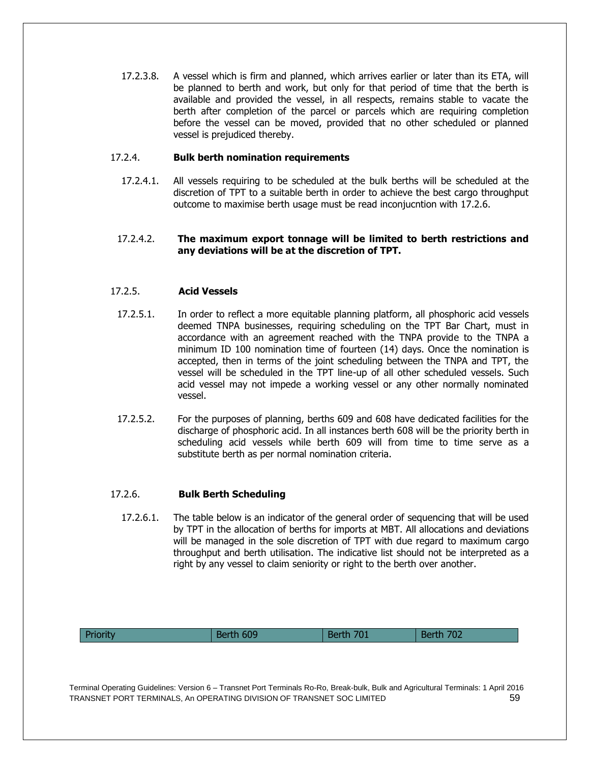17.2.3.8. A vessel which is firm and planned, which arrives earlier or later than its ETA, will be planned to berth and work, but only for that period of time that the berth is available and provided the vessel, in all respects, remains stable to vacate the berth after completion of the parcel or parcels which are requiring completion before the vessel can be moved, provided that no other scheduled or planned vessel is prejudiced thereby.

# 17.2.4. **Bulk berth nomination requirements**

17.2.4.1. All vessels requiring to be scheduled at the bulk berths will be scheduled at the discretion of TPT to a suitable berth in order to achieve the best cargo throughput outcome to maximise berth usage must be read inconjucntion with 17.2.6.

#### 17.2.4.2. **The maximum export tonnage will be limited to berth restrictions and any deviations will be at the discretion of TPT.**

# 17.2.5. **Acid Vessels**

- 17.2.5.1. In order to reflect a more equitable planning platform, all phosphoric acid vessels deemed TNPA businesses, requiring scheduling on the TPT Bar Chart, must in accordance with an agreement reached with the TNPA provide to the TNPA a minimum ID 100 nomination time of fourteen (14) days. Once the nomination is accepted, then in terms of the joint scheduling between the TNPA and TPT, the vessel will be scheduled in the TPT line-up of all other scheduled vessels. Such acid vessel may not impede a working vessel or any other normally nominated vessel.
- 17.2.5.2. For the purposes of planning, berths 609 and 608 have dedicated facilities for the discharge of phosphoric acid. In all instances berth 608 will be the priority berth in scheduling acid vessels while berth 609 will from time to time serve as a substitute berth as per normal nomination criteria.

#### 17.2.6. **Bulk Berth Scheduling**

17.2.6.1. The table below is an indicator of the general order of sequencing that will be used by TPT in the allocation of berths for imports at MBT. All allocations and deviations will be managed in the sole discretion of TPT with due regard to maximum cargo throughput and berth utilisation. The indicative list should not be interpreted as a right by any vessel to claim seniority or right to the berth over another.

| <b>Priorit</b><br>509<br>ר∩ל<br>701<br>Bc<br>me<br><u>UZ</u><br>—————— |
|------------------------------------------------------------------------|
|------------------------------------------------------------------------|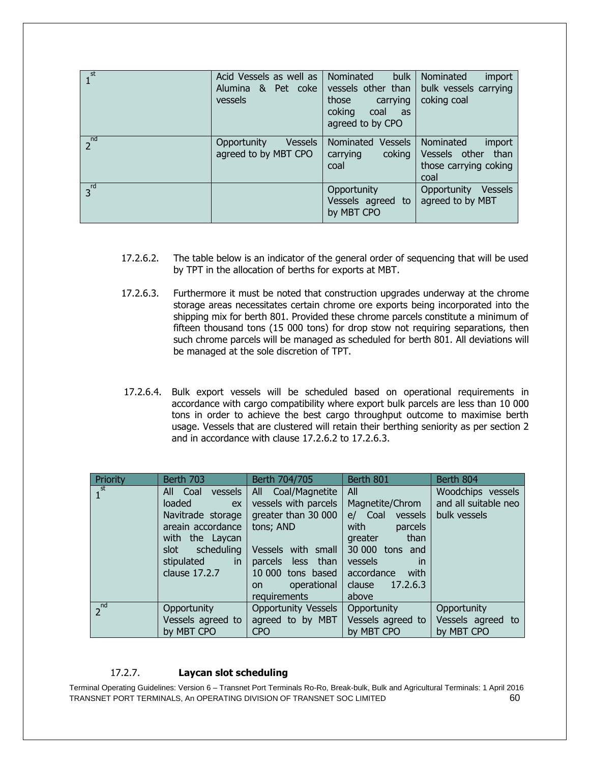| $1^{\text{st}}$ | Acid Vessels as well as<br>Alumina & Pet coke<br>vessels | Nominated<br>bulk<br>vessels other than<br>those<br>carrying<br>coking<br>coal<br>as<br>agreed to by CPO | Nominated<br>import<br>bulk vessels carrying<br>coking coal                   |
|-----------------|----------------------------------------------------------|----------------------------------------------------------------------------------------------------------|-------------------------------------------------------------------------------|
| $2^{nd}$        | <b>Vessels</b><br>Opportunity<br>agreed to by MBT CPO    | Nominated Vessels<br>coking<br>carrying<br>coal                                                          | Nominated<br>import<br>Vessels other<br>than<br>those carrying coking<br>coal |
| $3^{rd}$        |                                                          | Opportunity<br>Vessels agreed to<br>by MBT CPO                                                           | Vessels<br>Opportunity<br>agreed to by MBT                                    |

- 17.2.6.2. The table below is an indicator of the general order of sequencing that will be used by TPT in the allocation of berths for exports at MBT.
- 17.2.6.3. Furthermore it must be noted that construction upgrades underway at the chrome storage areas necessitates certain chrome ore exports being incorporated into the shipping mix for berth 801. Provided these chrome parcels constitute a minimum of fifteen thousand tons (15 000 tons) for drop stow not requiring separations, then such chrome parcels will be managed as scheduled for berth 801. All deviations will be managed at the sole discretion of TPT.
- 17.2.6.4. Bulk export vessels will be scheduled based on operational requirements in accordance with cargo compatibility where export bulk parcels are less than 10 000 tons in order to achieve the best cargo throughput outcome to maximise berth usage. Vessels that are clustered will retain their berthing seniority as per section 2 and in accordance with clause 17.2.6.2 to 17.2.6.3.

| Priority          | Berth 703                                                                                                                                                   | Berth 704/705                                                                                                                                                                           | Berth 801                                                                                                                                                                       | Berth 804                                                 |
|-------------------|-------------------------------------------------------------------------------------------------------------------------------------------------------------|-----------------------------------------------------------------------------------------------------------------------------------------------------------------------------------------|---------------------------------------------------------------------------------------------------------------------------------------------------------------------------------|-----------------------------------------------------------|
| $1^{\frac{st}{}}$ | vessels<br>All Coal<br>loaded<br>ex<br>Navitrade storage<br>areain accordance<br>with the Laycan<br>scheduling<br>slot<br>in<br>stipulated<br>clause 17.2.7 | Coal/Magnetite<br>All<br>vessels with parcels<br>greater than 30 000<br>tons; AND<br>Vessels with small<br>parcels less than<br>10 000 tons based<br>operational<br>on.<br>requirements | All<br>Magnetite/Chrom<br>e/ Coal vessels<br>with<br>parcels<br>than<br>greater<br>30 000 tons and<br>vessels<br><i>in</i><br>with<br>accordance<br>clause<br>17.2.6.3<br>above | Woodchips vessels<br>and all suitable neo<br>bulk vessels |
| $2^{nd}$          | Opportunity<br>Vessels agreed to<br>by MBT CPO                                                                                                              | <b>Opportunity Vessels</b><br>agreed to by MBT<br>CPO                                                                                                                                   | Opportunity<br>Vessels agreed to<br>by MBT CPO                                                                                                                                  | Opportunity<br>Vessels agreed to<br>by MBT CPO            |

# 17.2.7. **Laycan slot scheduling**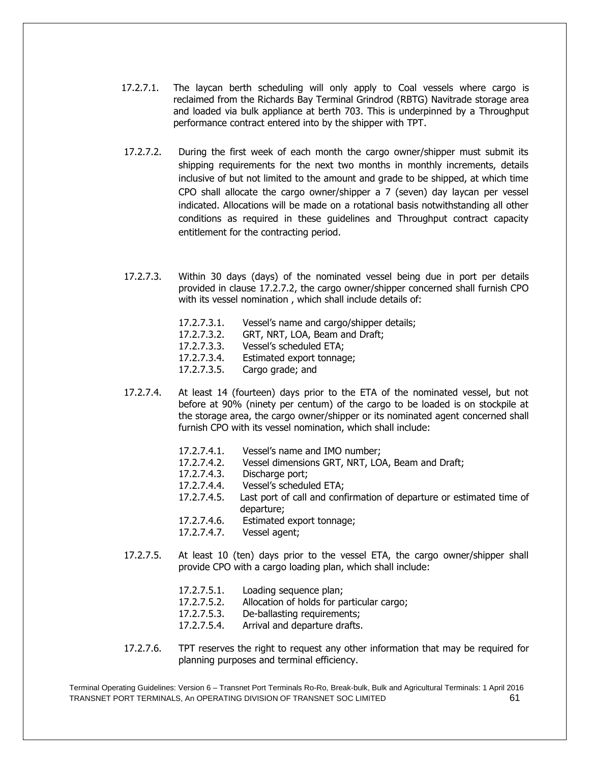- 17.2.7.1. The laycan berth scheduling will only apply to Coal vessels where cargo is reclaimed from the Richards Bay Terminal Grindrod (RBTG) Navitrade storage area and loaded via bulk appliance at berth 703. This is underpinned by a Throughput performance contract entered into by the shipper with TPT.
- 17.2.7.2. During the first week of each month the cargo owner/shipper must submit its shipping requirements for the next two months in monthly increments, details inclusive of but not limited to the amount and grade to be shipped, at which time CPO shall allocate the cargo owner/shipper a 7 (seven) day laycan per vessel indicated. Allocations will be made on a rotational basis notwithstanding all other conditions as required in these guidelines and Throughput contract capacity entitlement for the contracting period.
- 17.2.7.3. Within 30 days (days) of the nominated vessel being due in port per details provided in clause 17.2.7.2, the cargo owner/shipper concerned shall furnish CPO with its vessel nomination , which shall include details of:
	- 17.2.7.3.1. Vessel's name and cargo/shipper details;
	- 17.2.7.3.2. GRT, NRT, LOA, Beam and Draft;
	- 17.2.7.3.3. Vessel's scheduled ETA;
	- 17.2.7.3.4. Estimated export tonnage;
	- 17.2.7.3.5. Cargo grade; and
- 17.2.7.4. At least 14 (fourteen) days prior to the ETA of the nominated vessel, but not before at 90% (ninety per centum) of the cargo to be loaded is on stockpile at the storage area, the cargo owner/shipper or its nominated agent concerned shall furnish CPO with its vessel nomination, which shall include:
	- 17.2.7.4.1. Vessel's name and IMO number;
	- 17.2.7.4.2. Vessel dimensions GRT, NRT, LOA, Beam and Draft;
	- 17.2.7.4.3. Discharge port;
	- 17.2.7.4.4. Vessel's scheduled ETA;
	- 17.2.7.4.5. Last port of call and confirmation of departure or estimated time of departure;
	- 17.2.7.4.6. Estimated export tonnage;
	- 17.2.7.4.7. Vessel agent;
- 17.2.7.5. At least 10 (ten) days prior to the vessel ETA, the cargo owner/shipper shall provide CPO with a cargo loading plan, which shall include:
	- 17.2.7.5.1. Loading sequence plan;
	- 17.2.7.5.2. Allocation of holds for particular cargo;
	- 17.2.7.5.3. De-ballasting requirements;
	- 17.2.7.5.4. Arrival and departure drafts.
- 17.2.7.6. TPT reserves the right to request any other information that may be required for planning purposes and terminal efficiency.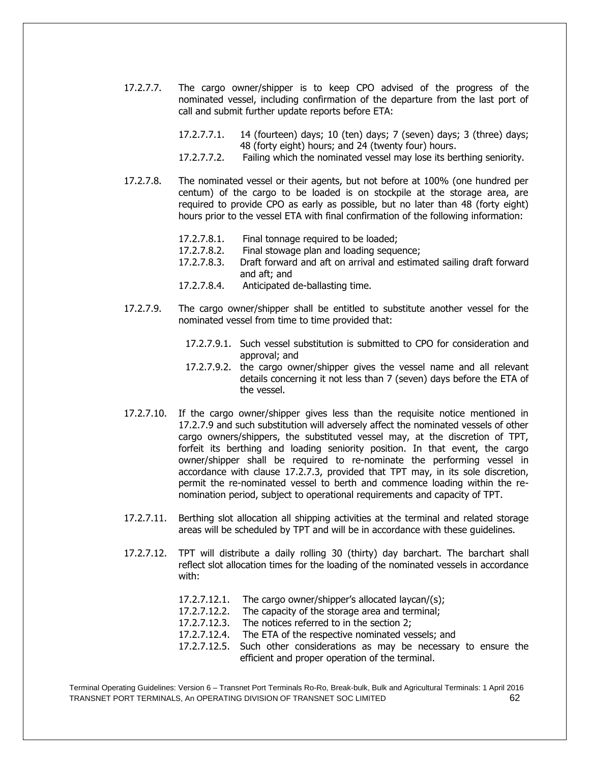- 17.2.7.7. The cargo owner/shipper is to keep CPO advised of the progress of the nominated vessel, including confirmation of the departure from the last port of call and submit further update reports before ETA:
	- 17.2.7.7.1. 14 (fourteen) days; 10 (ten) days; 7 (seven) days; 3 (three) days; 48 (forty eight) hours; and 24 (twenty four) hours.
	- 17.2.7.7.2. Failing which the nominated vessel may lose its berthing seniority.
- 17.2.7.8. The nominated vessel or their agents, but not before at 100% (one hundred per centum) of the cargo to be loaded is on stockpile at the storage area, are required to provide CPO as early as possible, but no later than 48 (forty eight) hours prior to the vessel ETA with final confirmation of the following information:
	- 17.2.7.8.1. Final tonnage required to be loaded;
	- 17.2.7.8.2. Final stowage plan and loading sequence;
	- 17.2.7.8.3. Draft forward and aft on arrival and estimated sailing draft forward and aft; and
	- 17.2.7.8.4. Anticipated de-ballasting time.
- 17.2.7.9. The cargo owner/shipper shall be entitled to substitute another vessel for the nominated vessel from time to time provided that:
	- 17.2.7.9.1. Such vessel substitution is submitted to CPO for consideration and approval; and
	- 17.2.7.9.2. the cargo owner/shipper gives the vessel name and all relevant details concerning it not less than 7 (seven) days before the ETA of the vessel.
- 17.2.7.10. If the cargo owner/shipper gives less than the requisite notice mentioned in 17.2.7.9 and such substitution will adversely affect the nominated vessels of other cargo owners/shippers, the substituted vessel may, at the discretion of TPT, forfeit its berthing and loading seniority position. In that event, the cargo owner/shipper shall be required to re-nominate the performing vessel in accordance with clause 17.2.7.3, provided that TPT may, in its sole discretion, permit the re-nominated vessel to berth and commence loading within the renomination period, subject to operational requirements and capacity of TPT.
- 17.2.7.11. Berthing slot allocation all shipping activities at the terminal and related storage areas will be scheduled by TPT and will be in accordance with these guidelines.
- 17.2.7.12. TPT will distribute a daily rolling 30 (thirty) day barchart. The barchart shall reflect slot allocation times for the loading of the nominated vessels in accordance with:
	- 17.2.7.12.1. The cargo owner/shipper's allocated laycan/(s);
	- 17.2.7.12.2. The capacity of the storage area and terminal;
	- 17.2.7.12.3. The notices referred to in the section 2;
	- 17.2.7.12.4. The ETA of the respective nominated vessels; and
	- 17.2.7.12.5. Such other considerations as may be necessary to ensure the efficient and proper operation of the terminal.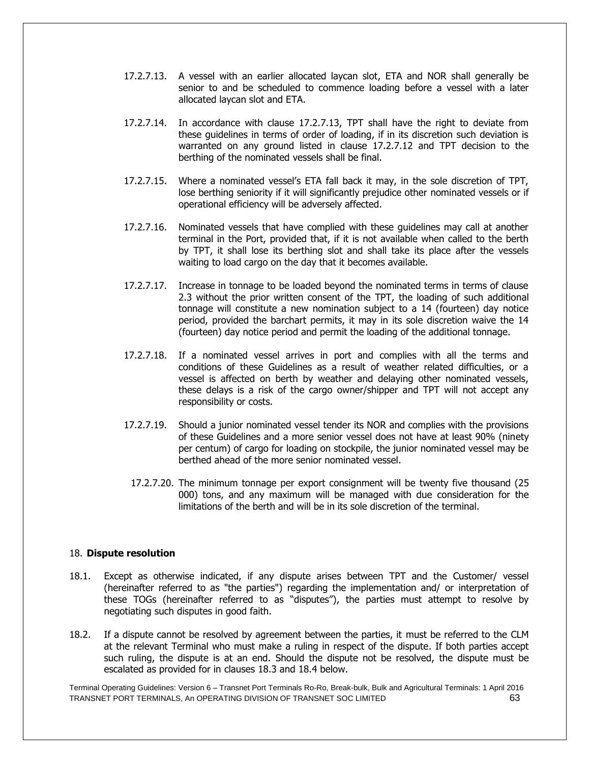- 17.2.7.13. A vessel with an earlier allocated laycan slot, ETA and NOR shall generally be senior to and be scheduled to commence loading before a vessel with a later allocated laycan slot and ETA.
- 17.2.7.14. In accordance with clause 17.2.7.13, TPT shall have the right to deviate from these guidelines in terms of order of loading, if in its discretion such deviation is warranted on any ground listed in clause 17.2.7.12 and TPT decision to the berthing of the nominated vessels shall be final.
- 17.2.7.15. Where a nominated vessel's ETA fall back it may, in the sole discretion of TPT, lose berthing seniority if it will significantly prejudice other nominated vessels or if operational efficiency will be adversely affected.
- 17.2.7.16. Nominated vessels that have complied with these guidelines may call at another terminal in the Port, provided that, if it is not available when called to the berth by TPT, it shall lose its berthing slot and shall take its place after the vessels waiting to load cargo on the day that it becomes available.
- 17.2.7.17. Increase in tonnage to be loaded beyond the nominated terms in terms of clause 2.3 without the prior written consent of the TPT, the loading of such additional tonnage will constitute a new nomination subject to a 14 (fourteen) day notice period, provided the barchart permits, it may in its sole discretion waive the 14 (fourteen) day notice period and permit the loading of the additional tonnage.
- 17.2.7.18. If a nominated vessel arrives in port and complies with all the terms and conditions of these Guidelines as a result of weather related difficulties, or a vessel is affected on berth by weather and delaying other nominated vessels, these delays is a risk of the cargo owner/shipper and TPT will not accept any responsibility or costs.
- 17.2.7.19. Should a junior nominated vessel tender its NOR and complies with the provisions of these Guidelines and a more senior vessel does not have at least 90% (ninety per centum) of cargo for loading on stockpile, the junior nominated vessel may be berthed ahead of the more senior nominated vessel.
	- 17.2.7.20. The minimum tonnage per export consignment will be twenty five thousand (25 000) tons, and any maximum will be managed with due consideration for the limitations of the berth and will be in its sole discretion of the terminal.

#### 18. **Dispute resolution**

- 18.1. Except as otherwise indicated, if any dispute arises between TPT and the Customer/ vessel (hereinafter referred to as "the parties") regarding the implementation and/ or interpretation of these TOGs (hereinafter referred to as "disputes"), the parties must attempt to resolve by negotiating such disputes in good faith.
- 18.2. If a dispute cannot be resolved by agreement between the parties, it must be referred to the CLM at the relevant Terminal who must make a ruling in respect of the dispute. If both parties accept such ruling, the dispute is at an end. Should the dispute not be resolved, the dispute must be escalated as provided for in clauses 18.3 and 18.4 below.